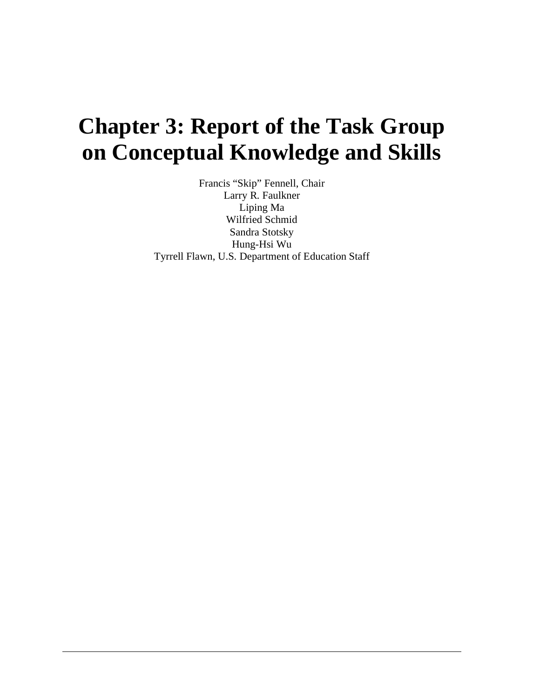# **Chapter 3: Report of the Task Group on Conceptual Knowledge and Skills**

Francis "Skip" Fennell, Chair Larry R. Faulkner Liping Ma Wilfried Schmid Sandra Stotsky Hung-Hsi Wu Tyrrell Flawn, U.S. Department of Education Staff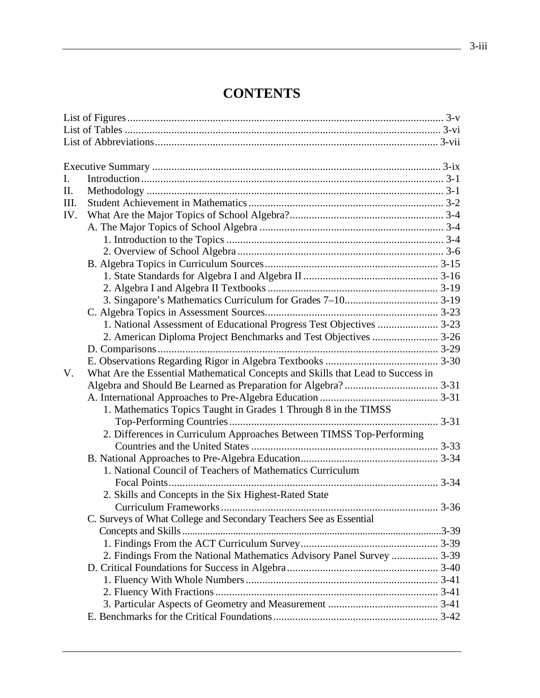## **CONTENTS**

| I.   |                                                                                 |  |
|------|---------------------------------------------------------------------------------|--|
| Π.   |                                                                                 |  |
| III. |                                                                                 |  |
| IV.  |                                                                                 |  |
|      |                                                                                 |  |
|      |                                                                                 |  |
|      |                                                                                 |  |
|      |                                                                                 |  |
|      |                                                                                 |  |
|      |                                                                                 |  |
|      |                                                                                 |  |
|      |                                                                                 |  |
|      | 1. National Assessment of Educational Progress Test Objectives  3-23            |  |
|      | 2. American Diploma Project Benchmarks and Test Objectives  3-26                |  |
|      |                                                                                 |  |
|      |                                                                                 |  |
| V.   | What Are the Essential Mathematical Concepts and Skills that Lead to Success in |  |
|      |                                                                                 |  |
|      |                                                                                 |  |
|      | 1. Mathematics Topics Taught in Grades 1 Through 8 in the TIMSS                 |  |
|      |                                                                                 |  |
|      | 2. Differences in Curriculum Approaches Between TIMSS Top-Performing            |  |
|      |                                                                                 |  |
|      |                                                                                 |  |
|      | 1. National Council of Teachers of Mathematics Curriculum                       |  |
|      |                                                                                 |  |
|      | 2. Skills and Concepts in the Six Highest-Rated State                           |  |
|      |                                                                                 |  |
|      | C. Surveys of What College and Secondary Teachers See as Essential              |  |
|      |                                                                                 |  |
|      |                                                                                 |  |
|      | 2. Findings From the National Mathematics Advisory Panel Survey  3-39           |  |
|      |                                                                                 |  |
|      |                                                                                 |  |
|      |                                                                                 |  |
|      |                                                                                 |  |
|      |                                                                                 |  |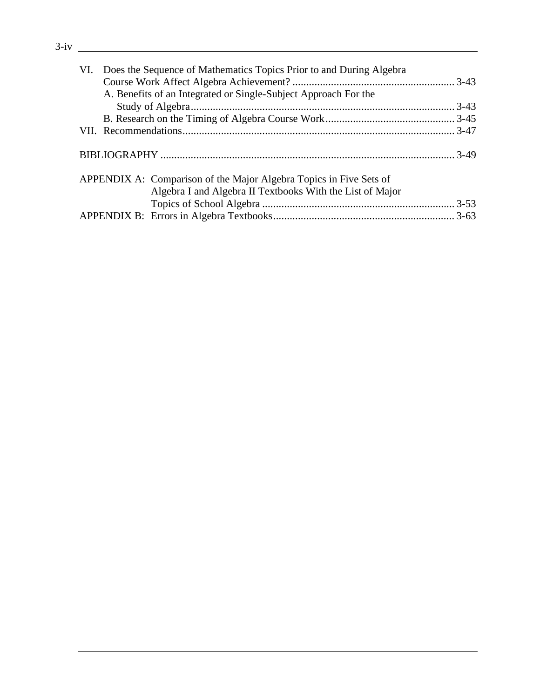| VI. Does the Sequence of Mathematics Topics Prior to and During Algebra |  |
|-------------------------------------------------------------------------|--|
|                                                                         |  |
| A. Benefits of an Integrated or Single-Subject Approach For the         |  |
|                                                                         |  |
|                                                                         |  |
|                                                                         |  |
|                                                                         |  |
|                                                                         |  |
|                                                                         |  |
| APPENDIX A: Comparison of the Major Algebra Topics in Five Sets of      |  |
| Algebra I and Algebra II Textbooks With the List of Major               |  |
|                                                                         |  |
|                                                                         |  |
|                                                                         |  |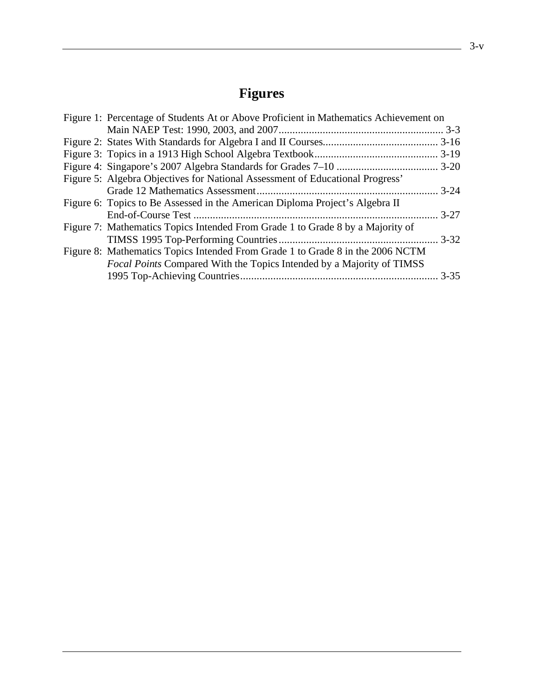## **Figures**

| Figure 1: Percentage of Students At or Above Proficient in Mathematics Achievement on |  |
|---------------------------------------------------------------------------------------|--|
|                                                                                       |  |
|                                                                                       |  |
|                                                                                       |  |
|                                                                                       |  |
| Figure 5: Algebra Objectives for National Assessment of Educational Progress'         |  |
|                                                                                       |  |
| Figure 6: Topics to Be Assessed in the American Diploma Project's Algebra II          |  |
|                                                                                       |  |
| Figure 7: Mathematics Topics Intended From Grade 1 to Grade 8 by a Majority of        |  |
|                                                                                       |  |
| Figure 8: Mathematics Topics Intended From Grade 1 to Grade 8 in the 2006 NCTM        |  |
| <i>Focal Points</i> Compared With the Topics Intended by a Majority of TIMSS          |  |
|                                                                                       |  |
|                                                                                       |  |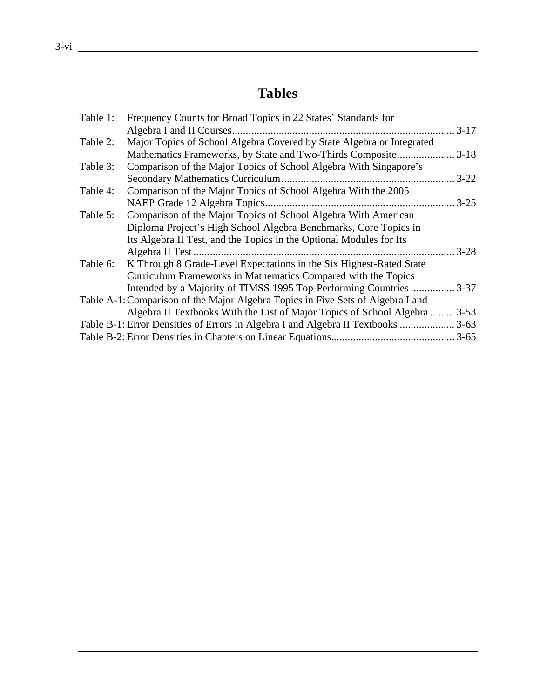## **Tables**

| Table 1: | Frequency Counts for Broad Topics in 22 States' Standards for                    |          |
|----------|----------------------------------------------------------------------------------|----------|
|          |                                                                                  | $3-17$   |
| Table 2: | Major Topics of School Algebra Covered by State Algebra or Integrated            |          |
|          |                                                                                  |          |
| Table 3: | Comparison of the Major Topics of School Algebra With Singapore's                |          |
|          | Secondary Mathematics Curriculum                                                 | $3 - 22$ |
| Table 4: | Comparison of the Major Topics of School Algebra With the 2005                   |          |
|          |                                                                                  | $3 - 25$ |
| Table 5: | Comparison of the Major Topics of School Algebra With American                   |          |
|          | Diploma Project's High School Algebra Benchmarks, Core Topics in                 |          |
|          | Its Algebra II Test, and the Topics in the Optional Modules for Its              |          |
|          |                                                                                  | $3 - 28$ |
| Table 6: | K Through 8 Grade-Level Expectations in the Six Highest-Rated State              |          |
|          | Curriculum Frameworks in Mathematics Compared with the Topics                    |          |
|          | Intended by a Majority of TIMSS 1995 Top-Performing Countries                    | $3 - 37$ |
|          | Table A-1: Comparison of the Major Algebra Topics in Five Sets of Algebra I and  |          |
|          | Algebra II Textbooks With the List of Major Topics of School Algebra             | $3 - 53$ |
|          | Table B-1: Error Densities of Errors in Algebra I and Algebra II Textbooks  3-63 |          |
|          |                                                                                  |          |
|          |                                                                                  |          |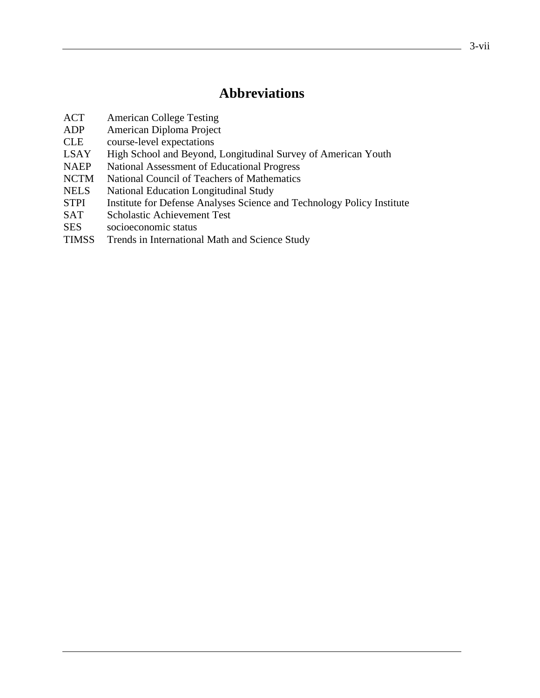## **Abbreviations**

- ACT American College Testing
- ADP American Diploma Project
- CLE course-level expectations
- LSAY High School and Beyond, Longitudinal Survey of American Youth
- NAEP National Assessment of Educational Progress
- NCTM National Council of Teachers of Mathematics
- NELS National Education Longitudinal Study
- STPI Institute for Defense Analyses Science and Technology Policy Institute
- SAT Scholastic Achievement Test
- SES socioeconomic status
- TIMSS Trends in International Math and Science Study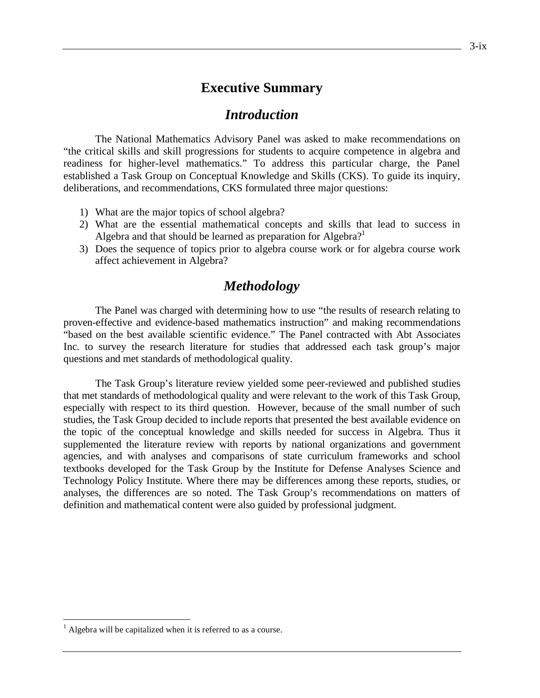## **Executive Summary**

## *Introduction*

The National Mathematics Advisory Panel was asked to make recommendations on "the critical skills and skill progressions for students to acquire competence in algebra and readiness for higher-level mathematics." To address this particular charge, the Panel established a Task Group on Conceptual Knowledge and Skills (CKS). To guide its inquiry, deliberations, and recommendations, CKS formulated three major questions:

- 1) What are the major topics of school algebra?
- 2) What are the essential mathematical concepts and skills that lead to success in Algebra and that should be learned as preparation for Algebra?<sup>1</sup>
- 3) Does the sequence of topics prior to algebra course work or for algebra course work affect achievement in Algebra?

## *Methodology*

The Panel was charged with determining how to use "the results of research relating to proven-effective and evidence-based mathematics instruction" and making recommendations "based on the best available scientific evidence." The Panel contracted with Abt Associates Inc. to survey the research literature for studies that addressed each task group's major questions and met standards of methodological quality.

The Task Group's literature review yielded some peer-reviewed and published studies that met standards of methodological quality and were relevant to the work of this Task Group, especially with respect to its third question. However, because of the small number of such studies, the Task Group decided to include reports that presented the best available evidence on the topic of the conceptual knowledge and skills needed for success in Algebra. Thus it supplemented the literature review with reports by national organizations and government agencies, and with analyses and comparisons of state curriculum frameworks and school textbooks developed for the Task Group by the Institute for Defense Analyses Science and Technology Policy Institute. Where there may be differences among these reports, studies, or analyses, the differences are so noted. The Task Group's recommendations on matters of definition and mathematical content were also guided by professional judgment.

 $\overline{a}$ 

 $<sup>1</sup>$  Algebra will be capitalized when it is referred to as a course.</sup>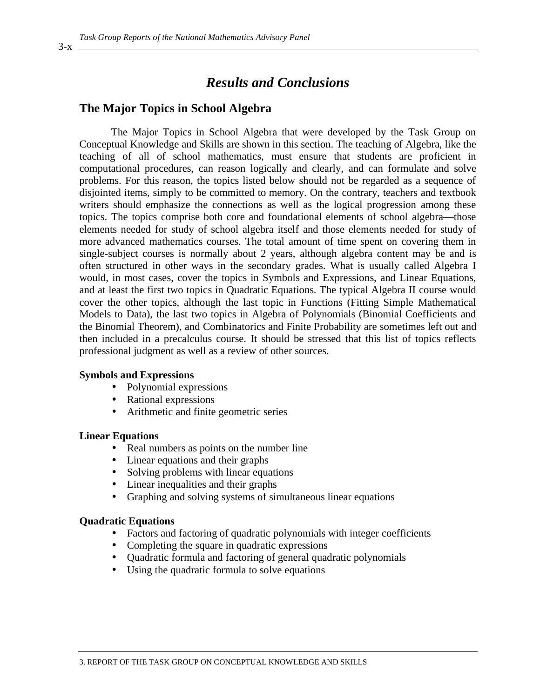## *Results and Conclusions*

## **The Major Topics in School Algebra**

The Major Topics in School Algebra that were developed by the Task Group on Conceptual Knowledge and Skills are shown in this section. The teaching of Algebra, like the teaching of all of school mathematics, must ensure that students are proficient in computational procedures, can reason logically and clearly, and can formulate and solve problems. For this reason, the topics listed below should not be regarded as a sequence of disjointed items, simply to be committed to memory. On the contrary, teachers and textbook writers should emphasize the connections as well as the logical progression among these topics. The topics comprise both core and foundational elements of school algebra—those elements needed for study of school algebra itself and those elements needed for study of more advanced mathematics courses. The total amount of time spent on covering them in single-subject courses is normally about 2 years, although algebra content may be and is often structured in other ways in the secondary grades. What is usually called Algebra I would, in most cases, cover the topics in Symbols and Expressions, and Linear Equations, and at least the first two topics in Quadratic Equations. The typical Algebra II course would cover the other topics, although the last topic in Functions (Fitting Simple Mathematical Models to Data), the last two topics in Algebra of Polynomials (Binomial Coefficients and the Binomial Theorem), and Combinatorics and Finite Probability are sometimes left out and then included in a precalculus course. It should be stressed that this list of topics reflects professional judgment as well as a review of other sources.

#### **Symbols and Expressions**

- Polynomial expressions
- Rational expressions
- Arithmetic and finite geometric series

#### **Linear Equations**

- Real numbers as points on the number line<br>• Linear equations and their graphs
- Linear equations and their graphs
- Solving problems with linear equations
- Linear inequalities and their graphs
- Graphing and solving systems of simultaneous linear equations

#### **Quadratic Equations**

- Factors and factoring of quadratic polynomials with integer coefficients
- Completing the square in quadratic expressions
- Quadratic formula and factoring of general quadratic polynomials
- Using the quadratic formula to solve equations

 $3-x$   $-$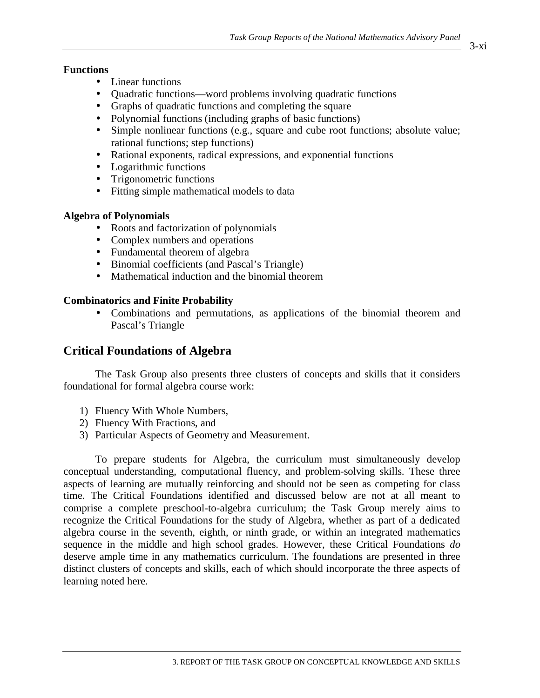## **Functions**

- Linear functions
- Quadratic functions—word problems involving quadratic functions
- Graphs of quadratic functions and completing the square
- Polynomial functions (including graphs of basic functions)
- Simple nonlinear functions (e.g., square and cube root functions; absolute value; rational functions; step functions)
- Rational exponents, radical expressions, and exponential functions
- Logarithmic functions
- Trigonometric functions
- Fitting simple mathematical models to data

## **Algebra of Polynomials**

- Roots and factorization of polynomials
- Complex numbers and operations
- Fundamental theorem of algebra
- Binomial coefficients (and Pascal's Triangle)
- Mathematical induction and the binomial theorem

## **Combinatorics and Finite Probability**

• Combinations and permutations, as applications of the binomial theorem and Pascal's Triangle

## **Critical Foundations of Algebra**

The Task Group also presents three clusters of concepts and skills that it considers foundational for formal algebra course work:

- 1) Fluency With Whole Numbers,
- 2) Fluency With Fractions, and
- 3) Particular Aspects of Geometry and Measurement.

To prepare students for Algebra, the curriculum must simultaneously develop conceptual understanding, computational fluency, and problem-solving skills. These three aspects of learning are mutually reinforcing and should not be seen as competing for class time. The Critical Foundations identified and discussed below are not at all meant to comprise a complete preschool-to-algebra curriculum; the Task Group merely aims to recognize the Critical Foundations for the study of Algebra, whether as part of a dedicated algebra course in the seventh, eighth, or ninth grade, or within an integrated mathematics sequence in the middle and high school grades. However, these Critical Foundations *do* deserve ample time in any mathematics curriculum. The foundations are presented in three distinct clusters of concepts and skills, each of which should incorporate the three aspects of learning noted here.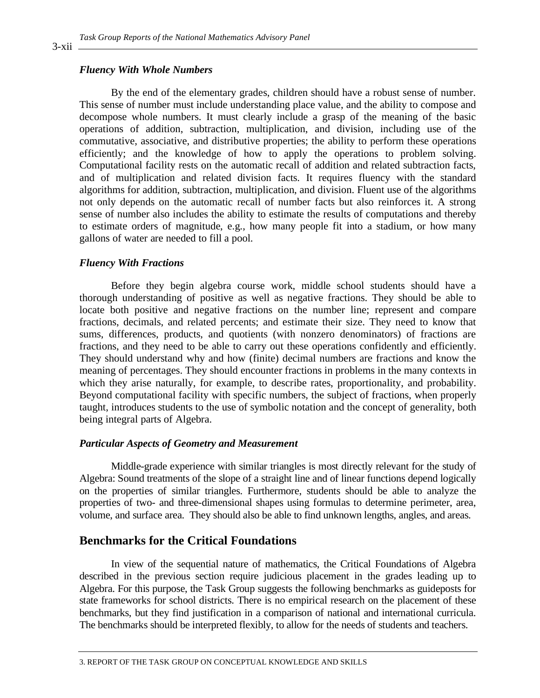### *Fluency With Whole Numbers*

By the end of the elementary grades, children should have a robust sense of number. This sense of number must include understanding place value, and the ability to compose and decompose whole numbers. It must clearly include a grasp of the meaning of the basic operations of addition, subtraction, multiplication, and division, including use of the commutative, associative, and distributive properties; the ability to perform these operations efficiently; and the knowledge of how to apply the operations to problem solving. Computational facility rests on the automatic recall of addition and related subtraction facts, and of multiplication and related division facts. It requires fluency with the standard algorithms for addition, subtraction, multiplication, and division. Fluent use of the algorithms not only depends on the automatic recall of number facts but also reinforces it. A strong sense of number also includes the ability to estimate the results of computations and thereby to estimate orders of magnitude, e.g., how many people fit into a stadium, or how many gallons of water are needed to fill a pool.

#### *Fluency With Fractions*

Before they begin algebra course work, middle school students should have a thorough understanding of positive as well as negative fractions. They should be able to locate both positive and negative fractions on the number line; represent and compare fractions, decimals, and related percents; and estimate their size. They need to know that sums, differences, products, and quotients (with nonzero denominators) of fractions are fractions, and they need to be able to carry out these operations confidently and efficiently. They should understand why and how (finite) decimal numbers are fractions and know the meaning of percentages. They should encounter fractions in problems in the many contexts in which they arise naturally, for example, to describe rates, proportionality, and probability. Beyond computational facility with specific numbers, the subject of fractions, when properly taught, introduces students to the use of symbolic notation and the concept of generality, both being integral parts of Algebra.

#### *Particular Aspects of Geometry and Measurement*

Middle-grade experience with similar triangles is most directly relevant for the study of Algebra: Sound treatments of the slope of a straight line and of linear functions depend logically on the properties of similar triangles. Furthermore, students should be able to analyze the properties of two- and three-dimensional shapes using formulas to determine perimeter, area, volume, and surface area. They should also be able to find unknown lengths, angles, and areas.

## **Benchmarks for the Critical Foundations**

In view of the sequential nature of mathematics, the Critical Foundations of Algebra described in the previous section require judicious placement in the grades leading up to Algebra. For this purpose, the Task Group suggests the following benchmarks as guideposts for state frameworks for school districts. There is no empirical research on the placement of these benchmarks, but they find justification in a comparison of national and international curricula. The benchmarks should be interpreted flexibly, to allow for the needs of students and teachers.

3-xii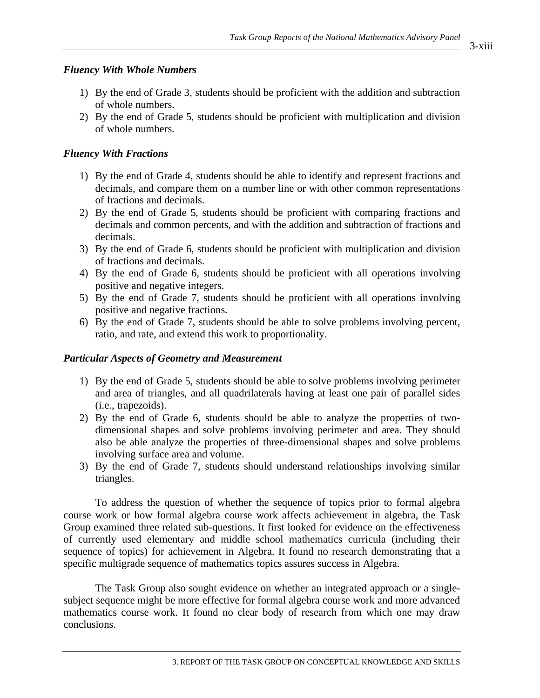## *Fluency With Whole Numbers*

- 1) By the end of Grade 3, students should be proficient with the addition and subtraction of whole numbers.
- 2) By the end of Grade 5, students should be proficient with multiplication and division of whole numbers.

## *Fluency With Fractions*

- 1) By the end of Grade 4, students should be able to identify and represent fractions and decimals, and compare them on a number line or with other common representations of fractions and decimals.
- 2) By the end of Grade 5, students should be proficient with comparing fractions and decimals and common percents, and with the addition and subtraction of fractions and decimals.
- 3) By the end of Grade 6, students should be proficient with multiplication and division of fractions and decimals.
- 4) By the end of Grade 6, students should be proficient with all operations involving positive and negative integers.
- 5) By the end of Grade 7, students should be proficient with all operations involving positive and negative fractions.
- 6) By the end of Grade 7, students should be able to solve problems involving percent, ratio, and rate, and extend this work to proportionality.

## *Particular Aspects of Geometry and Measurement*

- 1) By the end of Grade 5, students should be able to solve problems involving perimeter and area of triangles, and all quadrilaterals having at least one pair of parallel sides (i.e., trapezoids).
- 2) By the end of Grade 6, students should be able to analyze the properties of twodimensional shapes and solve problems involving perimeter and area. They should also be able analyze the properties of three-dimensional shapes and solve problems involving surface area and volume.
- 3) By the end of Grade 7, students should understand relationships involving similar triangles.

To address the question of whether the sequence of topics prior to formal algebra course work or how formal algebra course work affects achievement in algebra, the Task Group examined three related sub-questions. It first looked for evidence on the effectiveness of currently used elementary and middle school mathematics curricula (including their sequence of topics) for achievement in Algebra. It found no research demonstrating that a specific multigrade sequence of mathematics topics assures success in Algebra.

The Task Group also sought evidence on whether an integrated approach or a singlesubject sequence might be more effective for formal algebra course work and more advanced mathematics course work. It found no clear body of research from which one may draw conclusions.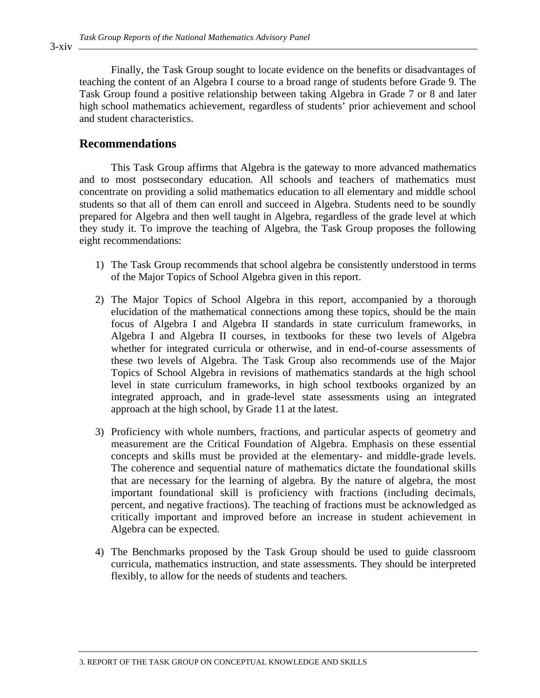Finally, the Task Group sought to locate evidence on the benefits or disadvantages of teaching the content of an Algebra I course to a broad range of students before Grade 9. The Task Group found a positive relationship between taking Algebra in Grade 7 or 8 and later high school mathematics achievement, regardless of students' prior achievement and school and student characteristics.

## **Recommendations**

This Task Group affirms that Algebra is the gateway to more advanced mathematics and to most postsecondary education. All schools and teachers of mathematics must concentrate on providing a solid mathematics education to all elementary and middle school students so that all of them can enroll and succeed in Algebra. Students need to be soundly prepared for Algebra and then well taught in Algebra, regardless of the grade level at which they study it. To improve the teaching of Algebra, the Task Group proposes the following eight recommendations:

- 1) The Task Group recommends that school algebra be consistently understood in terms of the Major Topics of School Algebra given in this report.
- 2) The Major Topics of School Algebra in this report, accompanied by a thorough elucidation of the mathematical connections among these topics, should be the main focus of Algebra I and Algebra II standards in state curriculum frameworks, in Algebra I and Algebra II courses, in textbooks for these two levels of Algebra whether for integrated curricula or otherwise, and in end-of-course assessments of these two levels of Algebra. The Task Group also recommends use of the Major Topics of School Algebra in revisions of mathematics standards at the high school level in state curriculum frameworks, in high school textbooks organized by an integrated approach, and in grade-level state assessments using an integrated approach at the high school, by Grade 11 at the latest.
- 3) Proficiency with whole numbers, fractions, and particular aspects of geometry and measurement are the Critical Foundation of Algebra. Emphasis on these essential concepts and skills must be provided at the elementary- and middle-grade levels. The coherence and sequential nature of mathematics dictate the foundational skills that are necessary for the learning of algebra. By the nature of algebra, the most important foundational skill is proficiency with fractions (including decimals, percent, and negative fractions). The teaching of fractions must be acknowledged as critically important and improved before an increase in student achievement in Algebra can be expected.
- 4) The Benchmarks proposed by the Task Group should be used to guide classroom curricula, mathematics instruction, and state assessments. They should be interpreted flexibly, to allow for the needs of students and teachers.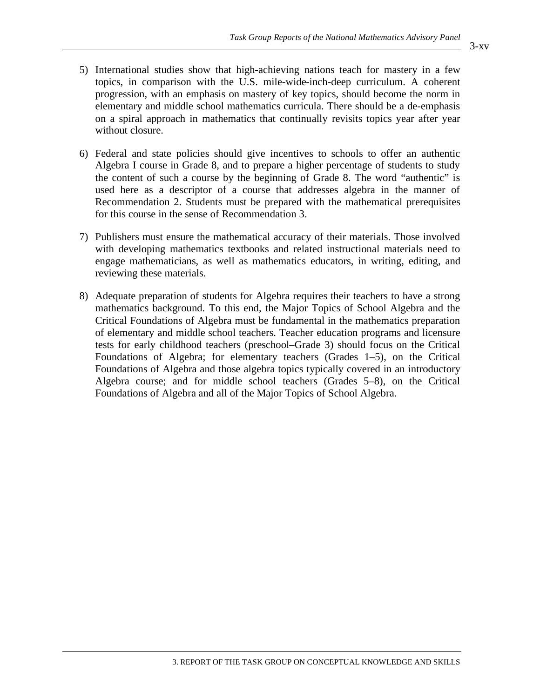- 5) International studies show that high-achieving nations teach for mastery in a few topics, in comparison with the U.S. mile-wide-inch-deep curriculum. A coherent progression, with an emphasis on mastery of key topics, should become the norm in elementary and middle school mathematics curricula. There should be a de-emphasis on a spiral approach in mathematics that continually revisits topics year after year without closure.
- 6) Federal and state policies should give incentives to schools to offer an authentic Algebra I course in Grade 8, and to prepare a higher percentage of students to study the content of such a course by the beginning of Grade 8. The word "authentic" is used here as a descriptor of a course that addresses algebra in the manner of Recommendation 2. Students must be prepared with the mathematical prerequisites for this course in the sense of Recommendation 3.
- 7) Publishers must ensure the mathematical accuracy of their materials. Those involved with developing mathematics textbooks and related instructional materials need to engage mathematicians, as well as mathematics educators, in writing, editing, and reviewing these materials.
- 8) Adequate preparation of students for Algebra requires their teachers to have a strong mathematics background. To this end, the Major Topics of School Algebra and the Critical Foundations of Algebra must be fundamental in the mathematics preparation of elementary and middle school teachers. Teacher education programs and licensure tests for early childhood teachers (preschool–Grade 3) should focus on the Critical Foundations of Algebra; for elementary teachers (Grades 1–5), on the Critical Foundations of Algebra and those algebra topics typically covered in an introductory Algebra course; and for middle school teachers (Grades 5–8), on the Critical Foundations of Algebra and all of the Major Topics of School Algebra.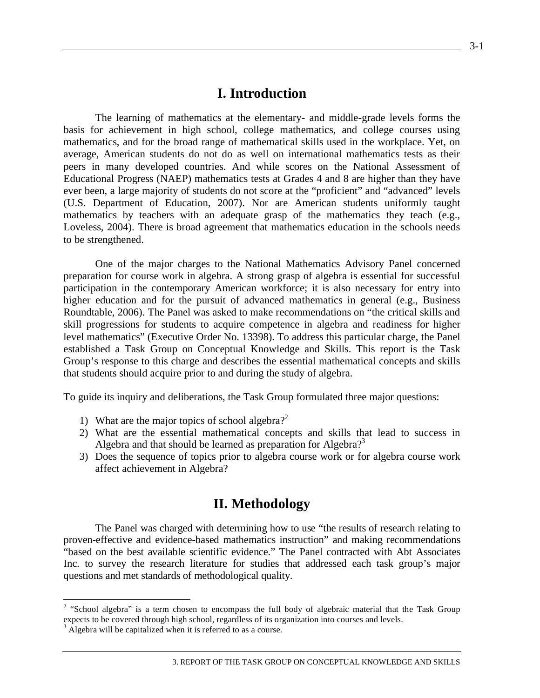## **I. Introduction**

The learning of mathematics at the elementary- and middle-grade levels forms the basis for achievement in high school, college mathematics, and college courses using mathematics, and for the broad range of mathematical skills used in the workplace. Yet, on average, American students do not do as well on international mathematics tests as their peers in many developed countries. And while scores on the National Assessment of Educational Progress (NAEP) mathematics tests at Grades 4 and 8 are higher than they have ever been, a large majority of students do not score at the "proficient" and "advanced" levels (U.S. Department of Education, 2007). Nor are American students uniformly taught mathematics by teachers with an adequate grasp of the mathematics they teach (e.g., Loveless, 2004). There is broad agreement that mathematics education in the schools needs to be strengthened.

One of the major charges to the National Mathematics Advisory Panel concerned preparation for course work in algebra. A strong grasp of algebra is essential for successful participation in the contemporary American workforce; it is also necessary for entry into higher education and for the pursuit of advanced mathematics in general (e.g., Business Roundtable, 2006). The Panel was asked to make recommendations on "the critical skills and skill progressions for students to acquire competence in algebra and readiness for higher level mathematics" (Executive Order No. 13398). To address this particular charge, the Panel established a Task Group on Conceptual Knowledge and Skills. This report is the Task Group's response to this charge and describes the essential mathematical concepts and skills that students should acquire prior to and during the study of algebra.

To guide its inquiry and deliberations, the Task Group formulated three major questions:

- 1) What are the major topics of school algebra?<sup>2</sup>
- 2) What are the essential mathematical concepts and skills that lead to success in Algebra and that should be learned as preparation for Algebra?<sup>3</sup>
- 3) Does the sequence of topics prior to algebra course work or for algebra course work affect achievement in Algebra?

## **II. Methodology**

The Panel was charged with determining how to use "the results of research relating to proven-effective and evidence-based mathematics instruction" and making recommendations "based on the best available scientific evidence." The Panel contracted with Abt Associates Inc. to survey the research literature for studies that addressed each task group's major questions and met standards of methodological quality.

<sup>&</sup>lt;sup>2</sup> "School algebra" is a term chosen to encompass the full body of algebraic material that the Task Group expects to be covered through high school, regardless of its organization into courses and levels.

<sup>&</sup>lt;sup>3</sup> Algebra will be capitalized when it is referred to as a course.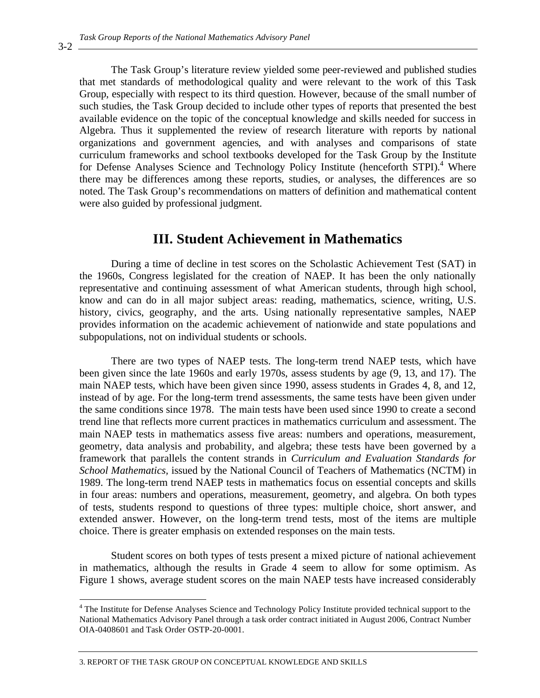The Task Group's literature review yielded some peer-reviewed and published studies that met standards of methodological quality and were relevant to the work of this Task Group, especially with respect to its third question. However, because of the small number of such studies, the Task Group decided to include other types of reports that presented the best available evidence on the topic of the conceptual knowledge and skills needed for success in Algebra. Thus it supplemented the review of research literature with reports by national organizations and government agencies, and with analyses and comparisons of state curriculum frameworks and school textbooks developed for the Task Group by the Institute for Defense Analyses Science and Technology Policy Institute (henceforth STPI).<sup>4</sup> Where there may be differences among these reports, studies, or analyses, the differences are so noted. The Task Group's recommendations on matters of definition and mathematical content were also guided by professional judgment.

## **III. Student Achievement in Mathematics**

During a time of decline in test scores on the Scholastic Achievement Test (SAT) in the 1960s, Congress legislated for the creation of NAEP. It has been the only nationally representative and continuing assessment of what American students, through high school, know and can do in all major subject areas: reading, mathematics, science, writing, U.S. history, civics, geography, and the arts. Using nationally representative samples, NAEP provides information on the academic achievement of nationwide and state populations and subpopulations, not on individual students or schools.

There are two types of NAEP tests. The long-term trend NAEP tests, which have been given since the late 1960s and early 1970s, assess students by age (9, 13, and 17). The main NAEP tests, which have been given since 1990, assess students in Grades 4, 8, and 12, instead of by age. For the long-term trend assessments, the same tests have been given under the same conditions since 1978. The main tests have been used since 1990 to create a second trend line that reflects more current practices in mathematics curriculum and assessment. The main NAEP tests in mathematics assess five areas: numbers and operations, measurement, geometry, data analysis and probability, and algebra; these tests have been governed by a framework that parallels the content strands in *Curriculum and Evaluation Standards for School Mathematics,* issued by the National Council of Teachers of Mathematics (NCTM) in 1989. The long-term trend NAEP tests in mathematics focus on essential concepts and skills in four areas: numbers and operations, measurement, geometry, and algebra. On both types of tests, students respond to questions of three types: multiple choice, short answer, and extended answer. However, on the long-term trend tests, most of the items are multiple choice. There is greater emphasis on extended responses on the main tests.

Student scores on both types of tests present a mixed picture of national achievement in mathematics, although the results in Grade 4 seem to allow for some optimism. As Figure 1 shows, average student scores on the main NAEP tests have increased considerably

3. REPORT OF THE TASK GROUP ON CONCEPTUAL KNOWLEDGE AND SKILLS

3-2

 $\overline{a}$ 

<sup>&</sup>lt;sup>4</sup> The Institute for Defense Analyses Science and Technology Policy Institute provided technical support to the National Mathematics Advisory Panel through a task order contract initiated in August 2006, Contract Number OIA-0408601 and Task Order OSTP-20-0001.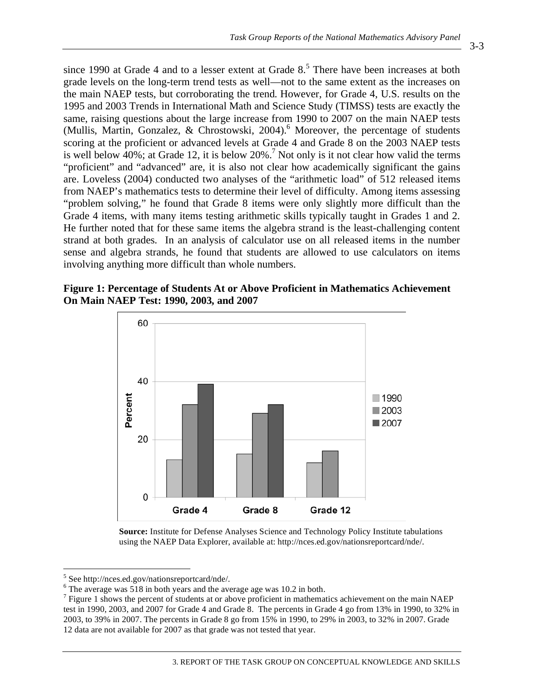3-3

since 1990 at Grade 4 and to a lesser extent at Grade  $8<sup>5</sup>$ . There have been increases at both grade levels on the long-term trend tests as well—not to the same extent as the increases on the main NAEP tests, but corroborating the trend. However, for Grade 4, U.S. results on the 1995 and 2003 Trends in International Math and Science Study (TIMSS) tests are exactly the same, raising questions about the large increase from 1990 to 2007 on the main NAEP tests (Mullis, Martin, Gonzalez, & Chrostowski, 2004).<sup>6</sup> Moreover, the percentage of students scoring at the proficient or advanced levels at Grade 4 and Grade 8 on the 2003 NAEP tests is well below  $40\%$ ; at Grade 12, it is below  $20\%$ .<sup>7</sup> Not only is it not clear how valid the terms "proficient" and "advanced" are, it is also not clear how academically significant the gains are. Loveless (2004) conducted two analyses of the "arithmetic load" of 512 released items from NAEP's mathematics tests to determine their level of difficulty. Among items assessing "problem solving," he found that Grade 8 items were only slightly more difficult than the Grade 4 items, with many items testing arithmetic skills typically taught in Grades 1 and 2. He further noted that for these same items the algebra strand is the least-challenging content strand at both grades. In an analysis of calculator use on all released items in the number sense and algebra strands, he found that students are allowed to use calculators on items involving anything more difficult than whole numbers.

**Figure 1: Percentage of Students At or Above Proficient in Mathematics Achievement On Main NAEP Test: 1990, 2003, and 2007** 



**Source:** Institute for Defense Analyses Science and Technology Policy Institute tabulations using the NAEP Data Explorer, available at: http://nces.ed.gov/nationsreportcard/nde/.

 5 See http://nces.ed.gov/nationsreportcard/nde/.

 $6$  The average was 518 in both years and the average age was 10.2 in both.

 $<sup>7</sup>$  Figure 1 shows the percent of students at or above proficient in mathematics achievement on the main NAEP</sup> test in 1990, 2003, and 2007 for Grade 4 and Grade 8. The percents in Grade 4 go from 13% in 1990, to 32% in 2003, to 39% in 2007. The percents in Grade 8 go from 15% in 1990, to 29% in 2003, to 32% in 2007. Grade 12 data are not available for 2007 as that grade was not tested that year.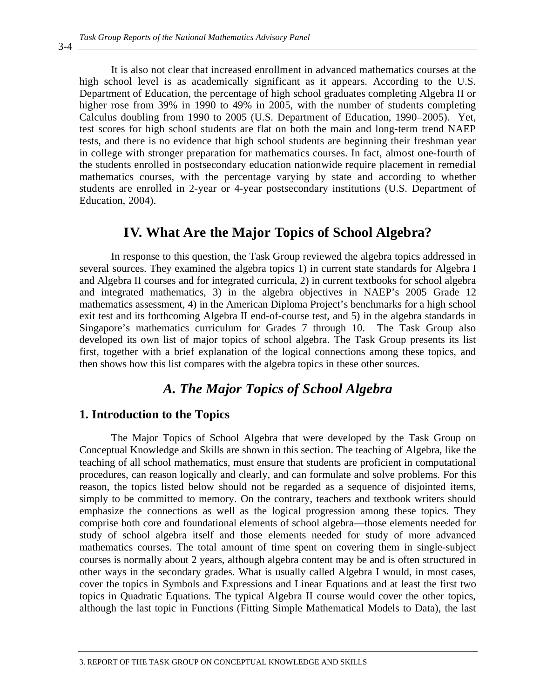It is also not clear that increased enrollment in advanced mathematics courses at the high school level is as academically significant as it appears. According to the U.S. Department of Education, the percentage of high school graduates completing Algebra II or higher rose from 39% in 1990 to 49% in 2005, with the number of students completing Calculus doubling from 1990 to 2005 (U.S. Department of Education, 1990–2005). Yet, test scores for high school students are flat on both the main and long-term trend NAEP tests, and there is no evidence that high school students are beginning their freshman year in college with stronger preparation for mathematics courses. In fact, almost one-fourth of the students enrolled in postsecondary education nationwide require placement in remedial mathematics courses, with the percentage varying by state and according to whether students are enrolled in 2-year or 4-year postsecondary institutions (U.S. Department of Education, 2004).

## **IV. What Are the Major Topics of School Algebra?**

In response to this question, the Task Group reviewed the algebra topics addressed in several sources. They examined the algebra topics 1) in current state standards for Algebra I and Algebra II courses and for integrated curricula, 2) in current textbooks for school algebra and integrated mathematics, 3) in the algebra objectives in NAEP's 2005 Grade 12 mathematics assessment, 4) in the American Diploma Project's benchmarks for a high school exit test and its forthcoming Algebra II end-of-course test, and 5) in the algebra standards in Singapore's mathematics curriculum for Grades 7 through 10. The Task Group also developed its own list of major topics of school algebra. The Task Group presents its list first, together with a brief explanation of the logical connections among these topics, and then shows how this list compares with the algebra topics in these other sources.

## *A. The Major Topics of School Algebra*

## **1. Introduction to the Topics**

The Major Topics of School Algebra that were developed by the Task Group on Conceptual Knowledge and Skills are shown in this section. The teaching of Algebra, like the teaching of all school mathematics, must ensure that students are proficient in computational procedures, can reason logically and clearly, and can formulate and solve problems. For this reason, the topics listed below should not be regarded as a sequence of disjointed items, simply to be committed to memory. On the contrary, teachers and textbook writers should emphasize the connections as well as the logical progression among these topics. They comprise both core and foundational elements of school algebra—those elements needed for study of school algebra itself and those elements needed for study of more advanced mathematics courses. The total amount of time spent on covering them in single-subject courses is normally about 2 years, although algebra content may be and is often structured in other ways in the secondary grades. What is usually called Algebra I would, in most cases, cover the topics in Symbols and Expressions and Linear Equations and at least the first two topics in Quadratic Equations. The typical Algebra II course would cover the other topics, although the last topic in Functions (Fitting Simple Mathematical Models to Data), the last

3-4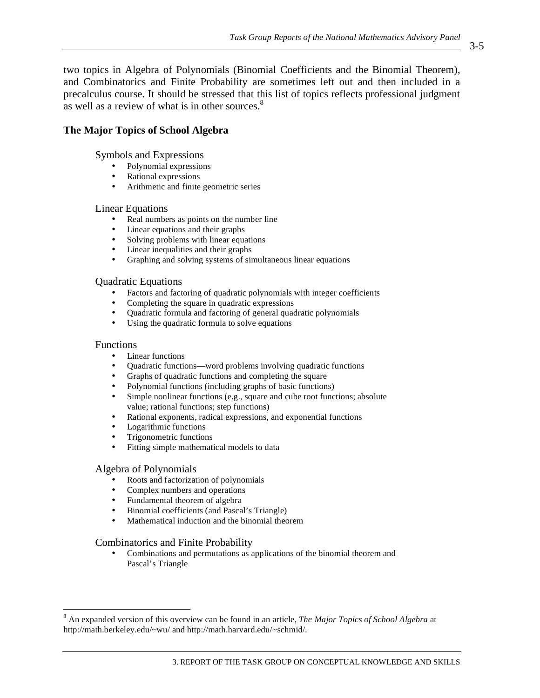two topics in Algebra of Polynomials (Binomial Coefficients and the Binomial Theorem), and Combinatorics and Finite Probability are sometimes left out and then included in a precalculus course. It should be stressed that this list of topics reflects professional judgment as well as a review of what is in other sources.<sup>8</sup>

## **The Major Topics of School Algebra**

Symbols and Expressions

- Polynomial expressions
- Rational expressions
- Arithmetic and finite geometric series

#### Linear Equations

- Real numbers as points on the number line
- Linear equations and their graphs
- Solving problems with linear equations
- Linear inequalities and their graphs
- Graphing and solving systems of simultaneous linear equations

#### Quadratic Equations

- Factors and factoring of quadratic polynomials with integer coefficients
- Completing the square in quadratic expressions
- Quadratic formula and factoring of general quadratic polynomials<br>• Using the quadratic formula to solve equations
- Using the quadratic formula to solve equations

#### Functions

 $\overline{a}$ 

- Linear functions
- Quadratic functions—word problems involving quadratic functions<br>• Graphs of quadratic functions and completing the square
- Graphs of quadratic functions and completing the square
- Polynomial functions (including graphs of basic functions)
- Simple nonlinear functions (e.g., square and cube root functions; absolute value; rational functions; step functions)
- Rational exponents, radical expressions, and exponential functions
- Logarithmic functions
- Trigonometric functions
- Fitting simple mathematical models to data

### Algebra of Polynomials

- Roots and factorization of polynomials
- Complex numbers and operations
- Fundamental theorem of algebra
- Binomial coefficients (and Pascal's Triangle)
- Mathematical induction and the binomial theorem

### Combinatorics and Finite Probability

• Combinations and permutations as applications of the binomial theorem and Pascal's Triangle

<sup>8</sup> An expanded version of this overview can be found in an article, *The Major Topics of School Algebra* at http://math.berkeley.edu/~wu/ and http://math.harvard.edu/~schmid/.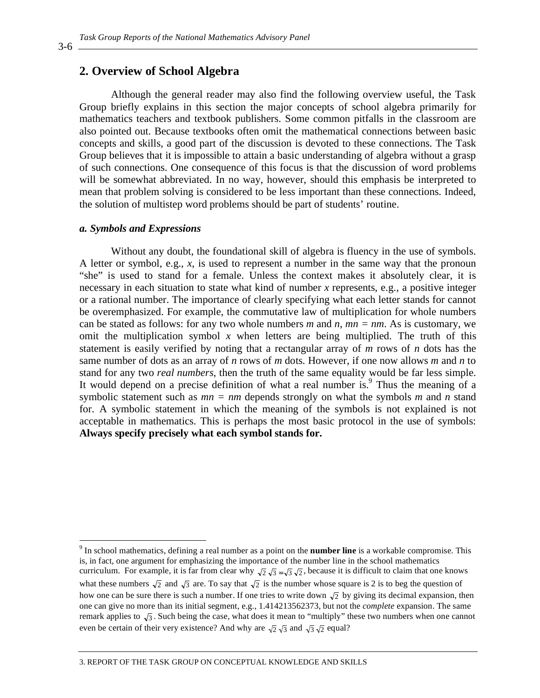### **2. Overview of School Algebra**

Although the general reader may also find the following overview useful, the Task Group briefly explains in this section the major concepts of school algebra primarily for mathematics teachers and textbook publishers. Some common pitfalls in the classroom are also pointed out. Because textbooks often omit the mathematical connections between basic concepts and skills, a good part of the discussion is devoted to these connections. The Task Group believes that it is impossible to attain a basic understanding of algebra without a grasp of such connections. One consequence of this focus is that the discussion of word problems will be somewhat abbreviated. In no way, however, should this emphasis be interpreted to mean that problem solving is considered to be less important than these connections. Indeed, the solution of multistep word problems should be part of students' routine.

#### *a. Symbols and Expressions*

Without any doubt, the foundational skill of algebra is fluency in the use of symbols. A letter or symbol, e.g., *x*, is used to represent a number in the same way that the pronoun "she" is used to stand for a female. Unless the context makes it absolutely clear, it is necessary in each situation to state what kind of number *x* represents, e.g., a positive integer or a rational number. The importance of clearly specifying what each letter stands for cannot be overemphasized. For example, the commutative law of multiplication for whole numbers can be stated as follows: for any two whole numbers *m* and *n*, *mn = nm*. As is customary, we omit the multiplication symbol  $x$  when letters are being multiplied. The truth of this statement is easily verified by noting that a rectangular array of *m* rows of *n* dots has the same number of dots as an array of *n* rows of *m* dots. However, if one now allows *m* and *n* to stand for any two *real numbers*, then the truth of the same equality would be far less simple. It would depend on a precise definition of what a real number is.<sup>9</sup> Thus the meaning of a symbolic statement such as *mn = nm* depends strongly on what the symbols *m* and *n* stand for. A symbolic statement in which the meaning of the symbols is not explained is not acceptable in mathematics. This is perhaps the most basic protocol in the use of symbols: **Always specify precisely what each symbol stands for.**

3-6

 $\overline{a}$ 

<sup>&</sup>lt;sup>9</sup> In school mathematics, defining a real number as a point on the **number line** is a workable compromise. This is, in fact, one argument for emphasizing the importance of the number line in the school mathematics curriculum. For example, it is far from clear why  $\sqrt{2}\sqrt{3} = \sqrt{3}\sqrt{2}$ , because it is difficult to claim that one knows what these numbers  $\sqrt{2}$  and  $\sqrt{3}$  are. To say that  $\sqrt{2}$  is the number whose square is 2 is to beg the question of how one can be sure there is such a number. If one tries to write down  $\sqrt{2}$  by giving its decimal expansion, then one can give no more than its initial segment, e.g., 1.414213562373, but not the *complete* expansion. The same remark applies to  $\sqrt{3}$ . Such being the case, what does it mean to "multiply" these two numbers when one cannot even be certain of their very existence? And why are  $\sqrt{2} \sqrt{3}$  and  $\sqrt{3} \sqrt{2}$  equal?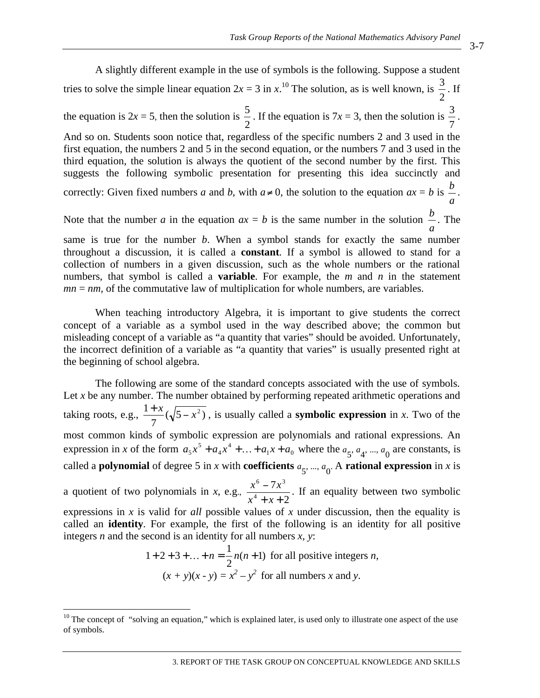A slightly different example in the use of symbols is the following. Suppose a student tries to solve the simple linear equation  $2x = 3$  in  $x$ .<sup>10</sup> The solution, as is well known, is  $\frac{3}{2}$ . If the equation is  $2x = 5$ , then the solution is  $\frac{5}{2}$ . If the equation is 7*x* = 3, then the solution is  $\frac{3}{7}$ . And so on. Students soon notice that, regardless of the specific numbers 2 and 3 used in the first equation, the numbers 2 and 5 in the second equation, or the numbers 7 and 3 used in the third equation, the solution is always the quotient of the second number by the first. This suggests the following symbolic presentation for presenting this idea succinctly and correctly: Given fixed numbers *a* and *b*, with  $a \neq 0$ , the solution to the equation  $ax = b$  is *a*  $\frac{b}{\cdot}$ . Note that the number  $a$  in the equation  $ax = b$  is the same number in the solution *a <sup>b</sup>* . The same is true for the number *b*. When a symbol stands for exactly the same number throughout a discussion, it is called a **constant**. If a symbol is allowed to stand for a collection of numbers in a given discussion, such as the whole numbers or the rational

When teaching introductory Algebra, it is important to give students the correct concept of a variable as a symbol used in the way described above; the common but misleading concept of a variable as "a quantity that varies" should be avoided. Unfortunately, the incorrect definition of a variable as "a quantity that varies" is usually presented right at the beginning of school algebra.

numbers, that symbol is called a **variable**. For example, the *m* and *n* in the statement

 $mn = nm$ , of the commutative law of multiplication for whole numbers, are variables.

The following are some of the standard concepts associated with the use of symbols. Let *x* be any number. The number obtained by performing repeated arithmetic operations and taking roots, e.g.,  $\frac{1+x}{7}(\sqrt{5-x^2})$ , is usually called a **symbolic expression** in *x*. Two of the most common kinds of symbolic expression are polynomials and rational expressions. An expression in *x* of the form  $a_5x^5 + a_4x^4 + ... + a_1x + a_0$ 4  $a_5x^5 + a_4x^4 + ... + a_1x + a_0$  where the  $a_5, a_4, ..., a_0$  are constants, is called a **polynomial** of degree 5 in *x* with **coefficients**  $a_5$ , ...,  $a_0$ . A **rational expression** in *x* is a quotient of two polynomials in *x*, e.g.,  $\frac{x^6 - 7x^3}{x^4 + x + 2}$ 4 6  $7^{3}$  $+ x +$ <sup>-</sup>  $x^4 + x$  $\frac{x^6 - 7x^3}{4}$ . If an equality between two symbolic expressions in *x* is valid for *all* possible values of *x* under discussion, then the equality is called an **identity**. For example, the first of the following is an identity for all positive integers *n* and the second is an identity for all numbers *x, y*:

 $1 + 2 + 3 + ... + n = \frac{1}{2}n(n + 1)$  for all positive integers *n*,  $(x + y)(x - y) = x^2 - y^2$  for all numbers *x* and *y*.

 $\overline{a}$ 

 $10$  The concept of "solving an equation," which is explained later, is used only to illustrate one aspect of the use of symbols.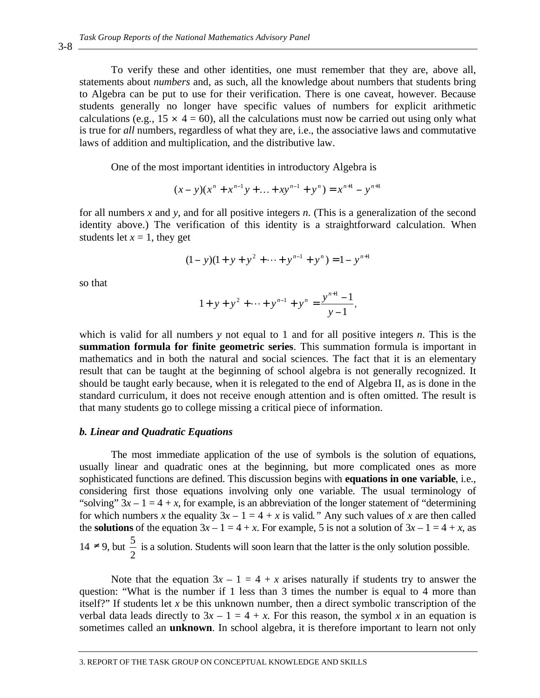To verify these and other identities, one must remember that they are, above all, statements about *numbers* and, as such, all the knowledge about numbers that students bring to Algebra can be put to use for their verification. There is one caveat, however. Because students generally no longer have specific values of numbers for explicit arithmetic calculations (e.g.,  $15 \times 4 = 60$ ), all the calculations must now be carried out using only what is true for *all* numbers, regardless of what they are, i.e., the associative laws and commutative laws of addition and multiplication, and the distributive law.

One of the most important identities in introductory Algebra is

$$
(x - y)(xn + xn-1y + ... + xyn-1 + yn) = xn+1 - yn+1
$$

for all numbers *x* and *y*, and for all positive integers *n*. (This is a generalization of the second identity above.) The verification of this identity is a straightforward calculation. When students let  $x = 1$ , they get

$$
(1 - y)(1 + y + y2 + \dots + yn-1 + yn) = 1 - yn+1
$$

so that

$$
1 + y + y^{2} + \dots + y^{n-1} + y^{n} = \frac{y^{n+1} - 1}{y - 1},
$$

which is valid for all numbers *y* not equal to 1 and for all positive integers *n*. This is the **summation formula for finite geometric series**. This summation formula is important in mathematics and in both the natural and social sciences. The fact that it is an elementary result that can be taught at the beginning of school algebra is not generally recognized. It should be taught early because, when it is relegated to the end of Algebra II, as is done in the standard curriculum, it does not receive enough attention and is often omitted. The result is that many students go to college missing a critical piece of information.

#### *b. Linear and Quadratic Equations*

The most immediate application of the use of symbols is the solution of equations, usually linear and quadratic ones at the beginning, but more complicated ones as more sophisticated functions are defined. This discussion begins with **equations in one variable**, i.e., considering first those equations involving only one variable. The usual terminology of "solving"  $3x - 1 = 4 + x$ , for example, is an abbreviation of the longer statement of "determining" for which numbers *x* the equality  $3x - 1 = 4 + x$  is valid." Any such values of *x* are then called the **solutions** of the equation  $3x - 1 = 4 + x$ . For example, 5 is not a solution of  $3x - 1 = 4 + x$ , as 14 ≠ 9, but  $\frac{5}{2}$  is a solution. Students will soon learn that the latter is the only solution possible.

Note that the equation  $3x - 1 = 4 + x$  arises naturally if students try to answer the question: "What is the number if 1 less than 3 times the number is equal to 4 more than itself?" If students let *x* be this unknown number, then a direct symbolic transcription of the verbal data leads directly to  $3x - 1 = 4 + x$ . For this reason, the symbol x in an equation is sometimes called an **unknown**. In school algebra, it is therefore important to learn not only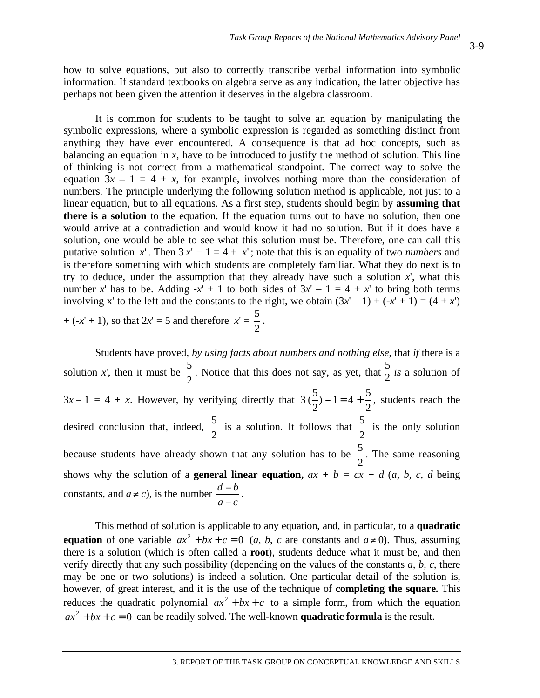how to solve equations, but also to correctly transcribe verbal information into symbolic information. If standard textbooks on algebra serve as any indication, the latter objective has perhaps not been given the attention it deserves in the algebra classroom.

It is common for students to be taught to solve an equation by manipulating the symbolic expressions, where a symbolic expression is regarded as something distinct from anything they have ever encountered. A consequence is that ad hoc concepts, such as balancing an equation in *x*, have to be introduced to justify the method of solution. This line of thinking is not correct from a mathematical standpoint. The correct way to solve the equation  $3x - 1 = 4 + x$ , for example, involves nothing more than the consideration of numbers. The principle underlying the following solution method is applicable, not just to a linear equation, but to all equations. As a first step, students should begin by **assuming that there is a solution** to the equation. If the equation turns out to have no solution, then one would arrive at a contradiction and would know it had no solution. But if it does have a solution, one would be able to see what this solution must be. Therefore, one can call this putative solution *x*'. Then  $3x' - 1 = 4 + x'$ ; note that this is an equality of two *numbers* and is therefore something with which students are completely familiar. What they do next is to try to deduce, under the assumption that they already have such a solution  $x'$ , what this number *x*' has to be. Adding  $-x' + 1$  to both sides of  $3x' - 1 = 4 + x'$  to bring both terms involving x' to the left and the constants to the right, we obtain  $(3x' - 1) + (-x' + 1) = (4 + x')$  $+ (-x' + 1)$ , so that  $2x' = 5$  and therefore  $x' =$ 2  $\frac{5}{2}$ .

Students have proved, *by using facts about numbers and nothing else*, that *if* there is a solution *x*', then it must be  $\frac{5}{2}$ . Notice that this does not say, as yet, that  $\frac{5}{2}$  *is* a solution of  $3x-1 = 4 + x$ . However, by verifying directly that  $3(\frac{5}{2}) - 1 = 4 + \frac{5}{2}$ , students reach the desired conclusion that, indeed,  $\frac{5}{2}$  is a solution. It follows that 2  $\frac{5}{6}$  is the only solution because students have already shown that any solution has to be  $\frac{5}{2}$ . The same reasoning shows why the solution of a **general linear equation,**  $ax + b = cx + d$  (*a, b, c, d* being constants, and  $a \neq c$ ), is the number  $a - c$ *bd* <sup>-</sup>  $\frac{-b}{\cdot}$ .

This method of solution is applicable to any equation, and, in particular, to a **quadratic equation** of one variable  $ax^2 + bx + c = 0$  (*a*, *b*, *c* are constants and  $a \ne 0$ ). Thus, assuming there is a solution (which is often called a **root**), students deduce what it must be, and then verify directly that any such possibility (depending on the values of the constants *a, b, c,* there may be one or two solutions) is indeed a solution. One particular detail of the solution is, however, of great interest, and it is the use of the technique of **completing the square.** This reduces the quadratic polynomial  $ax^2 + bx + c$  to a simple form, from which the equation  $ax^{2} + bx + c = 0$  can be readily solved. The well-known **quadratic formula** is the result.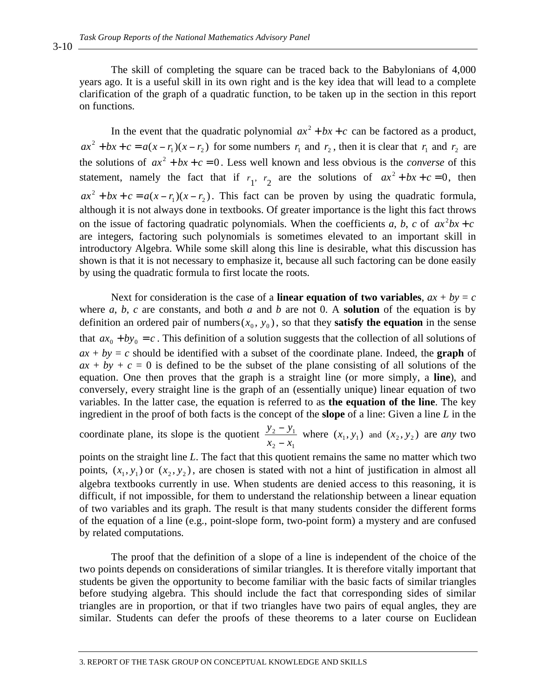The skill of completing the square can be traced back to the Babylonians of 4,000 years ago. It is a useful skill in its own right and is the key idea that will lead to a complete clarification of the graph of a quadratic function, to be taken up in the section in this report on functions.

In the event that the quadratic polynomial  $ax^2 + bx + c$  can be factored as a product,  $ax^2 + bx + c = a(x - r_1)(x - r_2)$  for some numbers  $r_1$  and  $r_2$ , then it is clear that  $r_1$  and  $r_2$  are the solutions of  $ax^2 + bx + c = 0$ . Less well known and less obvious is the *converse* of this statement, namely the fact that if  $r_1$ ,  $r_2$  are the solutions of  $ax^2 + bx + c = 0$ , then  $ax^2 + bx + c = a(x - r_1)(x - r_2)$ . This fact can be proven by using the quadratic formula, although it is not always done in textbooks. Of greater importance is the light this fact throws on the issue of factoring quadratic polynomials. When the coefficients *a*, *b*, *c* of  $ax^2bx + c$ are integers, factoring such polynomials is sometimes elevated to an important skill in introductory Algebra. While some skill along this line is desirable, what this discussion has shown is that it is not necessary to emphasize it, because all such factoring can be done easily by using the quadratic formula to first locate the roots.

Next for consideration is the case of a **linear equation of two variables**,  $ax + by = c$ where  $a, b, c$  are constants, and both  $a$  and  $b$  are not 0. A **solution** of the equation is by definition an ordered pair of numbers  $(x_0, y_0)$ , so that they **satisfy the equation** in the sense that  $ax_0 + by_0 = c$ . This definition of a solution suggests that the collection of all solutions of  $ax + by = c$  should be identified with a subset of the coordinate plane. Indeed, the **graph** of  $ax + by + c = 0$  is defined to be the subset of the plane consisting of all solutions of the equation. One then proves that the graph is a straight line (or more simply, a **line**), and conversely, every straight line is the graph of an (essentially unique) linear equation of two variables. In the latter case, the equation is referred to as **the equation of the line**. The key ingredient in the proof of both facts is the concept of the **slope** of a line: Given a line *L* in the

coordinate plane, its slope is the quotient  $2 - \lambda_1$  $2 - y_1$  $x_2 - x$  $y_2 - y$ - $\frac{y_1}{y_2}$  where  $(x_1, y_1)$  and  $(x_2, y_2)$  are *any* two

points on the straight line *L*. The fact that this quotient remains the same no matter which two points,  $(x_1, y_1)$  or  $(x_2, y_2)$ , are chosen is stated with not a hint of justification in almost all algebra textbooks currently in use. When students are denied access to this reasoning, it is difficult, if not impossible, for them to understand the relationship between a linear equation of two variables and its graph. The result is that many students consider the different forms of the equation of a line (e.g., point-slope form, two-point form) a mystery and are confused by related computations.

The proof that the definition of a slope of a line is independent of the choice of the two points depends on considerations of similar triangles. It is therefore vitally important that students be given the opportunity to become familiar with the basic facts of similar triangles before studying algebra. This should include the fact that corresponding sides of similar triangles are in proportion, or that if two triangles have two pairs of equal angles, they are similar. Students can defer the proofs of these theorems to a later course on Euclidean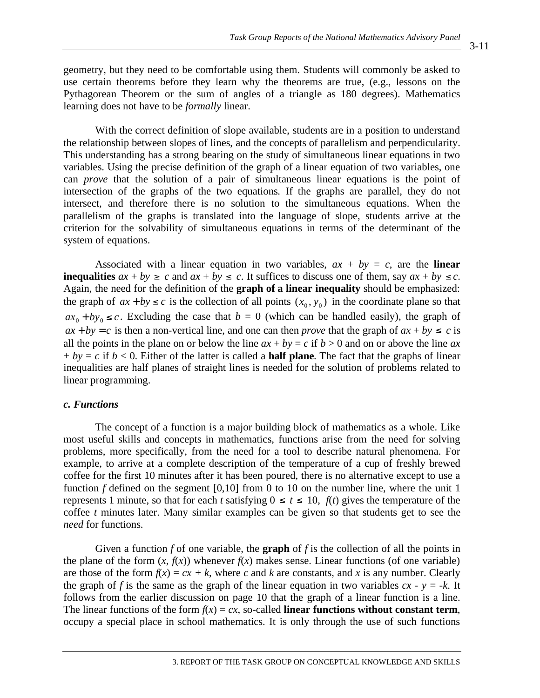geometry, but they need to be comfortable using them. Students will commonly be asked to use certain theorems before they learn why the theorems are true, (e.g., lessons on the Pythagorean Theorem or the sum of angles of a triangle as 180 degrees). Mathematics learning does not have to be *formally* linear.

With the correct definition of slope available, students are in a position to understand the relationship between slopes of lines, and the concepts of parallelism and perpendicularity. This understanding has a strong bearing on the study of simultaneous linear equations in two variables. Using the precise definition of the graph of a linear equation of two variables, one can *prove* that the solution of a pair of simultaneous linear equations is the point of intersection of the graphs of the two equations. If the graphs are parallel, they do not intersect, and therefore there is no solution to the simultaneous equations. When the parallelism of the graphs is translated into the language of slope, students arrive at the criterion for the solvability of simultaneous equations in terms of the determinant of the system of equations.

Associated with a linear equation in two variables,  $ax + by = c$ , are the **linear inequalities**  $ax + by \ge c$  and  $ax + by \le c$ . It suffices to discuss one of them, say  $ax + by \le c$ . Again, the need for the definition of the **graph of a linear inequality** should be emphasized: the graph of  $ax + by \le c$  is the collection of all points  $(x_0, y_0)$  in the coordinate plane so that  $ax_0 + by_0 \leq c$ . Excluding the case that  $b = 0$  (which can be handled easily), the graph of  $ax + by = c$  is then a non-vertical line, and one can then *prove* that the graph of  $ax + by \leq c$  is all the points in the plane on or below the line  $ax + by = c$  if  $b > 0$  and on or above the line  $ax$  $+ by = c$  if  $b < 0$ . Either of the latter is called a **half plane**. The fact that the graphs of linear inequalities are half planes of straight lines is needed for the solution of problems related to linear programming.

### *c. Functions*

The concept of a function is a major building block of mathematics as a whole. Like most useful skills and concepts in mathematics, functions arise from the need for solving problems, more specifically, from the need for a tool to describe natural phenomena. For example, to arrive at a complete description of the temperature of a cup of freshly brewed coffee for the first 10 minutes after it has been poured, there is no alternative except to use a function *f* defined on the segment [0,10] from 0 to 10 on the number line, where the unit 1 represents 1 minute, so that for each *t* satisfying  $0 \le t \le 10$ ,  $f(t)$  gives the temperature of the coffee *t* minutes later. Many similar examples can be given so that students get to see the *need* for functions.

Given a function *f* of one variable, the **graph** of *f* is the collection of all the points in the plane of the form  $(x, f(x))$  whenever  $f(x)$  makes sense. Linear functions (of one variable) are those of the form  $f(x) = cx + k$ , where *c* and *k* are constants, and *x* is any number. Clearly the graph of *f* is the same as the graph of the linear equation in two variables  $cx - y = -k$ . It follows from the earlier discussion on page 10 that the graph of a linear function is a line. The linear functions of the form  $f(x) = cx$ , so-called **linear functions without constant term**, occupy a special place in school mathematics. It is only through the use of such functions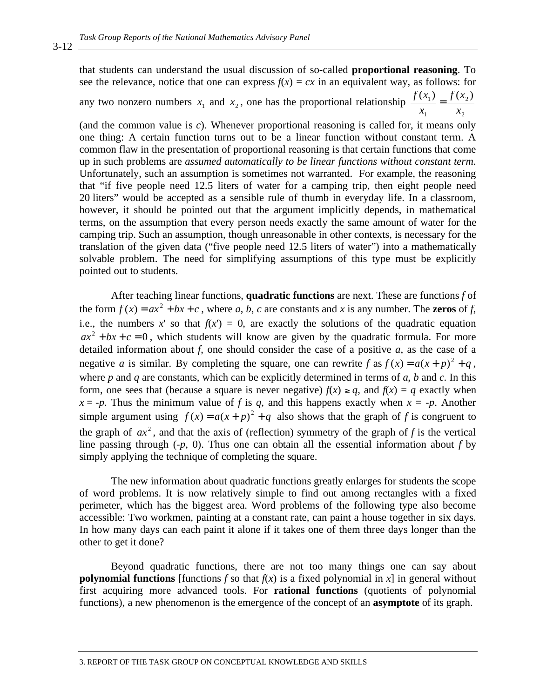that students can understand the usual discussion of so-called **proportional reasoning**. To see the relevance, notice that one can express  $f(x) = cx$  in an equivalent way, as follows: for any two nonzero numbers  $x_1$  and  $x_2$ , one has the proportional relationship 2  $(x_1)$   $f(x_2)$ *x xf x*  $\frac{f(x_1)}{x_2}$  =

2

1

(and the common value is *c*). Whenever proportional reasoning is called for, it means only one thing: A certain function turns out to be a linear function without constant term. A common flaw in the presentation of proportional reasoning is that certain functions that come up in such problems are *assumed automatically to be linear functions without constant term*. Unfortunately, such an assumption is sometimes not warranted. For example, the reasoning that "if five people need 12.5 liters of water for a camping trip, then eight people need 20 liters" would be accepted as a sensible rule of thumb in everyday life. In a classroom, however, it should be pointed out that the argument implicitly depends, in mathematical terms, on the assumption that every person needs exactly the same amount of water for the camping trip. Such an assumption, though unreasonable in other contexts, is necessary for the translation of the given data ("five people need 12.5 liters of water") into a mathematically solvable problem. The need for simplifying assumptions of this type must be explicitly pointed out to students.

After teaching linear functions, **quadratic functions** are next. These are functions *f* of the form  $f(x) = ax^2 + bx + c$ , where *a*, *b*, *c* are constants and *x* is any number. The **zeros** of *f*, i.e., the numbers *x*' so that  $f(x') = 0$ , are exactly the solutions of the quadratic equation  $ax^{2} + bx + c = 0$ , which students will know are given by the quadratic formula. For more detailed information about  $f$ , one should consider the case of a positive  $a$ , as the case of a negative *a* is similar. By completing the square, one can rewrite  $f$  as  $f(x) = a(x + p)^2 + q$ , where *p* and *q* are constants, which can be explicitly determined in terms of *a*, *b* and *c*. In this form, one sees that (because a square is never negative)  $f(x) \geq q$ , and  $f(x) = q$  exactly when  $x = -p$ . Thus the minimum value of *f* is *q*, and this happens exactly when  $x = -p$ . Another simple argument using  $f(x) = a(x + p)^2 + q$  also shows that the graph of *f* is congruent to the graph of  $ax^2$ , and that the axis of (reflection) symmetry of the graph of *f* is the vertical line passing through  $(-p, 0)$ . Thus one can obtain all the essential information about *f* by simply applying the technique of completing the square.

The new information about quadratic functions greatly enlarges for students the scope of word problems. It is now relatively simple to find out among rectangles with a fixed perimeter, which has the biggest area. Word problems of the following type also become accessible: Two workmen, painting at a constant rate, can paint a house together in six days. In how many days can each paint it alone if it takes one of them three days longer than the other to get it done?

Beyond quadratic functions, there are not too many things one can say about **polynomial functions** [functions *f* so that  $f(x)$  is a fixed polynomial in *x*] in general without first acquiring more advanced tools. For **rational functions** (quotients of polynomial functions), a new phenomenon is the emergence of the concept of an **asymptote** of its graph.

3-12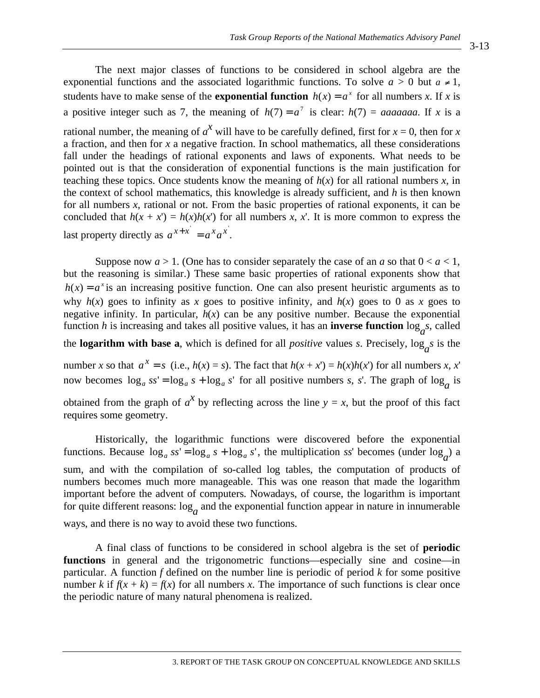3-13

The next major classes of functions to be considered in school algebra are the exponential functions and the associated logarithmic functions. To solve  $a > 0$  but  $a \ne 1$ , students have to make sense of the **exponential function**  $h(x) = a^x$  for all numbers *x*. If *x* is a positive integer such as 7, the meaning of  $h(7) = a^7$  is clear:  $h(7) = a$  *aaaaaaa*. If *x* is a rational number, the meaning of  $a^X$  will have to be carefully defined, first for  $x = 0$ , then for  $x$ a fraction, and then for *x* a negative fraction. In school mathematics, all these considerations fall under the headings of rational exponents and laws of exponents. What needs to be pointed out is that the consideration of exponential functions is the main justification for teaching these topics. Once students know the meaning of  $h(x)$  for all rational numbers  $x$ , in the context of school mathematics, this knowledge is already sufficient, and *h* is then known for all numbers *x*, rational or not. From the basic properties of rational exponents, it can be concluded that  $h(x + x') = h(x)h(x')$  for all numbers *x*, *x*'. It is more common to express the last property directly as  $a^{x+x} = a^x a^x$ .

Suppose now  $a > 1$ . (One has to consider separately the case of an *a* so that  $0 < a < 1$ , but the reasoning is similar.) These same basic properties of rational exponents show that  $h(x) = a^x$  is an increasing positive function. One can also present heuristic arguments as to why  $h(x)$  goes to infinity as *x* goes to positive infinity, and  $h(x)$  goes to 0 as *x* goes to negative infinity. In particular,  $h(x)$  can be any positive number. Because the exponential function *h* is increasing and takes all positive values, it has an **inverse function**  $\log_a s$ , called

the **logarithm with base a**, which is defined for all *positive* values *s*. Precisely,  $\log_a s$  is the

number *x* so that  $a^x = s$  (i.e.,  $h(x) = s$ ). The fact that  $h(x + x') = h(x)h(x')$  for all numbers *x*, *x*' now becomes  $\log_a ss' = \log_a s + \log_a s'$  for all positive numbers *s*, *s'*. The graph of  $\log_a$  is

obtained from the graph of  $a^x$  by reflecting across the line  $y = x$ , but the proof of this fact requires some geometry.

Historically, the logarithmic functions were discovered before the exponential functions. Because  $\log_a ss' = \log_a s + \log_a s'$ , the multiplication *ss*' becomes (under  $\log_a$ ) a sum, and with the compilation of so-called log tables, the computation of products of numbers becomes much more manageable. This was one reason that made the logarithm important before the advent of computers. Nowadays, of course, the logarithm is important for quite different reasons:  $\log_a$  and the exponential function appear in nature in innumerable ways, and there is no way to avoid these two functions.

A final class of functions to be considered in school algebra is the set of **periodic functions** in general and the trigonometric functions—especially sine and cosine—in particular. A function *f* defined on the number line is periodic of period *k* for some positive number *k* if  $f(x + k) = f(x)$  for all numbers *x*. The importance of such functions is clear once the periodic nature of many natural phenomena is realized.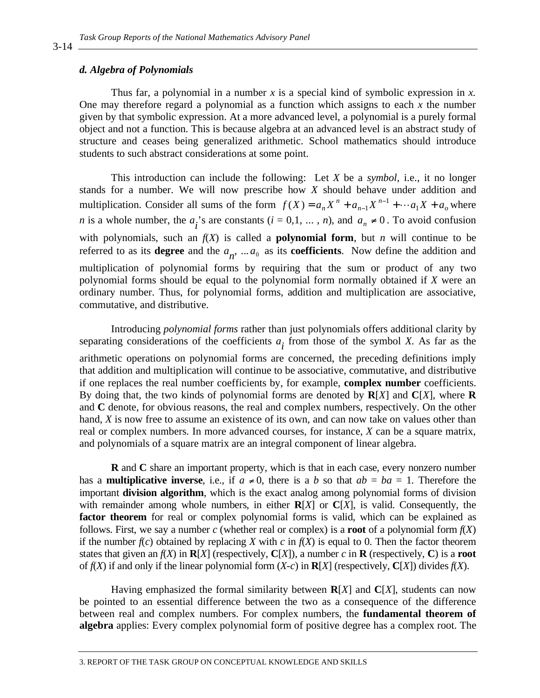### *d. Algebra of Polynomials*

Thus far, a polynomial in a number *x* is a special kind of symbolic expression in *x.* One may therefore regard a polynomial as a function which assigns to each *x* the number given by that symbolic expression. At a more advanced level, a polynomial is a purely formal object and not a function. This is because algebra at an advanced level is an abstract study of structure and ceases being generalized arithmetic. School mathematics should introduce students to such abstract considerations at some point.

This introduction can include the following: Let *X* be a *symbol*, i.e., it no longer stands for a number. We will now prescribe how *X* should behave under addition and multiplication. Consider all sums of the form  $f(X) = a_n X^n + a_{n-1} X^{n-1} + \cdots + a_1 X + a_0$ *n*  $f(X) = a_n X^n + a_{n-1} X^{n-1} + \cdots + a_1 X + a$  $(X) = a_n X^n + a_{n-1} X^{n-1} + \cdots + a_1 X + a_0$  where *n* is a whole number, the  $a_i$ 's are constants  $(i = 0,1, ..., n)$ , and  $a_n \neq 0$ . To avoid confusion with polynomials, such an  $f(X)$  is called a **polynomial form**, but *n* will continue to be referred to as its **degree** and the  $a_n$ , ...  $a_0$  as its **coefficients**. Now define the addition and multiplication of polynomial forms by requiring that the sum or product of any two polynomial forms should be equal to the polynomial form normally obtained if *X* were an ordinary number. Thus, for polynomial forms, addition and multiplication are associative, commutative, and distributive.

Introducing *polynomial forms* rather than just polynomials offers additional clarity by separating considerations of the coefficients  $a_i$  from those of the symbol *X*. As far as the

arithmetic operations on polynomial forms are concerned, the preceding definitions imply that addition and multiplication will continue to be associative, commutative, and distributive if one replaces the real number coefficients by, for example, **complex number** coefficients. By doing that, the two kinds of polynomial forms are denoted by **R**[*X*] and **C**[*X*], where **R** and **C** denote, for obvious reasons, the real and complex numbers, respectively. On the other hand, *X* is now free to assume an existence of its own, and can now take on values other than real or complex numbers. In more advanced courses, for instance, *X* can be a square matrix, and polynomials of a square matrix are an integral component of linear algebra.

**R** and **C** share an important property, which is that in each case, every nonzero number has a **multiplicative inverse**, i.e., if  $a \neq 0$ , there is a *b* so that  $ab = ba = 1$ . Therefore the important **division algorithm**, which is the exact analog among polynomial forms of division with remainder among whole numbers, in either **R**[*X*] or **C**[*X*], is valid. Consequently, the factor theorem for real or complex polynomial forms is valid, which can be explained as follows. First, we say a number *c* (whether real or complex) is a **root** of a polynomial form *f*(*X*) if the number  $f(c)$  obtained by replacing *X* with *c* in  $f(X)$  is equal to 0. Then the factor theorem states that given an  $f(X)$  in  $\mathbb{R}[X]$  (respectively,  $\mathbb{C}[X]$ ), a number *c* in  $\mathbb{R}$  (respectively, C) is a **root** of  $f(X)$  if and only if the linear polynomial form  $(X-c)$  in  $\mathbb{R}[X]$  (respectively,  $\mathbb{C}[X]$ ) divides  $f(X)$ .

Having emphasized the formal similarity between  $R[X]$  and  $C[X]$ , students can now be pointed to an essential difference between the two as a consequence of the difference between real and complex numbers. For complex numbers, the **fundamental theorem of algebra** applies: Every complex polynomial form of positive degree has a complex root. The

3. REPORT OF THE TASK GROUP ON CONCEPTUAL KNOWLEDGE AND SKILLS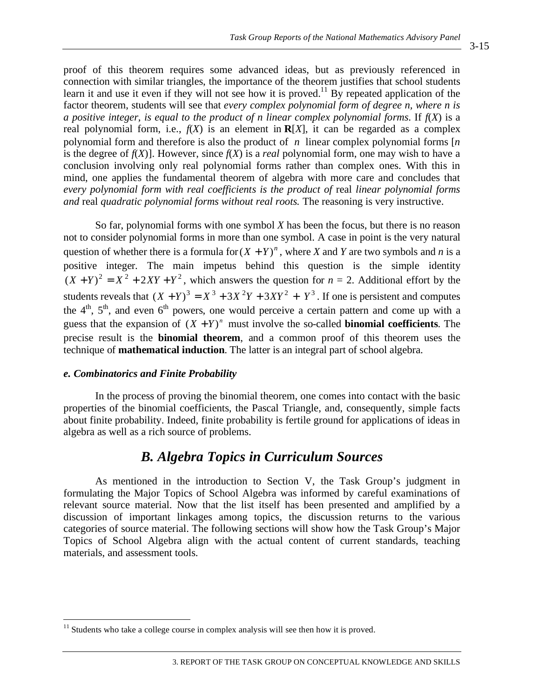proof of this theorem requires some advanced ideas, but as previously referenced in connection with similar triangles, the importance of the theorem justifies that school students learn it and use it even if they will not see how it is proved.<sup>11</sup> By repeated application of the factor theorem, students will see that *every complex polynomial form of degree n, where n is a positive integer, is equal to the product of n linear complex polynomial forms*. If *f*(*X*) is a real polynomial form, i.e.,  $f(X)$  is an element in  $R[X]$ , it can be regarded as a complex polynomial form and therefore is also the product of *n* linear complex polynomial forms [*n*  is the degree of  $f(X)$ ]. However, since  $f(X)$  is a *real* polynomial form, one may wish to have a conclusion involving only real polynomial forms rather than complex ones. With this in mind, one applies the fundamental theorem of algebra with more care and concludes that *every polynomial form with real coefficients is the product of* real *linear polynomial forms and* real *quadratic polynomial forms without real roots.* The reasoning is very instructive.

So far, polynomial forms with one symbol *X* has been the focus, but there is no reason not to consider polynomial forms in more than one symbol. A case in point is the very natural question of whether there is a formula for  $(X + Y)^n$ , where *X* and *Y* are two symbols and *n* is a positive integer. The main impetus behind this question is the simple identity  $(X + Y)^2 = X^2 + 2XY + Y^2$ , which answers the question for  $n = 2$ . Additional effort by the students reveals that  $(X + Y)^3 = X^3 + 3X^2Y + 3XY^2 + Y^3$ . If one is persistent and computes the  $4<sup>th</sup>$ ,  $5<sup>th</sup>$ , and even  $6<sup>th</sup>$  powers, one would perceive a certain pattern and come up with a guess that the expansion of  $(X + Y)^n$  must involve the so-called **binomial coefficients**. The precise result is the **binomial theorem**, and a common proof of this theorem uses the technique of **mathematical induction**. The latter is an integral part of school algebra.

#### *e. Combinatorics and Finite Probability*

 $\overline{a}$ 

In the process of proving the binomial theorem, one comes into contact with the basic properties of the binomial coefficients, the Pascal Triangle, and, consequently, simple facts about finite probability. Indeed, finite probability is fertile ground for applications of ideas in algebra as well as a rich source of problems.

## *B. Algebra Topics in Curriculum Sources*

As mentioned in the introduction to Section V, the Task Group's judgment in formulating the Major Topics of School Algebra was informed by careful examinations of relevant source material. Now that the list itself has been presented and amplified by a discussion of important linkages among topics, the discussion returns to the various categories of source material. The following sections will show how the Task Group's Major Topics of School Algebra align with the actual content of current standards, teaching materials, and assessment tools.

 $11$  Students who take a college course in complex analysis will see then how it is proved.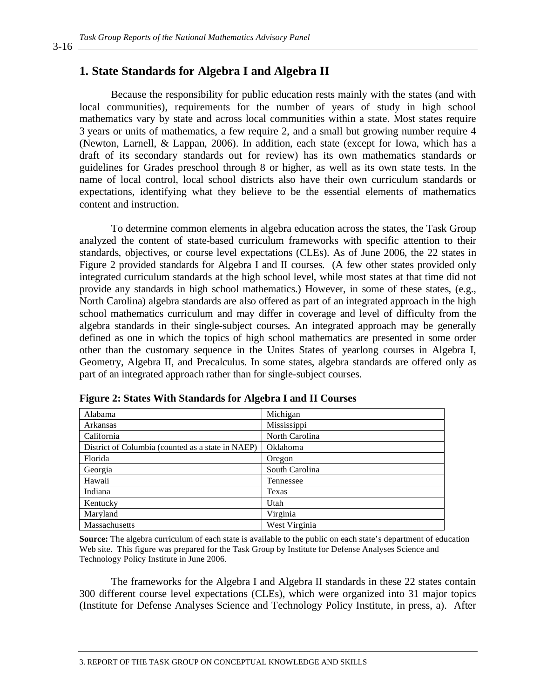## **1. State Standards for Algebra I and Algebra II**

Because the responsibility for public education rests mainly with the states (and with local communities), requirements for the number of years of study in high school mathematics vary by state and across local communities within a state. Most states require 3 years or units of mathematics, a few require 2, and a small but growing number require 4 (Newton, Larnell, & Lappan, 2006). In addition, each state (except for Iowa, which has a draft of its secondary standards out for review) has its own mathematics standards or guidelines for Grades preschool through 8 or higher, as well as its own state tests. In the name of local control, local school districts also have their own curriculum standards or expectations, identifying what they believe to be the essential elements of mathematics content and instruction.

To determine common elements in algebra education across the states, the Task Group analyzed the content of state-based curriculum frameworks with specific attention to their standards, objectives, or course level expectations (CLEs). As of June 2006, the 22 states in Figure 2 provided standards for Algebra I and II courses. (A few other states provided only integrated curriculum standards at the high school level, while most states at that time did not provide any standards in high school mathematics.) However, in some of these states, (e.g., North Carolina) algebra standards are also offered as part of an integrated approach in the high school mathematics curriculum and may differ in coverage and level of difficulty from the algebra standards in their single-subject courses. An integrated approach may be generally defined as one in which the topics of high school mathematics are presented in some order other than the customary sequence in the Unites States of yearlong courses in Algebra I, Geometry, Algebra II, and Precalculus. In some states, algebra standards are offered only as part of an integrated approach rather than for single-subject courses.

| Alabama                                           | Michigan        |
|---------------------------------------------------|-----------------|
| Arkansas                                          | Mississippi     |
| California                                        | North Carolina  |
| District of Columbia (counted as a state in NAEP) | <b>Oklahoma</b> |
| Florida                                           | Oregon          |
| Georgia                                           | South Carolina  |
| Hawaii                                            | Tennessee       |
| Indiana                                           | Texas           |
| Kentucky                                          | Utah            |
| Maryland                                          | Virginia        |
| Massachusetts                                     | West Virginia   |

**Figure 2: States With Standards for Algebra I and II Courses** 

**Source:** The algebra curriculum of each state is available to the public on each state's department of education Web site. This figure was prepared for the Task Group by Institute for Defense Analyses Science and Technology Policy Institute in June 2006.

The frameworks for the Algebra I and Algebra II standards in these 22 states contain 300 different course level expectations (CLEs), which were organized into 31 major topics (Institute for Defense Analyses Science and Technology Policy Institute, in press, a). After

3-16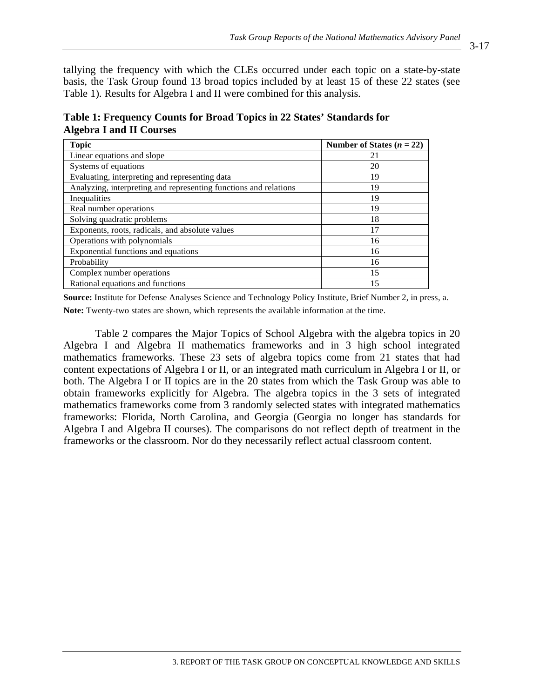tallying the frequency with which the CLEs occurred under each topic on a state-by-state basis, the Task Group found 13 broad topics included by at least 15 of these 22 states (see Table 1). Results for Algebra I and II were combined for this analysis.

**Table 1: Frequency Counts for Broad Topics in 22 States' Standards for Algebra I and II Courses** 

| <b>Topic</b>                                                     | Number of States $(n = 22)$ |
|------------------------------------------------------------------|-----------------------------|
| Linear equations and slope                                       | 21                          |
| Systems of equations                                             | 20                          |
| Evaluating, interpreting and representing data                   | 19                          |
| Analyzing, interpreting and representing functions and relations | 19                          |
| Inequalities                                                     | 19                          |
| Real number operations                                           | 19                          |
| Solving quadratic problems                                       | 18                          |
| Exponents, roots, radicals, and absolute values                  | 17                          |
| Operations with polynomials                                      | 16                          |
| Exponential functions and equations                              | 16                          |
| Probability                                                      | 16                          |
| Complex number operations                                        | 15                          |
| Rational equations and functions                                 | 15                          |

**Source:** Institute for Defense Analyses Science and Technology Policy Institute, Brief Number 2, in press, a. **Note:** Twenty-two states are shown, which represents the available information at the time.

Table 2 compares the Major Topics of School Algebra with the algebra topics in 20 Algebra I and Algebra II mathematics frameworks and in 3 high school integrated mathematics frameworks. These 23 sets of algebra topics come from 21 states that had content expectations of Algebra I or II, or an integrated math curriculum in Algebra I or II, or both. The Algebra I or II topics are in the 20 states from which the Task Group was able to obtain frameworks explicitly for Algebra. The algebra topics in the 3 sets of integrated mathematics frameworks come from 3 randomly selected states with integrated mathematics frameworks: Florida, North Carolina, and Georgia (Georgia no longer has standards for Algebra I and Algebra II courses). The comparisons do not reflect depth of treatment in the frameworks or the classroom. Nor do they necessarily reflect actual classroom content.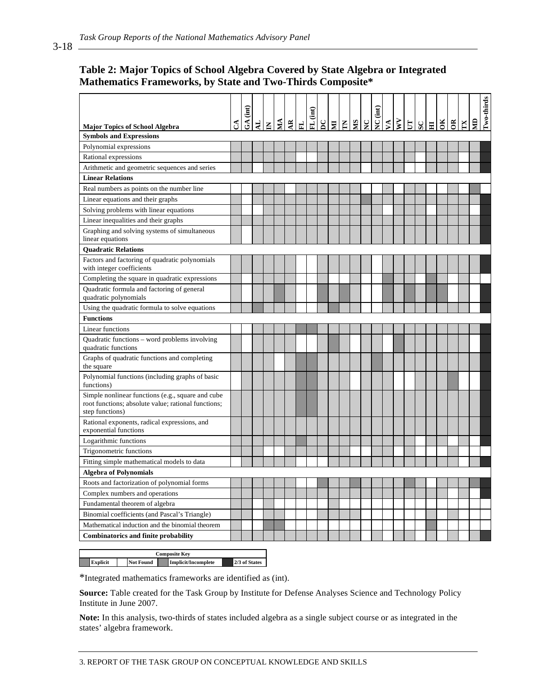## **Table 2: Major Topics of School Algebra Covered by State Algebra or Integrated Mathematics Frameworks, by State and Two-Thirds Composite\***

| <b>Major Topics of School Algebra</b>                                                                                       | నే | (int)<br>$\mathfrak{F}$ | $\mathbf{F}$ | $\mathbf{z}$ | $\overline{\mathbf{M}}$ | $\tilde{z}$ | 군 | FL (int) | $\mathbf{S}$ | g E | SIN | $\mathbf{C}$ | $NC$ (int) |  | $s$ $ s $ | $\Xi$ | OК | $\tilde{a}$ | $\mathbb{E}$ | g | Two-thirds |
|-----------------------------------------------------------------------------------------------------------------------------|----|-------------------------|--------------|--------------|-------------------------|-------------|---|----------|--------------|-----|-----|--------------|------------|--|-----------|-------|----|-------------|--------------|---|------------|
| <b>Symbols and Expressions</b>                                                                                              |    |                         |              |              |                         |             |   |          |              |     |     |              |            |  |           |       |    |             |              |   |            |
| Polynomial expressions                                                                                                      |    |                         |              |              |                         |             |   |          |              |     |     |              |            |  |           |       |    |             |              |   |            |
| Rational expressions                                                                                                        |    |                         |              |              |                         |             |   |          |              |     |     |              |            |  |           |       |    |             |              |   |            |
| Arithmetic and geometric sequences and series                                                                               |    |                         |              |              |                         |             |   |          |              |     |     |              |            |  |           |       |    |             |              |   |            |
| <b>Linear Relations</b>                                                                                                     |    |                         |              |              |                         |             |   |          |              |     |     |              |            |  |           |       |    |             |              |   |            |
| Real numbers as points on the number line                                                                                   |    |                         |              |              |                         |             |   |          |              |     |     |              |            |  |           |       |    |             |              |   |            |
| Linear equations and their graphs                                                                                           |    |                         |              |              |                         |             |   |          |              |     |     |              |            |  |           |       |    |             |              |   |            |
| Solving problems with linear equations                                                                                      |    |                         |              |              |                         |             |   |          |              |     |     |              |            |  |           |       |    |             |              |   |            |
| Linear inequalities and their graphs                                                                                        |    |                         |              |              |                         |             |   |          |              |     |     |              |            |  |           |       |    |             |              |   |            |
| Graphing and solving systems of simultaneous                                                                                |    |                         |              |              |                         |             |   |          |              |     |     |              |            |  |           |       |    |             |              |   |            |
| linear equations                                                                                                            |    |                         |              |              |                         |             |   |          |              |     |     |              |            |  |           |       |    |             |              |   |            |
| <b>Ouadratic Relations</b>                                                                                                  |    |                         |              |              |                         |             |   |          |              |     |     |              |            |  |           |       |    |             |              |   |            |
| Factors and factoring of quadratic polynomials<br>with integer coefficients                                                 |    |                         |              |              |                         |             |   |          |              |     |     |              |            |  |           |       |    |             |              |   |            |
| Completing the square in quadratic expressions                                                                              |    |                         |              |              |                         |             |   |          |              |     |     |              |            |  |           |       |    |             |              |   |            |
| Quadratic formula and factoring of general<br>quadratic polynomials                                                         |    |                         |              |              |                         |             |   |          |              |     |     |              |            |  |           |       |    |             |              |   |            |
| Using the quadratic formula to solve equations                                                                              |    |                         |              |              |                         |             |   |          |              |     |     |              |            |  |           |       |    |             |              |   |            |
| <b>Functions</b>                                                                                                            |    |                         |              |              |                         |             |   |          |              |     |     |              |            |  |           |       |    |             |              |   |            |
| Linear functions                                                                                                            |    |                         |              |              |                         |             |   |          |              |     |     |              |            |  |           |       |    |             |              |   |            |
| Quadratic functions - word problems involving<br>quadratic functions                                                        |    |                         |              |              |                         |             |   |          |              |     |     |              |            |  |           |       |    |             |              |   |            |
| Graphs of quadratic functions and completing<br>the square                                                                  |    |                         |              |              |                         |             |   |          |              |     |     |              |            |  |           |       |    |             |              |   |            |
| Polynomial functions (including graphs of basic<br>functions)                                                               |    |                         |              |              |                         |             |   |          |              |     |     |              |            |  |           |       |    |             |              |   |            |
| Simple nonlinear functions (e.g., square and cube<br>root functions; absolute value; rational functions;<br>step functions) |    |                         |              |              |                         |             |   |          |              |     |     |              |            |  |           |       |    |             |              |   |            |
| Rational exponents, radical expressions, and<br>exponential functions                                                       |    |                         |              |              |                         |             |   |          |              |     |     |              |            |  |           |       |    |             |              |   |            |
| Logarithmic functions                                                                                                       |    |                         |              |              |                         |             |   |          |              |     |     |              |            |  |           |       |    |             |              |   |            |
| Trigonometric functions                                                                                                     |    |                         |              |              |                         |             |   |          |              |     |     |              |            |  |           |       |    |             |              |   |            |
| Fitting simple mathematical models to data                                                                                  |    |                         |              |              |                         |             |   |          |              |     |     |              |            |  |           |       |    |             |              |   |            |
| <b>Algebra of Polynomials</b>                                                                                               |    |                         |              |              |                         |             |   |          |              |     |     |              |            |  |           |       |    |             |              |   |            |
| Roots and factorization of polynomial forms                                                                                 |    |                         |              |              |                         |             |   |          |              |     |     |              |            |  |           |       |    |             |              |   |            |
| Complex numbers and operations                                                                                              |    |                         |              |              |                         |             |   |          |              |     |     |              |            |  |           |       |    |             |              |   |            |
| Fundamental theorem of algebra                                                                                              |    |                         |              |              |                         |             |   |          |              |     |     |              |            |  |           |       |    |             |              |   |            |
| Binomial coefficients (and Pascal's Triangle)                                                                               |    |                         |              |              |                         |             |   |          |              |     |     |              |            |  |           |       |    |             |              |   |            |
| Mathematical induction and the binomial theorem                                                                             |    |                         |              |              |                         |             |   |          |              |     |     |              |            |  |           |       |    |             |              |   |            |
| <b>Combinatorics and finite probability</b>                                                                                 |    |                         |              |              |                         |             |   |          |              |     |     |              |            |  |           |       |    |             |              |   |            |
|                                                                                                                             |    |                         |              |              |                         |             |   |          |              |     |     |              |            |  |           |       |    |             |              |   |            |
| <b>Composite Key</b>                                                                                                        |    |                         |              |              |                         |             |   |          |              |     |     |              |            |  |           |       |    |             |              |   |            |

**Explicit** Not Found Implicit/Incomplete 2/3 of States

\*Integrated mathematics frameworks are identified as (int).

**Source:** Table created for the Task Group by Institute for Defense Analyses Science and Technology Policy Institute in June 2007.

**Note:** In this analysis, two-thirds of states included algebra as a single subject course or as integrated in the states' algebra framework.

3-18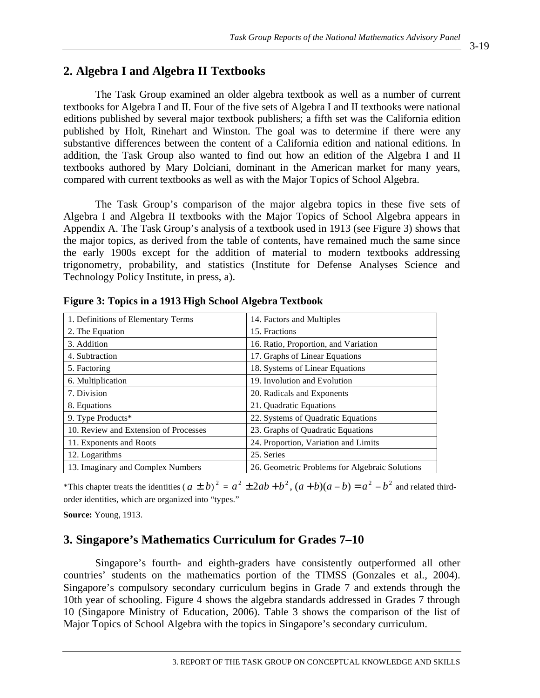## **2. Algebra I and Algebra II Textbooks**

The Task Group examined an older algebra textbook as well as a number of current textbooks for Algebra I and II. Four of the five sets of Algebra I and II textbooks were national editions published by several major textbook publishers; a fifth set was the California edition published by Holt, Rinehart and Winston. The goal was to determine if there were any substantive differences between the content of a California edition and national editions. In addition, the Task Group also wanted to find out how an edition of the Algebra I and II textbooks authored by Mary Dolciani, dominant in the American market for many years, compared with current textbooks as well as with the Major Topics of School Algebra.

The Task Group's comparison of the major algebra topics in these five sets of Algebra I and Algebra II textbooks with the Major Topics of School Algebra appears in Appendix A. The Task Group's analysis of a textbook used in 1913 (see Figure 3) shows that the major topics, as derived from the table of contents, have remained much the same since the early 1900s except for the addition of material to modern textbooks addressing trigonometry, probability, and statistics (Institute for Defense Analyses Science and Technology Policy Institute, in press, a).

| 1. Definitions of Elementary Terms    | 14. Factors and Multiples                      |
|---------------------------------------|------------------------------------------------|
| 2. The Equation                       | 15. Fractions                                  |
| 3. Addition                           | 16. Ratio, Proportion, and Variation           |
| 4. Subtraction                        | 17. Graphs of Linear Equations                 |
| 5. Factoring                          | 18. Systems of Linear Equations                |
| 6. Multiplication                     | 19. Involution and Evolution                   |
| 7. Division                           | 20. Radicals and Exponents                     |
| 8. Equations                          | 21. Quadratic Equations                        |
| 9. Type Products*                     | 22. Systems of Quadratic Equations             |
| 10. Review and Extension of Processes | 23. Graphs of Quadratic Equations              |
| 11. Exponents and Roots               | 24. Proportion, Variation and Limits           |
| 12. Logarithms                        | 25. Series                                     |
| 13. Imaginary and Complex Numbers     | 26. Geometric Problems for Algebraic Solutions |

**Figure 3: Topics in a 1913 High School Algebra Textbook** 

\*This chapter treats the identities ( $a \pm b$ )<sup>2</sup> =  $a^2 \pm 2ab + b^2$ ,  $(a + b)(a - b) = a^2 - b^2$  and related thirdorder identities, which are organized into "types."

**Source:** Young, 1913.

## **3. Singapore's Mathematics Curriculum for Grades 7–10**

Singapore's fourth- and eighth-graders have consistently outperformed all other countries' students on the mathematics portion of the TIMSS (Gonzales et al., 2004). Singapore's compulsory secondary curriculum begins in Grade 7 and extends through the 10th year of schooling. Figure 4 shows the algebra standards addressed in Grades 7 through 10 (Singapore Ministry of Education, 2006). Table 3 shows the comparison of the list of Major Topics of School Algebra with the topics in Singapore's secondary curriculum.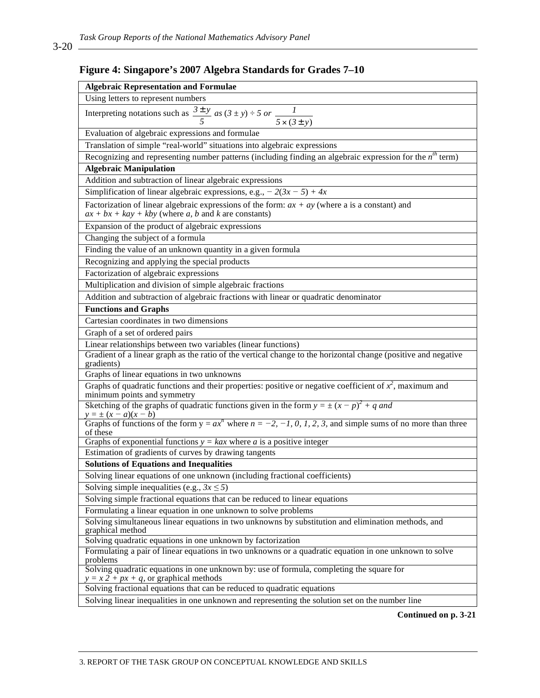## **Figure 4: Singapore's 2007 Algebra Standards for Grades 7–10**

| <b>Algebraic Representation and Formulae</b>                                                                                                               |
|------------------------------------------------------------------------------------------------------------------------------------------------------------|
| Using letters to represent numbers                                                                                                                         |
| Interpreting notations such as $\frac{3 \pm y}{5}$ as $(3 \pm y) \div 5$ or $\frac{1}{5 \times (3 \pm y)}$                                                 |
| Evaluation of algebraic expressions and formulae                                                                                                           |
| Translation of simple "real-world" situations into algebraic expressions                                                                                   |
| Recognizing and representing number patterns (including finding an algebraic expression for the $n^{th}$ term)                                             |
| <b>Algebraic Manipulation</b>                                                                                                                              |
| Addition and subtraction of linear algebraic expressions                                                                                                   |
| Simplification of linear algebraic expressions, e.g., $-2(3x-5) + 4x$                                                                                      |
| Factorization of linear algebraic expressions of the form: $ax + ay$ (where a is a constant) and<br>$ax + bx + kay + kby$ (where a, b and k are constants) |
| Expansion of the product of algebraic expressions                                                                                                          |
| Changing the subject of a formula                                                                                                                          |
| Finding the value of an unknown quantity in a given formula                                                                                                |
| Recognizing and applying the special products                                                                                                              |
| Factorization of algebraic expressions                                                                                                                     |
| Multiplication and division of simple algebraic fractions                                                                                                  |
| Addition and subtraction of algebraic fractions with linear or quadratic denominator                                                                       |
| <b>Functions and Graphs</b>                                                                                                                                |
| Cartesian coordinates in two dimensions                                                                                                                    |
| Graph of a set of ordered pairs                                                                                                                            |
| Linear relationships between two variables (linear functions)                                                                                              |
| Gradient of a linear graph as the ratio of the vertical change to the horizontal change (positive and negative<br>gradients)                               |
| Graphs of linear equations in two unknowns                                                                                                                 |
| Graphs of quadratic functions and their properties: positive or negative coefficient of $x^2$ , maximum and<br>minimum points and symmetry                 |
| Sketching of the graphs of quadratic functions given in the form $y = \pm (x - p)^2 + q$ and                                                               |
| $y = \pm (x - a)(x - b)$<br>Graphs of functions of the form $y = ax^n$ where $n = -2, -1, 0, 1, 2, 3$ , and simple sums of no more than three<br>of these  |
| Graphs of exponential functions $y = kax$ where a is a positive integer                                                                                    |
| Estimation of gradients of curves by drawing tangents                                                                                                      |
| <b>Solutions of Equations and Inequalities</b>                                                                                                             |
| Solving linear equations of one unknown (including fractional coefficients)                                                                                |
| Solving simple inequalities (e.g., $3x \le 5$ )                                                                                                            |
| Solving simple fractional equations that can be reduced to linear equations                                                                                |
| Formulating a linear equation in one unknown to solve problems                                                                                             |
| Solving simultaneous linear equations in two unknowns by substitution and elimination methods, and<br>graphical method                                     |
| Solving quadratic equations in one unknown by factorization                                                                                                |
| Formulating a pair of linear equations in two unknowns or a quadratic equation in one unknown to solve<br>problems                                         |
| Solving quadratic equations in one unknown by: use of formula, completing the square for<br>$y = x \overline{2} + px + q$ , or graphical methods           |
| Solving fractional equations that can be reduced to quadratic equations                                                                                    |
| Solving linear inequalities in one unknown and representing the solution set on the number line                                                            |

**Continued on p. 3-21**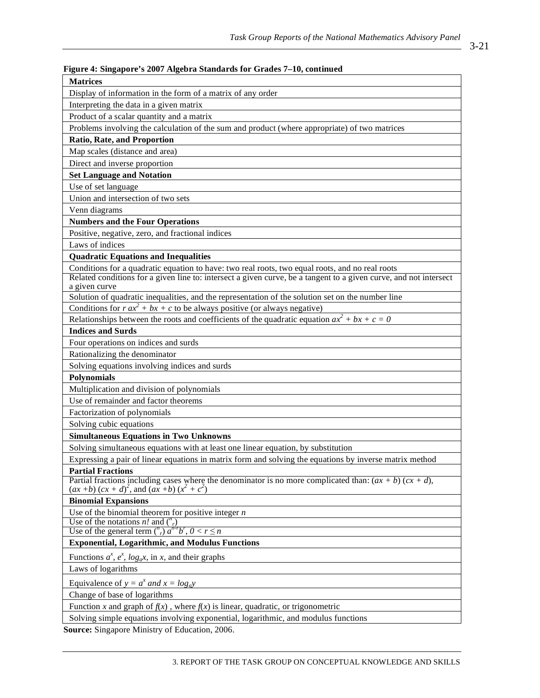| Figure 4: Singapore's 2007 Algebra Standards for Grades 7-10, continued                                                                                                                                              |
|----------------------------------------------------------------------------------------------------------------------------------------------------------------------------------------------------------------------|
| <b>Matrices</b>                                                                                                                                                                                                      |
| Display of information in the form of a matrix of any order                                                                                                                                                          |
| Interpreting the data in a given matrix                                                                                                                                                                              |
| Product of a scalar quantity and a matrix                                                                                                                                                                            |
| Problems involving the calculation of the sum and product (where appropriate) of two matrices                                                                                                                        |
| Ratio, Rate, and Proportion                                                                                                                                                                                          |
| Map scales (distance and area)                                                                                                                                                                                       |
| Direct and inverse proportion                                                                                                                                                                                        |
| <b>Set Language and Notation</b>                                                                                                                                                                                     |
| Use of set language                                                                                                                                                                                                  |
| Union and intersection of two sets                                                                                                                                                                                   |
| Venn diagrams                                                                                                                                                                                                        |
| <b>Numbers and the Four Operations</b>                                                                                                                                                                               |
| Positive, negative, zero, and fractional indices                                                                                                                                                                     |
| Laws of indices                                                                                                                                                                                                      |
|                                                                                                                                                                                                                      |
| <b>Quadratic Equations and Inequalities</b>                                                                                                                                                                          |
| Conditions for a quadratic equation to have: two real roots, two equal roots, and no real roots<br>Related conditions for a given line to: intersect a given curve, be a tangent to a given curve, and not intersect |
| a given curve                                                                                                                                                                                                        |
| Solution of quadratic inequalities, and the representation of the solution set on the number line                                                                                                                    |
| Conditions for $r ax^2 + bx + c$ to be always positive (or always negative)                                                                                                                                          |
| Relationships between the roots and coefficients of the quadratic equation $ax^2 + bx + c = 0$                                                                                                                       |
| <b>Indices and Surds</b>                                                                                                                                                                                             |
| Four operations on indices and surds                                                                                                                                                                                 |
| Rationalizing the denominator                                                                                                                                                                                        |
| Solving equations involving indices and surds                                                                                                                                                                        |
| <b>Polynomials</b>                                                                                                                                                                                                   |
| Multiplication and division of polynomials                                                                                                                                                                           |
| Use of remainder and factor theorems                                                                                                                                                                                 |
| Factorization of polynomials                                                                                                                                                                                         |
| Solving cubic equations                                                                                                                                                                                              |
| <b>Simultaneous Equations in Two Unknowns</b>                                                                                                                                                                        |
| Solving simultaneous equations with at least one linear equation, by substitution                                                                                                                                    |
| Expressing a pair of linear equations in matrix form and solving the equations by inverse matrix method                                                                                                              |
| <b>Partial Fractions</b>                                                                                                                                                                                             |
| Partial fractions including cases where the denominator is no more complicated than: $(ax + b)(cx + d)$ ,                                                                                                            |
| $(ax + b) (cx + d)^2$ , and $(ax + b) (x^2 + c^2)$                                                                                                                                                                   |
| <b>Binomial Expansions</b>                                                                                                                                                                                           |
| Use of the binomial theorem for positive integer $n$                                                                                                                                                                 |
| Use of the notations <i>n!</i> and $\binom{n}{r}$                                                                                                                                                                    |
| Use of the general term $\binom{n}{r} a^{n-r} b^r$ , $0 < r \le n$                                                                                                                                                   |
| <b>Exponential, Logarithmic, and Modulus Functions</b>                                                                                                                                                               |
| Functions $a^x$ , $e^x$ , $\log_a x$ , in x, and their graphs                                                                                                                                                        |
| Laws of logarithms                                                                                                                                                                                                   |
| Equivalence of $y = a^x$ and $x = log_a y$                                                                                                                                                                           |
| Change of base of logarithms                                                                                                                                                                                         |
| Function x and graph of $f(x)$ , where $f(x)$ is linear, quadratic, or trigonometric                                                                                                                                 |
| Solving simple equations involving exponential, logarithmic, and modulus functions                                                                                                                                   |
|                                                                                                                                                                                                                      |

**Source:** Singapore Ministry of Education, 2006.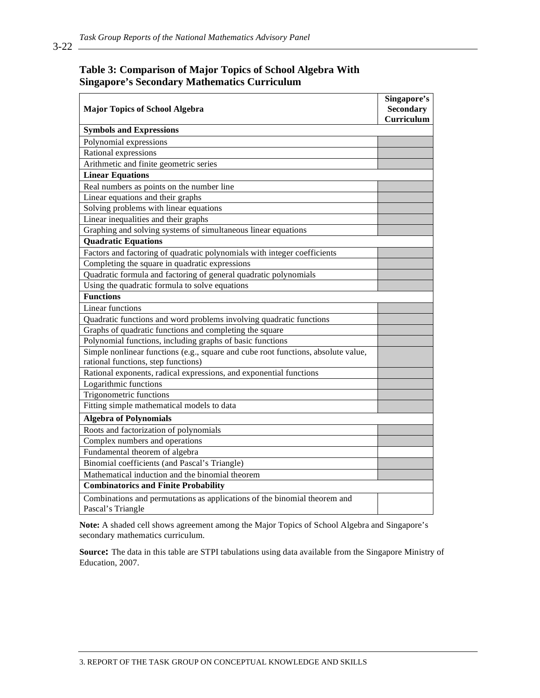#### **Table 3: Comparison of Major Topics of School Algebra With Singapore's Secondary Mathematics Curriculum**

|                                                                                                | Singapore's      |
|------------------------------------------------------------------------------------------------|------------------|
| <b>Major Topics of School Algebra</b>                                                          | <b>Secondary</b> |
|                                                                                                | Curriculum       |
| <b>Symbols and Expressions</b>                                                                 |                  |
| Polynomial expressions                                                                         |                  |
| Rational expressions                                                                           |                  |
| Arithmetic and finite geometric series                                                         |                  |
| <b>Linear Equations</b>                                                                        |                  |
| Real numbers as points on the number line                                                      |                  |
| Linear equations and their graphs                                                              |                  |
| Solving problems with linear equations                                                         |                  |
| Linear inequalities and their graphs                                                           |                  |
| Graphing and solving systems of simultaneous linear equations                                  |                  |
| <b>Quadratic Equations</b>                                                                     |                  |
| Factors and factoring of quadratic polynomials with integer coefficients                       |                  |
| Completing the square in quadratic expressions                                                 |                  |
| Quadratic formula and factoring of general quadratic polynomials                               |                  |
| Using the quadratic formula to solve equations                                                 |                  |
| <b>Functions</b>                                                                               |                  |
| <b>Linear functions</b>                                                                        |                  |
| Quadratic functions and word problems involving quadratic functions                            |                  |
| Graphs of quadratic functions and completing the square                                        |                  |
| Polynomial functions, including graphs of basic functions                                      |                  |
| Simple nonlinear functions (e.g., square and cube root functions, absolute value,              |                  |
| rational functions, step functions)                                                            |                  |
| Rational exponents, radical expressions, and exponential functions                             |                  |
| Logarithmic functions                                                                          |                  |
| Trigonometric functions                                                                        |                  |
| Fitting simple mathematical models to data                                                     |                  |
| <b>Algebra of Polynomials</b>                                                                  |                  |
| Roots and factorization of polynomials                                                         |                  |
| Complex numbers and operations                                                                 |                  |
| Fundamental theorem of algebra                                                                 |                  |
| Binomial coefficients (and Pascal's Triangle)                                                  |                  |
| Mathematical induction and the binomial theorem                                                |                  |
| <b>Combinatorics and Finite Probability</b>                                                    |                  |
| Combinations and permutations as applications of the binomial theorem and<br>Pascal's Triangle |                  |

**Note:** A shaded cell shows agreement among the Major Topics of School Algebra and Singapore's secondary mathematics curriculum.

**Source:** The data in this table are STPI tabulations using data available from the Singapore Ministry of Education, 2007.

3-22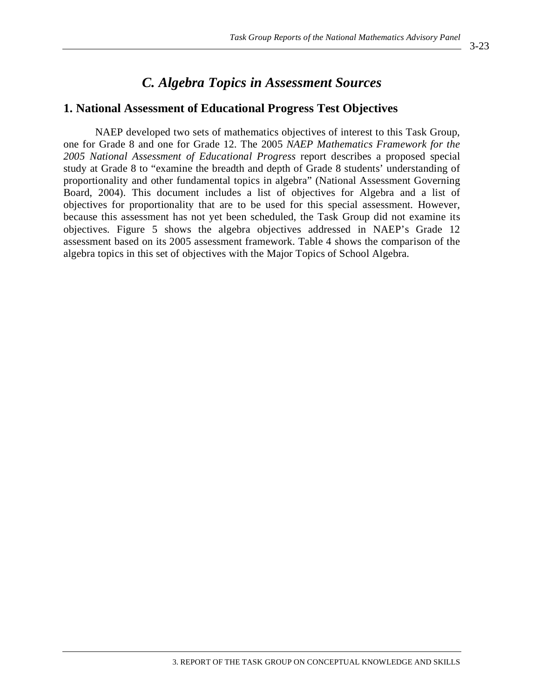# *C. Algebra Topics in Assessment Sources*

### **1. National Assessment of Educational Progress Test Objectives**

NAEP developed two sets of mathematics objectives of interest to this Task Group, one for Grade 8 and one for Grade 12. The 2005 *NAEP Mathematics Framework for the 2005 National Assessment of Educational Progress* report describes a proposed special study at Grade 8 to "examine the breadth and depth of Grade 8 students' understanding of proportionality and other fundamental topics in algebra" (National Assessment Governing Board, 2004). This document includes a list of objectives for Algebra and a list of objectives for proportionality that are to be used for this special assessment. However, because this assessment has not yet been scheduled, the Task Group did not examine its objectives. Figure 5 shows the algebra objectives addressed in NAEP's Grade 12 assessment based on its 2005 assessment framework. Table 4 shows the comparison of the algebra topics in this set of objectives with the Major Topics of School Algebra.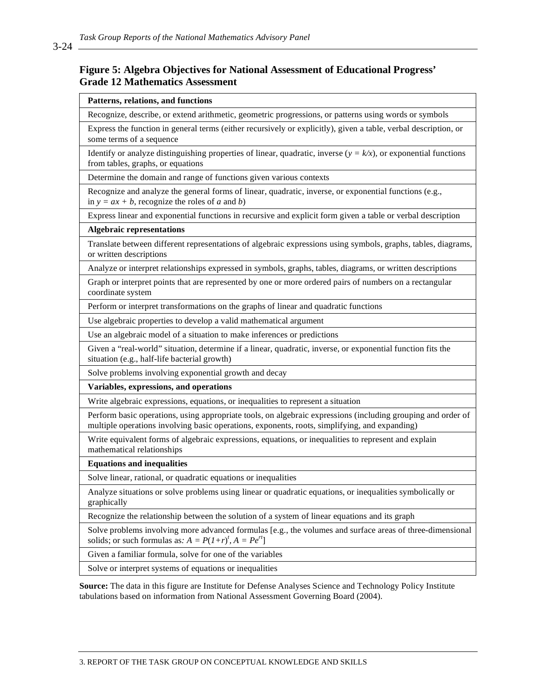#### **Figure 5: Algebra Objectives for National Assessment of Educational Progress' Grade 12 Mathematics Assessment**

#### **Patterns, relations, and functions**

Recognize, describe, or extend arithmetic, geometric progressions, or patterns using words or symbols

Express the function in general terms (either recursively or explicitly), given a table, verbal description, or some terms of a sequence

Identify or analyze distinguishing properties of linear, quadratic, inverse  $(y = k/x)$ , or exponential functions from tables, graphs, or equations

Determine the domain and range of functions given various contexts

Recognize and analyze the general forms of linear, quadratic, inverse, or exponential functions (e.g., in  $y = ax + b$ , recognize the roles of *a* and *b*)

Express linear and exponential functions in recursive and explicit form given a table or verbal description

#### **Algebraic representations**

Translate between different representations of algebraic expressions using symbols, graphs, tables, diagrams, or written descriptions

Analyze or interpret relationships expressed in symbols, graphs, tables, diagrams, or written descriptions

Graph or interpret points that are represented by one or more ordered pairs of numbers on a rectangular coordinate system

Perform or interpret transformations on the graphs of linear and quadratic functions

Use algebraic properties to develop a valid mathematical argument

Use an algebraic model of a situation to make inferences or predictions

Given a "real-world" situation, determine if a linear, quadratic, inverse, or exponential function fits the situation (e.g., half-life bacterial growth)

Solve problems involving exponential growth and decay

**Variables, expressions, and operations** 

Write algebraic expressions, equations, or inequalities to represent a situation

Perform basic operations, using appropriate tools, on algebraic expressions (including grouping and order of multiple operations involving basic operations, exponents, roots, simplifying, and expanding)

Write equivalent forms of algebraic expressions, equations, or inequalities to represent and explain mathematical relationships

**Equations and inequalities** 

Solve linear, rational, or quadratic equations or inequalities

Analyze situations or solve problems using linear or quadratic equations, or inequalities symbolically or graphically

Recognize the relationship between the solution of a system of linear equations and its graph

Solve problems involving more advanced formulas [e.g., the volumes and surface areas of three-dimensional solids; or such formulas as:  $A = P(1+r)^t$ ,  $A = Pe^{rt}$ 

Given a familiar formula, solve for one of the variables

Solve or interpret systems of equations or inequalities

**Source:** The data in this figure are Institute for Defense Analyses Science and Technology Policy Institute tabulations based on information from National Assessment Governing Board (2004).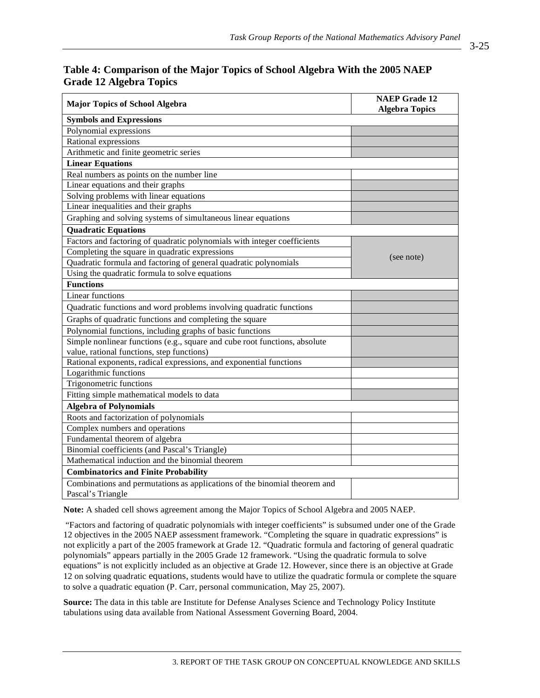| Table 4: Comparison of the Major Topics of School Algebra With the 2005 NAEP |  |  |
|------------------------------------------------------------------------------|--|--|
| <b>Grade 12 Algebra Topics</b>                                               |  |  |

| <b>Major Topics of School Algebra</b>                                      | <b>NAEP Grade 12</b><br><b>Algebra Topics</b> |
|----------------------------------------------------------------------------|-----------------------------------------------|
| <b>Symbols and Expressions</b>                                             |                                               |
| Polynomial expressions                                                     |                                               |
| Rational expressions                                                       |                                               |
| Arithmetic and finite geometric series                                     |                                               |
| <b>Linear Equations</b>                                                    |                                               |
| Real numbers as points on the number line                                  |                                               |
| Linear equations and their graphs                                          |                                               |
| Solving problems with linear equations                                     |                                               |
| Linear inequalities and their graphs                                       |                                               |
| Graphing and solving systems of simultaneous linear equations              |                                               |
| <b>Quadratic Equations</b>                                                 |                                               |
| Factors and factoring of quadratic polynomials with integer coefficients   |                                               |
| Completing the square in quadratic expressions                             | (see note)                                    |
| Quadratic formula and factoring of general quadratic polynomials           |                                               |
| Using the quadratic formula to solve equations                             |                                               |
| <b>Functions</b>                                                           |                                               |
| <b>Linear functions</b>                                                    |                                               |
| Quadratic functions and word problems involving quadratic functions        |                                               |
| Graphs of quadratic functions and completing the square                    |                                               |
| Polynomial functions, including graphs of basic functions                  |                                               |
| Simple nonlinear functions (e.g., square and cube root functions, absolute |                                               |
| value, rational functions, step functions)                                 |                                               |
| Rational exponents, radical expressions, and exponential functions         |                                               |
| Logarithmic functions                                                      |                                               |
| Trigonometric functions                                                    |                                               |
| Fitting simple mathematical models to data                                 |                                               |
| <b>Algebra of Polynomials</b>                                              |                                               |
| Roots and factorization of polynomials                                     |                                               |
| Complex numbers and operations                                             |                                               |
| Fundamental theorem of algebra                                             |                                               |
| Binomial coefficients (and Pascal's Triangle)                              |                                               |
| Mathematical induction and the binomial theorem                            |                                               |
| <b>Combinatorics and Finite Probability</b>                                |                                               |
| Combinations and permutations as applications of the binomial theorem and  |                                               |
| Pascal's Triangle                                                          |                                               |

**Note:** A shaded cell shows agreement among the Major Topics of School Algebra and 2005 NAEP.

 "Factors and factoring of quadratic polynomials with integer coefficients" is subsumed under one of the Grade 12 objectives in the 2005 NAEP assessment framework. "Completing the square in quadratic expressions" is not explicitly a part of the 2005 framework at Grade 12. "Quadratic formula and factoring of general quadratic polynomials" appears partially in the 2005 Grade 12 framework. "Using the quadratic formula to solve equations" is not explicitly included as an objective at Grade 12. However, since there is an objective at Grade 12 on solving quadratic equations, students would have to utilize the quadratic formula or complete the square to solve a quadratic equation (P. Carr, personal communication, May 25, 2007).

**Source:** The data in this table are Institute for Defense Analyses Science and Technology Policy Institute tabulations using data available from National Assessment Governing Board, 2004.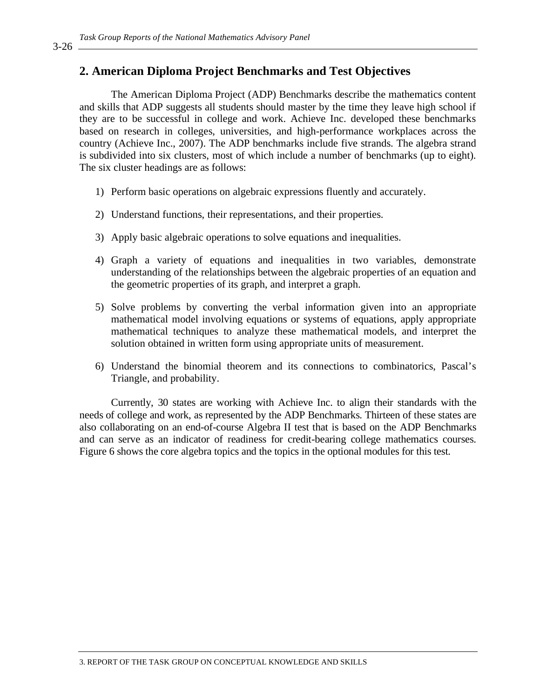### **2. American Diploma Project Benchmarks and Test Objectives**

The American Diploma Project (ADP) Benchmarks describe the mathematics content and skills that ADP suggests all students should master by the time they leave high school if they are to be successful in college and work. Achieve Inc. developed these benchmarks based on research in colleges, universities, and high-performance workplaces across the country (Achieve Inc., 2007). The ADP benchmarks include five strands. The algebra strand is subdivided into six clusters, most of which include a number of benchmarks (up to eight). The six cluster headings are as follows:

- 1) Perform basic operations on algebraic expressions fluently and accurately.
- 2) Understand functions, their representations, and their properties.
- 3) Apply basic algebraic operations to solve equations and inequalities.
- 4) Graph a variety of equations and inequalities in two variables, demonstrate understanding of the relationships between the algebraic properties of an equation and the geometric properties of its graph, and interpret a graph.
- 5) Solve problems by converting the verbal information given into an appropriate mathematical model involving equations or systems of equations, apply appropriate mathematical techniques to analyze these mathematical models, and interpret the solution obtained in written form using appropriate units of measurement.
- 6) Understand the binomial theorem and its connections to combinatorics, Pascal's Triangle, and probability.

Currently, 30 states are working with Achieve Inc. to align their standards with the needs of college and work, as represented by the ADP Benchmarks. Thirteen of these states are also collaborating on an end-of-course Algebra II test that is based on the ADP Benchmarks and can serve as an indicator of readiness for credit-bearing college mathematics courses. Figure 6 shows the core algebra topics and the topics in the optional modules for this test.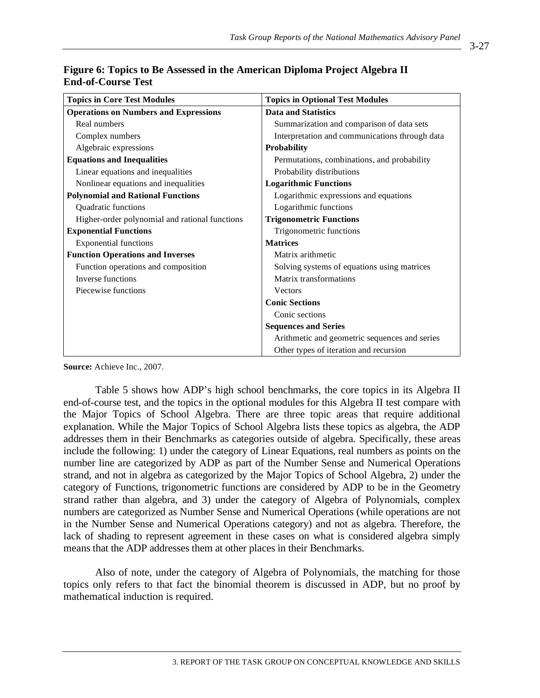| <b>Topics in Core Test Modules</b>             | <b>Topics in Optional Test Modules</b>         |
|------------------------------------------------|------------------------------------------------|
| <b>Operations on Numbers and Expressions</b>   | <b>Data and Statistics</b>                     |
| Real numbers                                   | Summarization and comparison of data sets      |
| Complex numbers                                | Interpretation and communications through data |
| Algebraic expressions                          | <b>Probability</b>                             |
| <b>Equations and Inequalities</b>              | Permutations, combinations, and probability    |
| Linear equations and inequalities              | Probability distributions                      |
| Nonlinear equations and inequalities           | <b>Logarithmic Functions</b>                   |
| <b>Polynomial and Rational Functions</b>       | Logarithmic expressions and equations          |
| Quadratic functions                            | Logarithmic functions                          |
| Higher-order polynomial and rational functions | <b>Trigonometric Functions</b>                 |
| <b>Exponential Functions</b>                   | Trigonometric functions                        |
| <b>Exponential functions</b>                   | <b>Matrices</b>                                |
| <b>Function Operations and Inverses</b>        | Matrix arithmetic                              |
| Function operations and composition            | Solving systems of equations using matrices    |
| Inverse functions                              | Matrix transformations                         |
| Piecewise functions                            | <b>Vectors</b>                                 |
|                                                | <b>Conic Sections</b>                          |
|                                                | Conic sections                                 |
|                                                | <b>Sequences and Series</b>                    |
|                                                | Arithmetic and geometric sequences and series  |
|                                                | Other types of iteration and recursion         |

### **Figure 6: Topics to Be Assessed in the American Diploma Project Algebra II End-of-Course Test**

**Source:** Achieve Inc., 2007.

Table 5 shows how ADP's high school benchmarks, the core topics in its Algebra II end-of-course test, and the topics in the optional modules for this Algebra II test compare with the Major Topics of School Algebra. There are three topic areas that require additional explanation. While the Major Topics of School Algebra lists these topics as algebra, the ADP addresses them in their Benchmarks as categories outside of algebra. Specifically, these areas include the following: 1) under the category of Linear Equations, real numbers as points on the number line are categorized by ADP as part of the Number Sense and Numerical Operations strand, and not in algebra as categorized by the Major Topics of School Algebra, 2) under the category of Functions, trigonometric functions are considered by ADP to be in the Geometry strand rather than algebra, and 3) under the category of Algebra of Polynomials, complex numbers are categorized as Number Sense and Numerical Operations (while operations are not in the Number Sense and Numerical Operations category) and not as algebra. Therefore, the lack of shading to represent agreement in these cases on what is considered algebra simply means that the ADP addresses them at other places in their Benchmarks.

Also of note, under the category of Algebra of Polynomials, the matching for those topics only refers to that fact the binomial theorem is discussed in ADP, but no proof by mathematical induction is required.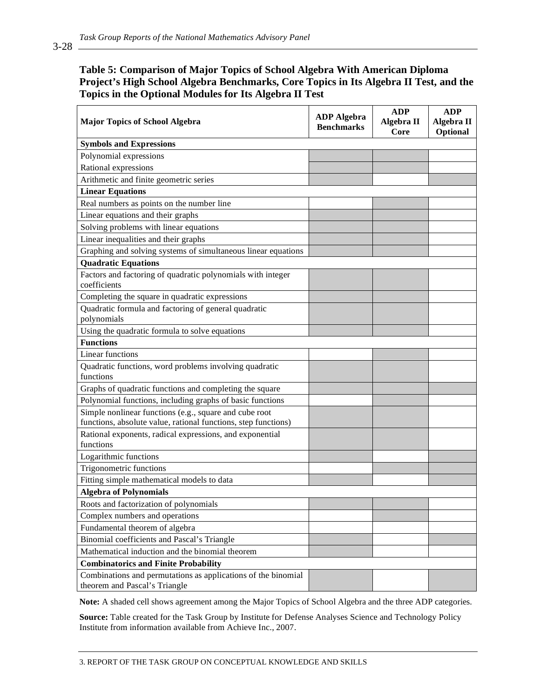#### **Table 5: Comparison of Major Topics of School Algebra With American Diploma Project's High School Algebra Benchmarks, Core Topics in Its Algebra II Test, and the Topics in the Optional Modules for Its Algebra II Test**

| <b>Major Topics of School Algebra</b>                                                          | <b>ADP</b> Algebra<br><b>Benchmarks</b> | <b>ADP</b><br>Algebra II<br>Core | <b>ADP</b><br>Algebra II<br>Optional |
|------------------------------------------------------------------------------------------------|-----------------------------------------|----------------------------------|--------------------------------------|
| <b>Symbols and Expressions</b>                                                                 |                                         |                                  |                                      |
| Polynomial expressions                                                                         |                                         |                                  |                                      |
| Rational expressions                                                                           |                                         |                                  |                                      |
| Arithmetic and finite geometric series                                                         |                                         |                                  |                                      |
| <b>Linear Equations</b>                                                                        |                                         |                                  |                                      |
| Real numbers as points on the number line                                                      |                                         |                                  |                                      |
| Linear equations and their graphs                                                              |                                         |                                  |                                      |
| Solving problems with linear equations                                                         |                                         |                                  |                                      |
| Linear inequalities and their graphs                                                           |                                         |                                  |                                      |
| Graphing and solving systems of simultaneous linear equations                                  |                                         |                                  |                                      |
| <b>Quadratic Equations</b>                                                                     |                                         |                                  |                                      |
| Factors and factoring of quadratic polynomials with integer<br>coefficients                    |                                         |                                  |                                      |
| Completing the square in quadratic expressions                                                 |                                         |                                  |                                      |
| Quadratic formula and factoring of general quadratic<br>polynomials                            |                                         |                                  |                                      |
| Using the quadratic formula to solve equations                                                 |                                         |                                  |                                      |
| <b>Functions</b>                                                                               |                                         |                                  |                                      |
| <b>Linear functions</b>                                                                        |                                         |                                  |                                      |
| Quadratic functions, word problems involving quadratic                                         |                                         |                                  |                                      |
| functions                                                                                      |                                         |                                  |                                      |
| Graphs of quadratic functions and completing the square                                        |                                         |                                  |                                      |
| Polynomial functions, including graphs of basic functions                                      |                                         |                                  |                                      |
| Simple nonlinear functions (e.g., square and cube root                                         |                                         |                                  |                                      |
| functions, absolute value, rational functions, step functions)                                 |                                         |                                  |                                      |
| Rational exponents, radical expressions, and exponential<br>functions                          |                                         |                                  |                                      |
| Logarithmic functions                                                                          |                                         |                                  |                                      |
| Trigonometric functions                                                                        |                                         |                                  |                                      |
| Fitting simple mathematical models to data                                                     |                                         |                                  |                                      |
| <b>Algebra of Polynomials</b>                                                                  |                                         |                                  |                                      |
| Roots and factorization of polynomials                                                         |                                         |                                  |                                      |
| Complex numbers and operations                                                                 |                                         |                                  |                                      |
| Fundamental theorem of algebra                                                                 |                                         |                                  |                                      |
| Binomial coefficients and Pascal's Triangle                                                    |                                         |                                  |                                      |
| Mathematical induction and the binomial theorem                                                |                                         |                                  |                                      |
| <b>Combinatorics and Finite Probability</b>                                                    |                                         |                                  |                                      |
| Combinations and permutations as applications of the binomial<br>theorem and Pascal's Triangle |                                         |                                  |                                      |

**Note:** A shaded cell shows agreement among the Major Topics of School Algebra and the three ADP categories.

**Source:** Table created for the Task Group by Institute for Defense Analyses Science and Technology Policy Institute from information available from Achieve Inc., 2007.

3-28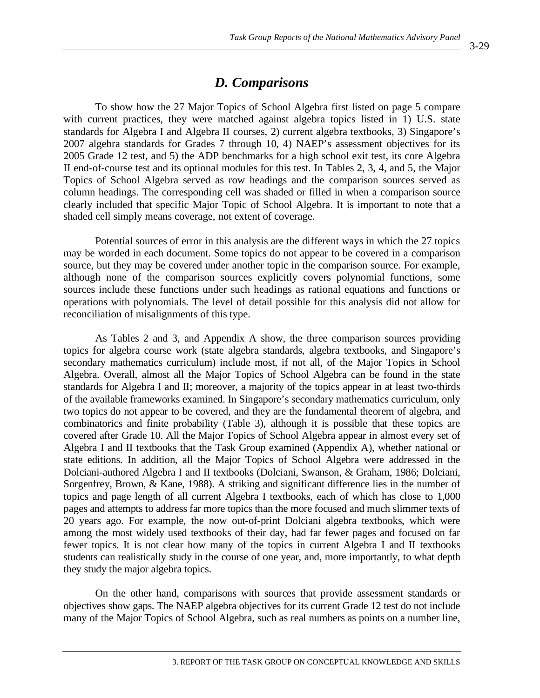## *D. Comparisons*

To show how the 27 Major Topics of School Algebra first listed on page 5 compare with current practices, they were matched against algebra topics listed in 1) U.S. state standards for Algebra I and Algebra II courses, 2) current algebra textbooks, 3) Singapore's 2007 algebra standards for Grades 7 through 10, 4) NAEP's assessment objectives for its 2005 Grade 12 test, and 5) the ADP benchmarks for a high school exit test, its core Algebra II end-of-course test and its optional modules for this test. In Tables 2, 3, 4, and 5, the Major Topics of School Algebra served as row headings and the comparison sources served as column headings. The corresponding cell was shaded or filled in when a comparison source clearly included that specific Major Topic of School Algebra. It is important to note that a shaded cell simply means coverage, not extent of coverage.

Potential sources of error in this analysis are the different ways in which the 27 topics may be worded in each document. Some topics do not appear to be covered in a comparison source, but they may be covered under another topic in the comparison source. For example, although none of the comparison sources explicitly covers polynomial functions, some sources include these functions under such headings as rational equations and functions or operations with polynomials. The level of detail possible for this analysis did not allow for reconciliation of misalignments of this type.

As Tables 2 and 3, and Appendix A show, the three comparison sources providing topics for algebra course work (state algebra standards, algebra textbooks, and Singapore's secondary mathematics curriculum) include most, if not all, of the Major Topics in School Algebra. Overall, almost all the Major Topics of School Algebra can be found in the state standards for Algebra I and II; moreover, a majority of the topics appear in at least two-thirds of the available frameworks examined. In Singapore's secondary mathematics curriculum, only two topics do not appear to be covered, and they are the fundamental theorem of algebra, and combinatorics and finite probability (Table 3), although it is possible that these topics are covered after Grade 10. All the Major Topics of School Algebra appear in almost every set of Algebra I and II textbooks that the Task Group examined (Appendix A), whether national or state editions. In addition, all the Major Topics of School Algebra were addressed in the Dolciani-authored Algebra I and II textbooks (Dolciani, Swanson, & Graham, 1986; Dolciani, Sorgenfrey, Brown, & Kane, 1988). A striking and significant difference lies in the number of topics and page length of all current Algebra I textbooks, each of which has close to 1,000 pages and attempts to address far more topics than the more focused and much slimmer texts of 20 years ago. For example, the now out-of-print Dolciani algebra textbooks, which were among the most widely used textbooks of their day, had far fewer pages and focused on far fewer topics. It is not clear how many of the topics in current Algebra I and II textbooks students can realistically study in the course of one year, and, more importantly, to what depth they study the major algebra topics.

On the other hand, comparisons with sources that provide assessment standards or objectives show gaps. The NAEP algebra objectives for its current Grade 12 test do not include many of the Major Topics of School Algebra, such as real numbers as points on a number line,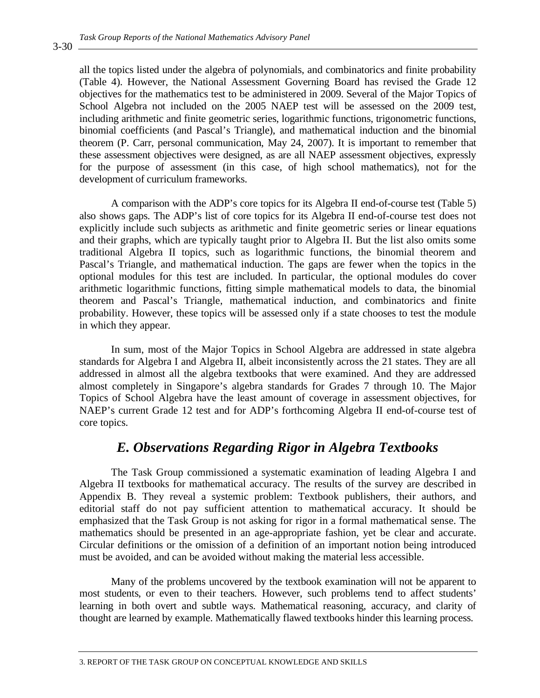all the topics listed under the algebra of polynomials, and combinatorics and finite probability (Table 4). However, the National Assessment Governing Board has revised the Grade 12 objectives for the mathematics test to be administered in 2009. Several of the Major Topics of School Algebra not included on the 2005 NAEP test will be assessed on the 2009 test, including arithmetic and finite geometric series, logarithmic functions, trigonometric functions, binomial coefficients (and Pascal's Triangle), and mathematical induction and the binomial theorem (P. Carr, personal communication, May 24, 2007). It is important to remember that these assessment objectives were designed, as are all NAEP assessment objectives, expressly for the purpose of assessment (in this case, of high school mathematics), not for the development of curriculum frameworks.

A comparison with the ADP's core topics for its Algebra II end-of-course test (Table 5) also shows gaps. The ADP's list of core topics for its Algebra II end-of-course test does not explicitly include such subjects as arithmetic and finite geometric series or linear equations and their graphs, which are typically taught prior to Algebra II. But the list also omits some traditional Algebra II topics, such as logarithmic functions, the binomial theorem and Pascal's Triangle, and mathematical induction. The gaps are fewer when the topics in the optional modules for this test are included. In particular, the optional modules do cover arithmetic logarithmic functions, fitting simple mathematical models to data, the binomial theorem and Pascal's Triangle, mathematical induction, and combinatorics and finite probability. However, these topics will be assessed only if a state chooses to test the module in which they appear.

In sum, most of the Major Topics in School Algebra are addressed in state algebra standards for Algebra I and Algebra II, albeit inconsistently across the 21 states. They are all addressed in almost all the algebra textbooks that were examined. And they are addressed almost completely in Singapore's algebra standards for Grades 7 through 10. The Major Topics of School Algebra have the least amount of coverage in assessment objectives, for NAEP's current Grade 12 test and for ADP's forthcoming Algebra II end-of-course test of core topics.

## *E. Observations Regarding Rigor in Algebra Textbooks*

The Task Group commissioned a systematic examination of leading Algebra I and Algebra II textbooks for mathematical accuracy. The results of the survey are described in Appendix B. They reveal a systemic problem: Textbook publishers, their authors, and editorial staff do not pay sufficient attention to mathematical accuracy. It should be emphasized that the Task Group is not asking for rigor in a formal mathematical sense. The mathematics should be presented in an age-appropriate fashion, yet be clear and accurate. Circular definitions or the omission of a definition of an important notion being introduced must be avoided, and can be avoided without making the material less accessible.

Many of the problems uncovered by the textbook examination will not be apparent to most students, or even to their teachers. However, such problems tend to affect students' learning in both overt and subtle ways. Mathematical reasoning, accuracy, and clarity of thought are learned by example. Mathematically flawed textbooks hinder this learning process.

3-30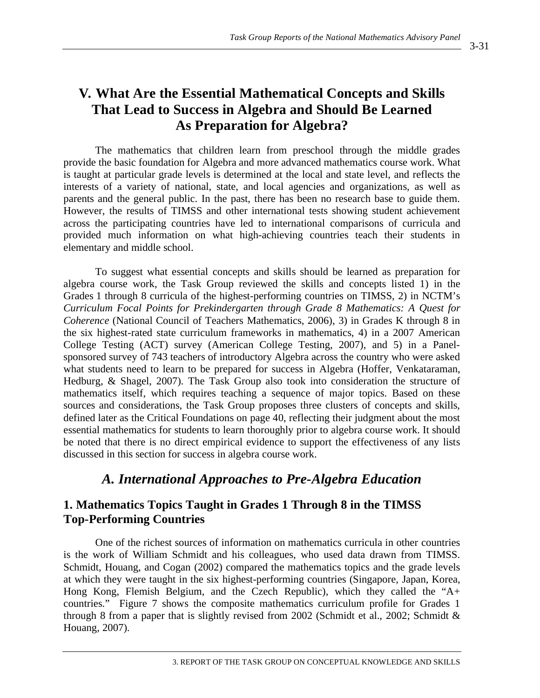# **V. What Are the Essential Mathematical Concepts and Skills That Lead to Success in Algebra and Should Be Learned As Preparation for Algebra?**

The mathematics that children learn from preschool through the middle grades provide the basic foundation for Algebra and more advanced mathematics course work. What is taught at particular grade levels is determined at the local and state level, and reflects the interests of a variety of national, state, and local agencies and organizations, as well as parents and the general public. In the past, there has been no research base to guide them. However, the results of TIMSS and other international tests showing student achievement across the participating countries have led to international comparisons of curricula and provided much information on what high-achieving countries teach their students in elementary and middle school.

To suggest what essential concepts and skills should be learned as preparation for algebra course work, the Task Group reviewed the skills and concepts listed 1) in the Grades 1 through 8 curricula of the highest-performing countries on TIMSS, 2) in NCTM's *Curriculum Focal Points for Prekindergarten through Grade 8 Mathematics: A Quest for Coherence* (National Council of Teachers Mathematics, 2006), 3) in Grades K through 8 in the six highest-rated state curriculum frameworks in mathematics, 4) in a 2007 American College Testing (ACT) survey (American College Testing, 2007), and 5) in a Panelsponsored survey of 743 teachers of introductory Algebra across the country who were asked what students need to learn to be prepared for success in Algebra (Hoffer, Venkataraman, Hedburg, & Shagel, 2007). The Task Group also took into consideration the structure of mathematics itself, which requires teaching a sequence of major topics. Based on these sources and considerations, the Task Group proposes three clusters of concepts and skills, defined later as the Critical Foundations on page 40, reflecting their judgment about the most essential mathematics for students to learn thoroughly prior to algebra course work. It should be noted that there is no direct empirical evidence to support the effectiveness of any lists discussed in this section for success in algebra course work.

# *A. International Approaches to Pre-Algebra Education*

## **1. Mathematics Topics Taught in Grades 1 Through 8 in the TIMSS Top-Performing Countries**

One of the richest sources of information on mathematics curricula in other countries is the work of William Schmidt and his colleagues, who used data drawn from TIMSS. Schmidt, Houang, and Cogan (2002) compared the mathematics topics and the grade levels at which they were taught in the six highest-performing countries (Singapore, Japan, Korea, Hong Kong, Flemish Belgium, and the Czech Republic), which they called the "A+ countries." Figure 7 shows the composite mathematics curriculum profile for Grades 1 through 8 from a paper that is slightly revised from 2002 (Schmidt et al., 2002; Schmidt & Houang, 2007).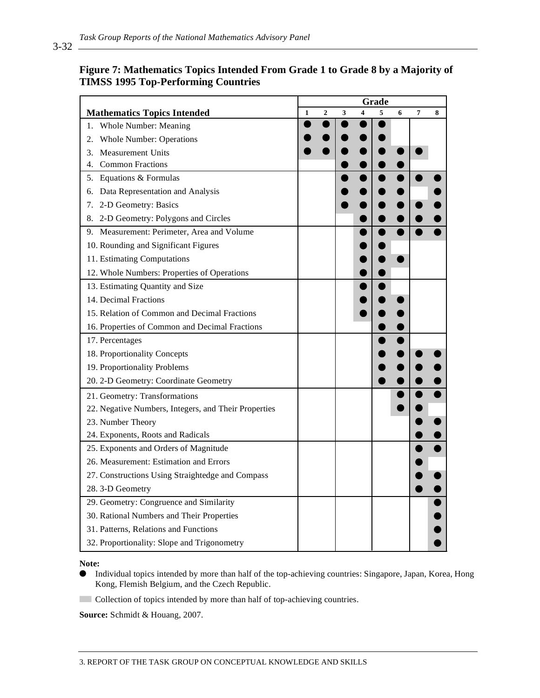### **Figure 7: Mathematics Topics Intended From Grade 1 to Grade 8 by a Majority of TIMSS 1995 Top-Performing Countries**

|                                                      |              |                |   |   | Grade |   |                |   |
|------------------------------------------------------|--------------|----------------|---|---|-------|---|----------------|---|
| <b>Mathematics Topics Intended</b>                   | $\mathbf{1}$ | $\overline{2}$ | 3 | 4 | 5     | 6 | $\overline{7}$ | 8 |
| <b>Whole Number: Meaning</b><br>1.                   |              |                |   |   |       |   |                |   |
| <b>Whole Number: Operations</b><br>2.                |              |                |   |   |       |   |                |   |
| <b>Measurement Units</b><br>3.                       |              |                |   |   |       |   |                |   |
| <b>Common Fractions</b><br>4.                        |              |                |   |   |       |   |                |   |
| 5. Equations & Formulas                              |              |                |   |   |       |   |                |   |
| Data Representation and Analysis<br>6.               |              |                |   |   |       |   |                |   |
| 7.<br>2-D Geometry: Basics                           |              |                |   |   |       |   |                |   |
| 2-D Geometry: Polygons and Circles<br>8.             |              |                |   |   |       |   |                |   |
| 9. Measurement: Perimeter, Area and Volume           |              |                |   |   |       |   |                |   |
| 10. Rounding and Significant Figures                 |              |                |   |   |       |   |                |   |
| 11. Estimating Computations                          |              |                |   |   |       |   |                |   |
| 12. Whole Numbers: Properties of Operations          |              |                |   |   |       |   |                |   |
| 13. Estimating Quantity and Size                     |              |                |   |   |       |   |                |   |
| 14. Decimal Fractions                                |              |                |   |   |       |   |                |   |
| 15. Relation of Common and Decimal Fractions         |              |                |   |   |       |   |                |   |
| 16. Properties of Common and Decimal Fractions       |              |                |   |   |       |   |                |   |
| 17. Percentages                                      |              |                |   |   |       |   |                |   |
| 18. Proportionality Concepts                         |              |                |   |   |       |   |                |   |
| 19. Proportionality Problems                         |              |                |   |   |       |   |                |   |
| 20. 2-D Geometry: Coordinate Geometry                |              |                |   |   |       |   |                |   |
| 21. Geometry: Transformations                        |              |                |   |   |       |   |                |   |
| 22. Negative Numbers, Integers, and Their Properties |              |                |   |   |       |   |                |   |
| 23. Number Theory                                    |              |                |   |   |       |   |                |   |
| 24. Exponents, Roots and Radicals                    |              |                |   |   |       |   |                |   |
| 25. Exponents and Orders of Magnitude                |              |                |   |   |       |   |                |   |
| 26. Measurement: Estimation and Errors               |              |                |   |   |       |   |                |   |
| 27. Constructions Using Straightedge and Compass     |              |                |   |   |       |   |                |   |
| 28.3-D Geometry                                      |              |                |   |   |       |   |                |   |
| 29. Geometry: Congruence and Similarity              |              |                |   |   |       |   |                |   |
| 30. Rational Numbers and Their Properties            |              |                |   |   |       |   |                |   |
| 31. Patterns, Relations and Functions                |              |                |   |   |       |   |                |   |
| 32. Proportionality: Slope and Trigonometry          |              |                |   |   |       |   |                |   |

**Note:**

- Individual topics intended by more than half of the top-achieving countries: Singapore, Japan, Korea, Hong Kong, Flemish Belgium, and the Czech Republic.
- Collection of topics intended by more than half of top-achieving countries.

**Source:** Schmidt & Houang, 2007.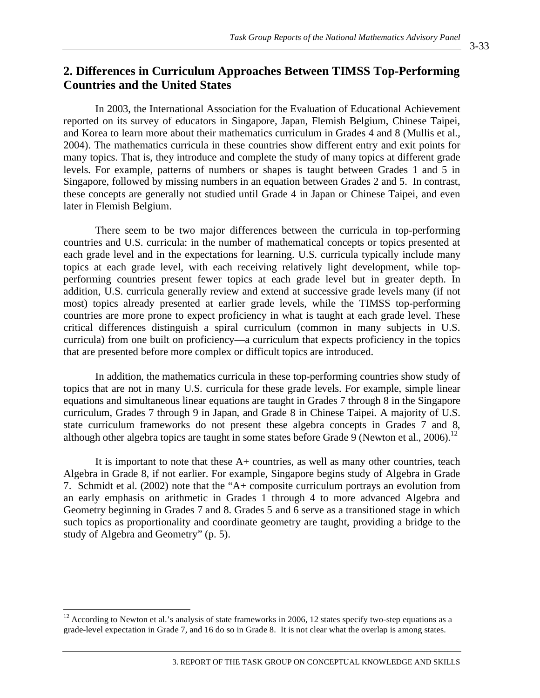## **2. Differences in Curriculum Approaches Between TIMSS Top-Performing Countries and the United States**

In 2003, the International Association for the Evaluation of Educational Achievement reported on its survey of educators in Singapore, Japan, Flemish Belgium, Chinese Taipei, and Korea to learn more about their mathematics curriculum in Grades 4 and 8 (Mullis et al., 2004). The mathematics curricula in these countries show different entry and exit points for many topics. That is, they introduce and complete the study of many topics at different grade levels. For example, patterns of numbers or shapes is taught between Grades 1 and 5 in Singapore, followed by missing numbers in an equation between Grades 2 and 5. In contrast, these concepts are generally not studied until Grade 4 in Japan or Chinese Taipei, and even later in Flemish Belgium.

There seem to be two major differences between the curricula in top-performing countries and U.S. curricula: in the number of mathematical concepts or topics presented at each grade level and in the expectations for learning. U.S. curricula typically include many topics at each grade level, with each receiving relatively light development, while topperforming countries present fewer topics at each grade level but in greater depth. In addition, U.S. curricula generally review and extend at successive grade levels many (if not most) topics already presented at earlier grade levels, while the TIMSS top-performing countries are more prone to expect proficiency in what is taught at each grade level. These critical differences distinguish a spiral curriculum (common in many subjects in U.S. curricula) from one built on proficiency—a curriculum that expects proficiency in the topics that are presented before more complex or difficult topics are introduced.

In addition, the mathematics curricula in these top-performing countries show study of topics that are not in many U.S. curricula for these grade levels. For example, simple linear equations and simultaneous linear equations are taught in Grades 7 through 8 in the Singapore curriculum, Grades 7 through 9 in Japan, and Grade 8 in Chinese Taipei. A majority of U.S. state curriculum frameworks do not present these algebra concepts in Grades 7 and 8, although other algebra topics are taught in some states before Grade 9 (Newton et al., 2006).<sup>12</sup>

It is important to note that these A+ countries, as well as many other countries, teach Algebra in Grade 8, if not earlier. For example, Singapore begins study of Algebra in Grade 7. Schmidt et al. (2002) note that the "A+ composite curriculum portrays an evolution from an early emphasis on arithmetic in Grades 1 through 4 to more advanced Algebra and Geometry beginning in Grades 7 and 8. Grades 5 and 6 serve as a transitioned stage in which such topics as proportionality and coordinate geometry are taught, providing a bridge to the study of Algebra and Geometry" (p. 5).

 $\overline{a}$ 

 $12$  According to Newton et al.'s analysis of state frameworks in 2006, 12 states specify two-step equations as a grade-level expectation in Grade 7, and 16 do so in Grade 8. It is not clear what the overlap is among states.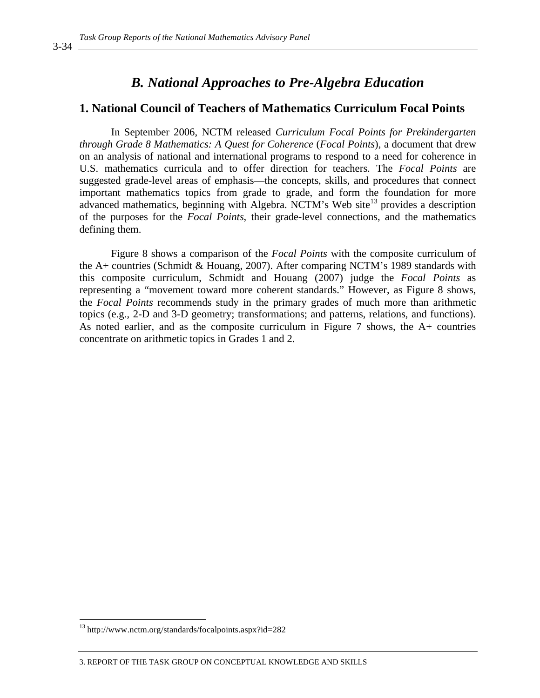### *B. National Approaches to Pre-Algebra Education*

### **1. National Council of Teachers of Mathematics Curriculum Focal Points**

In September 2006, NCTM released *Curriculum Focal Points for Prekindergarten through Grade 8 Mathematics: A Quest for Coherence* (*Focal Points*)*,* a document that drew on an analysis of national and international programs to respond to a need for coherence in U.S. mathematics curricula and to offer direction for teachers. The *Focal Points* are suggested grade-level areas of emphasis—the concepts, skills, and procedures that connect important mathematics topics from grade to grade, and form the foundation for more advanced mathematics, beginning with Algebra. NCTM's Web site<sup>13</sup> provides a description of the purposes for the *Focal Points*, their grade-level connections, and the mathematics defining them.

Figure 8 shows a comparison of the *Focal Points* with the composite curriculum of the A+ countries (Schmidt & Houang, 2007). After comparing NCTM's 1989 standards with this composite curriculum, Schmidt and Houang (2007) judge the *Focal Points* as representing a "movement toward more coherent standards." However, as Figure 8 shows, the *Focal Points* recommends study in the primary grades of much more than arithmetic topics (e.g., 2-D and 3-D geometry; transformations; and patterns, relations, and functions). As noted earlier, and as the composite curriculum in Figure 7 shows, the A+ countries concentrate on arithmetic topics in Grades 1 and 2.

 $\overline{a}$ 

<sup>13</sup> http://www.nctm.org/standards/focalpoints.aspx?id=282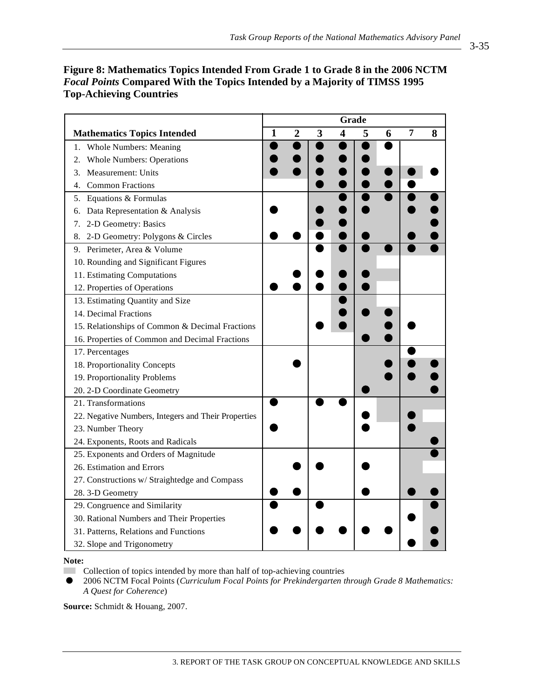|                                                     | Grade        |                |   |                         |   |   |   |   |
|-----------------------------------------------------|--------------|----------------|---|-------------------------|---|---|---|---|
| <b>Mathematics Topics Intended</b>                  | $\mathbf{1}$ | $\overline{2}$ | 3 | $\overline{\mathbf{4}}$ | 5 | 6 | 7 | 8 |
| <b>Whole Numbers: Meaning</b><br>1.                 |              |                |   |                         |   |   |   |   |
| <b>Whole Numbers: Operations</b><br>2.              |              |                |   |                         |   |   |   |   |
| Measurement: Units<br>3.                            |              |                |   |                         |   |   |   |   |
| <b>Common Fractions</b><br>4.                       |              |                |   |                         |   |   |   |   |
| 5. Equations & Formulas                             |              |                |   |                         |   |   |   |   |
| Data Representation & Analysis<br>6.                |              |                |   |                         |   |   |   |   |
| 2-D Geometry: Basics<br>7.                          |              |                |   |                         |   |   |   |   |
| 2-D Geometry: Polygons & Circles<br>8.              |              |                |   |                         |   |   |   |   |
| 9. Perimeter, Area & Volume                         |              |                |   |                         |   |   |   |   |
| 10. Rounding and Significant Figures                |              |                |   |                         |   |   |   |   |
| 11. Estimating Computations                         |              |                |   |                         |   |   |   |   |
| 12. Properties of Operations                        |              |                |   |                         |   |   |   |   |
| 13. Estimating Quantity and Size                    |              |                |   |                         |   |   |   |   |
| 14. Decimal Fractions                               |              |                |   |                         |   |   |   |   |
| 15. Relationships of Common & Decimal Fractions     |              |                |   |                         |   |   |   |   |
| 16. Properties of Common and Decimal Fractions      |              |                |   |                         |   |   |   |   |
| 17. Percentages                                     |              |                |   |                         |   |   |   |   |
| 18. Proportionality Concepts                        |              |                |   |                         |   |   |   |   |
| 19. Proportionality Problems                        |              |                |   |                         |   |   |   |   |
| 20. 2-D Coordinate Geometry                         |              |                |   |                         |   |   |   |   |
| 21. Transformations                                 |              |                |   |                         |   |   |   |   |
| 22. Negative Numbers, Integers and Their Properties |              |                |   |                         |   |   |   |   |
| 23. Number Theory                                   |              |                |   |                         |   |   |   |   |
| 24. Exponents, Roots and Radicals                   |              |                |   |                         |   |   |   |   |
| 25. Exponents and Orders of Magnitude               |              |                |   |                         |   |   |   |   |
| 26. Estimation and Errors                           |              |                |   |                         |   |   |   |   |
| 27. Constructions w/ Straightedge and Compass       |              |                |   |                         |   |   |   |   |
| 28.3-D Geometry                                     |              |                |   |                         |   |   |   |   |
| 29. Congruence and Similarity                       |              |                |   |                         |   |   |   |   |
| 30. Rational Numbers and Their Properties           |              |                |   |                         |   |   |   |   |
| 31. Patterns, Relations and Functions               |              |                |   |                         |   |   |   |   |
| 32. Slope and Trigonometry                          |              |                |   |                         |   |   |   |   |

### **Figure 8: Mathematics Topics Intended From Grade 1 to Grade 8 in the 2006 NCTM**  *Focal Points* **Compared With the Topics Intended by a Majority of TIMSS 1995 Top-Achieving Countries**

**Note:** 

**Example 2** Collection of topics intended by more than half of top-achieving countries

 2006 NCTM Focal Points (*Curriculum Focal Points for Prekindergarten through Grade 8 Mathematics: A Quest for Coherence*)

**Source:** Schmidt & Houang, 2007.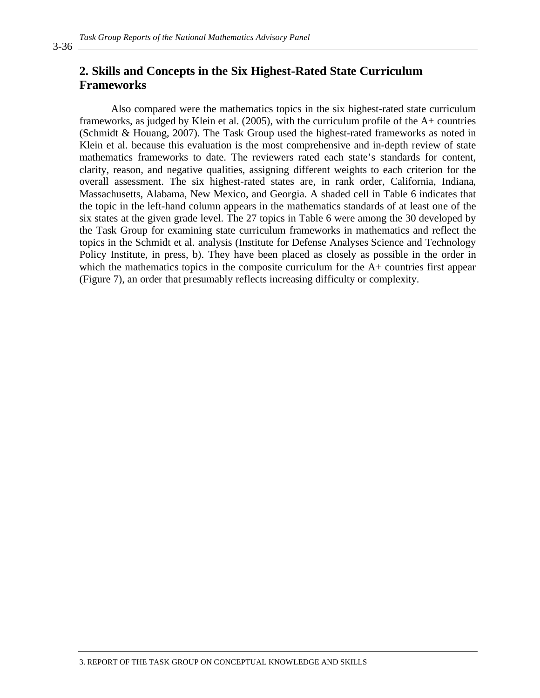### **2. Skills and Concepts in the Six Highest-Rated State Curriculum Frameworks**

Also compared were the mathematics topics in the six highest-rated state curriculum frameworks, as judged by Klein et al. (2005), with the curriculum profile of the A+ countries (Schmidt & Houang, 2007). The Task Group used the highest-rated frameworks as noted in Klein et al. because this evaluation is the most comprehensive and in-depth review of state mathematics frameworks to date. The reviewers rated each state's standards for content, clarity, reason, and negative qualities, assigning different weights to each criterion for the overall assessment. The six highest-rated states are, in rank order, California, Indiana, Massachusetts, Alabama, New Mexico, and Georgia. A shaded cell in Table 6 indicates that the topic in the left-hand column appears in the mathematics standards of at least one of the six states at the given grade level. The 27 topics in Table 6 were among the 30 developed by the Task Group for examining state curriculum frameworks in mathematics and reflect the topics in the Schmidt et al. analysis (Institute for Defense Analyses Science and Technology Policy Institute, in press, b). They have been placed as closely as possible in the order in which the mathematics topics in the composite curriculum for the A+ countries first appear (Figure 7), an order that presumably reflects increasing difficulty or complexity.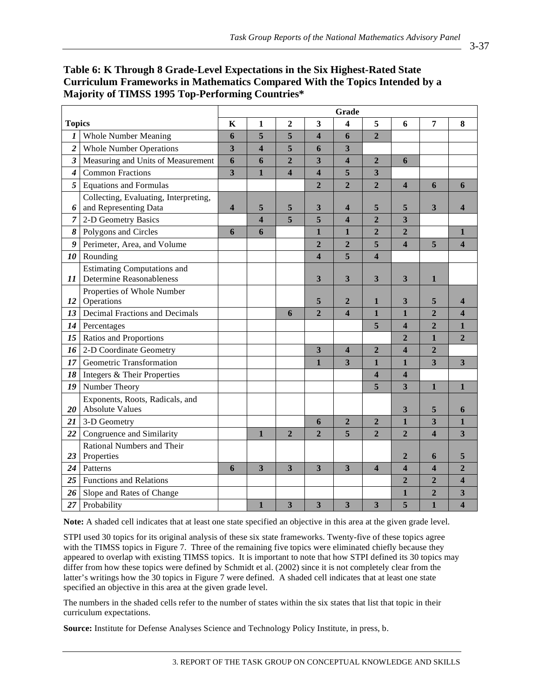|                  | сагнсаат гтансмогкя тимаактаак сотрагса тип ак төркэ ткикие от а<br>Majority of TIMSS 1995 Top-Performing Countries* |       |                         |                  |                         |                         |                         |                         |                |                |
|------------------|----------------------------------------------------------------------------------------------------------------------|-------|-------------------------|------------------|-------------------------|-------------------------|-------------------------|-------------------------|----------------|----------------|
|                  |                                                                                                                      | Grade |                         |                  |                         |                         |                         |                         |                |                |
| <b>Topics</b>    |                                                                                                                      | K     | 1                       | $\boldsymbol{2}$ | 3                       | 4                       | 5                       | 6                       | 7              | 8              |
| 1                | <b>Whole Number Meaning</b>                                                                                          | 6     | 5                       | 5                | 4                       | 6                       | $\overline{2}$          |                         |                |                |
| $\boldsymbol{2}$ | <b>Whole Number Operations</b>                                                                                       | 3     | $\overline{\mathbf{4}}$ | 5                | 6                       | 3                       |                         |                         |                |                |
| 3                | Measuring and Units of Measurement                                                                                   | 6     | 6                       | $\overline{2}$   | 3                       | $\overline{\mathbf{4}}$ | $\overline{2}$          | 6                       |                |                |
| $\boldsymbol{4}$ | <b>Common Fractions</b>                                                                                              | 3     | $\mathbf{1}$            | 4                | $\overline{\mathbf{4}}$ | 5                       | 3                       |                         |                |                |
| 5                | <b>Equations and Formulas</b>                                                                                        |       |                         |                  | $\overline{2}$          | $\overline{2}$          | $\overline{2}$          | $\overline{\mathbf{4}}$ | 6              | 6              |
| 6                | Collecting, Evaluating, Interpreting,<br>and Representing Data                                                       | 4     | 5                       | 5                | 3                       | 4                       | 5                       | 5                       | 3              | 4              |
| 7                | 2-D Geometry Basics                                                                                                  |       | 4                       | 5                | 5                       | $\overline{\mathbf{4}}$ | $\overline{2}$          | 3                       |                |                |
| 8                | Polygons and Circles                                                                                                 | 6     | 6                       |                  | 1                       | $\mathbf{1}$            | $\overline{2}$          | $\overline{2}$          |                | $\mathbf{1}$   |
| 9                | Perimeter, Area, and Volume                                                                                          |       |                         |                  | $\overline{2}$          | $\overline{2}$          | 5                       | $\overline{\mathbf{4}}$ | 5              | 4              |
| 10               | Rounding                                                                                                             |       |                         |                  | $\overline{\mathbf{4}}$ | 5                       | $\overline{\mathbf{4}}$ |                         |                |                |
| 11               | <b>Estimating Computations and</b><br><b>Determine Reasonableness</b>                                                |       |                         |                  | 3                       | 3                       | 3                       | 3                       | 1              |                |
| 12               | Properties of Whole Number<br>Operations                                                                             |       |                         |                  | 5                       | $\mathbf{2}$            | 1                       | 3                       | 5              | 4              |
| 13               | Decimal Fractions and Decimals                                                                                       |       |                         | 6                | $\overline{2}$          | $\boldsymbol{\Delta}$   | $\mathbf{1}$            | $\mathbf{1}$            | $\overline{2}$ | 4              |
| 14               | Percentages                                                                                                          |       |                         |                  |                         |                         | 5                       | $\overline{\mathbf{4}}$ | $\overline{2}$ | $\mathbf{1}$   |
|                  | 15   Ratios and Proportions                                                                                          |       |                         |                  |                         |                         |                         | $\overline{2}$          | $\mathbf{1}$   | $\overline{2}$ |
| 16               | 2-D Coordinate Geometry                                                                                              |       |                         |                  | 3                       | $\overline{\mathbf{4}}$ | $\overline{2}$          | $\overline{\mathbf{4}}$ | $\overline{2}$ |                |
| 17 <sup>1</sup>  | Geometric Transformation                                                                                             |       |                         |                  | 1                       | 3                       | $\mathbf{1}$            | $\mathbf{1}$            | 3              | 3              |

**Table 6: K Through 8 Grade-Level Expectations in the Six Highest-Rated State Curriculum Frameworks in Mathematics Compared With the Topics Intended by a Majority of TIMSS 1995 Top-Performing Countries\*** 

*20*

*23*

Exponents, Roots, Radicals, and

Rational Numbers and Their

**Note:** A shaded cell indicates that at least one state specified an objective in this area at the given grade level.

*18* Integers & Their Properties **4 4** 

*19* Number Theory **5 3 1 1** 

Absolute Values **3 5 6**  21 3-D Geometry **6 2 2 1 3 1 22** Congruence and Similarity **1 1 2 2 5 2 2 2 4 3** 

Properties **2** 6 5 24 Patterns **6 3 3 3 3 4 4 4 2 25** Functions and Relations **25 2 2 2 4** 26 Slope and Rates of Change **1** 1 1 1 1 1 2 3 27 | Probability **1 3 3 3 3 5 1 4** 

STPI used 30 topics for its original analysis of these six state frameworks. Twenty-five of these topics agree with the TIMSS topics in Figure 7. Three of the remaining five topics were eliminated chiefly because they appeared to overlap with existing TIMSS topics. It is important to note that how STPI defined its 30 topics may differ from how these topics were defined by Schmidt et al. (2002) since it is not completely clear from the latter's writings how the 30 topics in Figure 7 were defined. A shaded cell indicates that at least one state specified an objective in this area at the given grade level.

The numbers in the shaded cells refer to the number of states within the six states that list that topic in their curriculum expectations.

**Source:** Institute for Defense Analyses Science and Technology Policy Institute, in press, b.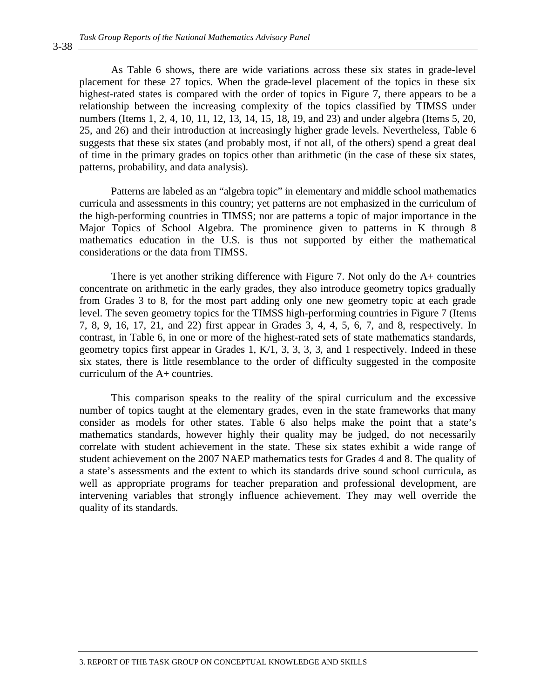As Table 6 shows, there are wide variations across these six states in grade-level placement for these 27 topics. When the grade-level placement of the topics in these six highest-rated states is compared with the order of topics in Figure 7, there appears to be a relationship between the increasing complexity of the topics classified by TIMSS under numbers (Items 1, 2, 4, 10, 11, 12, 13, 14, 15, 18, 19, and 23) and under algebra (Items 5, 20, 25, and 26) and their introduction at increasingly higher grade levels. Nevertheless, Table 6 suggests that these six states (and probably most, if not all, of the others) spend a great deal of time in the primary grades on topics other than arithmetic (in the case of these six states, patterns, probability, and data analysis).

Patterns are labeled as an "algebra topic" in elementary and middle school mathematics curricula and assessments in this country; yet patterns are not emphasized in the curriculum of the high-performing countries in TIMSS; nor are patterns a topic of major importance in the Major Topics of School Algebra. The prominence given to patterns in K through 8 mathematics education in the U.S. is thus not supported by either the mathematical considerations or the data from TIMSS.

There is yet another striking difference with Figure 7. Not only do the  $A+$  countries concentrate on arithmetic in the early grades, they also introduce geometry topics gradually from Grades 3 to 8, for the most part adding only one new geometry topic at each grade level. The seven geometry topics for the TIMSS high-performing countries in Figure 7 (Items 7, 8, 9, 16, 17, 21, and 22) first appear in Grades 3, 4, 4, 5, 6, 7, and 8, respectively. In contrast, in Table 6, in one or more of the highest-rated sets of state mathematics standards, geometry topics first appear in Grades 1, K/1, 3, 3, 3, 3, and 1 respectively. Indeed in these six states, there is little resemblance to the order of difficulty suggested in the composite curriculum of the A+ countries.

This comparison speaks to the reality of the spiral curriculum and the excessive number of topics taught at the elementary grades, even in the state frameworks that many consider as models for other states. Table 6 also helps make the point that a state's mathematics standards, however highly their quality may be judged, do not necessarily correlate with student achievement in the state. These six states exhibit a wide range of student achievement on the 2007 NAEP mathematics tests for Grades 4 and 8. The quality of a state's assessments and the extent to which its standards drive sound school curricula, as well as appropriate programs for teacher preparation and professional development, are intervening variables that strongly influence achievement. They may well override the quality of its standards.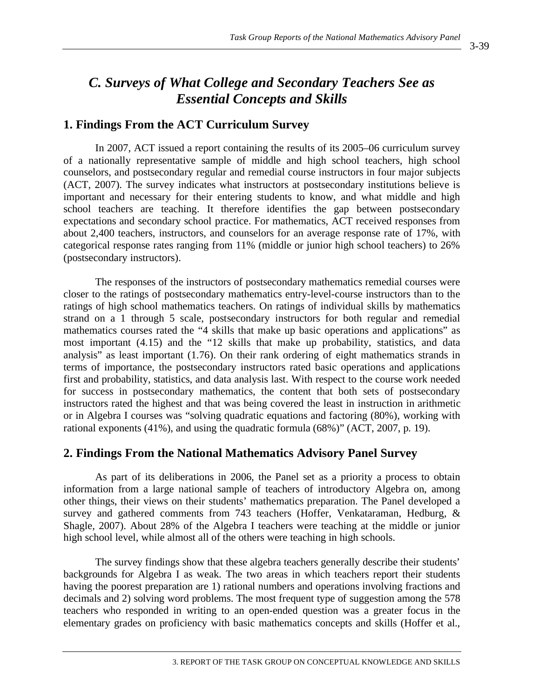# *C. Surveys of What College and Secondary Teachers See as Essential Concepts and Skills*

### **1. Findings From the ACT Curriculum Survey**

In 2007, ACT issued a report containing the results of its 2005–06 curriculum survey of a nationally representative sample of middle and high school teachers, high school counselors, and postsecondary regular and remedial course instructors in four major subjects (ACT, 2007). The survey indicates what instructors at postsecondary institutions believe is important and necessary for their entering students to know, and what middle and high school teachers are teaching. It therefore identifies the gap between postsecondary expectations and secondary school practice. For mathematics, ACT received responses from about 2,400 teachers, instructors, and counselors for an average response rate of 17%, with categorical response rates ranging from 11% (middle or junior high school teachers) to 26% (postsecondary instructors).

The responses of the instructors of postsecondary mathematics remedial courses were closer to the ratings of postsecondary mathematics entry-level-course instructors than to the ratings of high school mathematics teachers. On ratings of individual skills by mathematics strand on a 1 through 5 scale, postsecondary instructors for both regular and remedial mathematics courses rated the "4 skills that make up basic operations and applications" as most important (4.15) and the "12 skills that make up probability, statistics, and data analysis" as least important (1.76). On their rank ordering of eight mathematics strands in terms of importance, the postsecondary instructors rated basic operations and applications first and probability, statistics, and data analysis last. With respect to the course work needed for success in postsecondary mathematics, the content that both sets of postsecondary instructors rated the highest and that was being covered the least in instruction in arithmetic or in Algebra I courses was "solving quadratic equations and factoring (80%), working with rational exponents (41%), and using the quadratic formula (68%)" (ACT, 2007, p. 19).

### **2. Findings From the National Mathematics Advisory Panel Survey**

As part of its deliberations in 2006, the Panel set as a priority a process to obtain information from a large national sample of teachers of introductory Algebra on, among other things, their views on their students' mathematics preparation. The Panel developed a survey and gathered comments from 743 teachers (Hoffer, Venkataraman, Hedburg, & Shagle, 2007). About 28% of the Algebra I teachers were teaching at the middle or junior high school level, while almost all of the others were teaching in high schools.

The survey findings show that these algebra teachers generally describe their students' backgrounds for Algebra I as weak. The two areas in which teachers report their students having the poorest preparation are 1) rational numbers and operations involving fractions and decimals and 2) solving word problems. The most frequent type of suggestion among the 578 teachers who responded in writing to an open-ended question was a greater focus in the elementary grades on proficiency with basic mathematics concepts and skills (Hoffer et al.,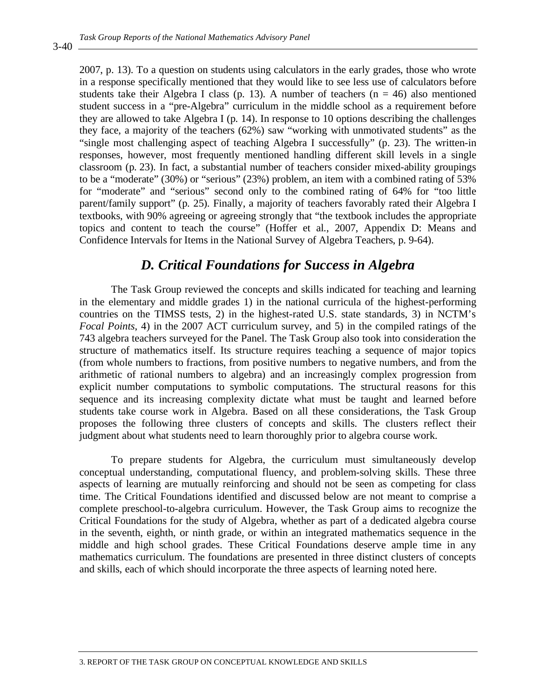2007, p. 13). To a question on students using calculators in the early grades, those who wrote in a response specifically mentioned that they would like to see less use of calculators before students take their Algebra I class (p. 13). A number of teachers ( $n = 46$ ) also mentioned student success in a "pre-Algebra" curriculum in the middle school as a requirement before they are allowed to take Algebra I (p. 14). In response to 10 options describing the challenges they face, a majority of the teachers (62%) saw "working with unmotivated students" as the "single most challenging aspect of teaching Algebra I successfully" (p. 23). The written-in responses, however, most frequently mentioned handling different skill levels in a single classroom (p. 23). In fact, a substantial number of teachers consider mixed-ability groupings to be a "moderate" (30%) or "serious" (23%) problem, an item with a combined rating of 53% for "moderate" and "serious" second only to the combined rating of 64% for "too little parent/family support" (p. 25). Finally, a majority of teachers favorably rated their Algebra I textbooks, with 90% agreeing or agreeing strongly that "the textbook includes the appropriate topics and content to teach the course" (Hoffer et al., 2007, Appendix D: Means and Confidence Intervals for Items in the National Survey of Algebra Teachers, p. 9-64).

## *D. Critical Foundations for Success in Algebra*

The Task Group reviewed the concepts and skills indicated for teaching and learning in the elementary and middle grades 1) in the national curricula of the highest-performing countries on the TIMSS tests, 2) in the highest-rated U.S. state standards, 3) in NCTM's *Focal Points*, 4) in the 2007 ACT curriculum survey, and 5) in the compiled ratings of the 743 algebra teachers surveyed for the Panel. The Task Group also took into consideration the structure of mathematics itself. Its structure requires teaching a sequence of major topics (from whole numbers to fractions, from positive numbers to negative numbers, and from the arithmetic of rational numbers to algebra) and an increasingly complex progression from explicit number computations to symbolic computations. The structural reasons for this sequence and its increasing complexity dictate what must be taught and learned before students take course work in Algebra. Based on all these considerations, the Task Group proposes the following three clusters of concepts and skills. The clusters reflect their judgment about what students need to learn thoroughly prior to algebra course work.

To prepare students for Algebra, the curriculum must simultaneously develop conceptual understanding, computational fluency, and problem-solving skills. These three aspects of learning are mutually reinforcing and should not be seen as competing for class time. The Critical Foundations identified and discussed below are not meant to comprise a complete preschool-to-algebra curriculum. However, the Task Group aims to recognize the Critical Foundations for the study of Algebra, whether as part of a dedicated algebra course in the seventh, eighth, or ninth grade, or within an integrated mathematics sequence in the middle and high school grades. These Critical Foundations deserve ample time in any mathematics curriculum. The foundations are presented in three distinct clusters of concepts and skills, each of which should incorporate the three aspects of learning noted here.

3-40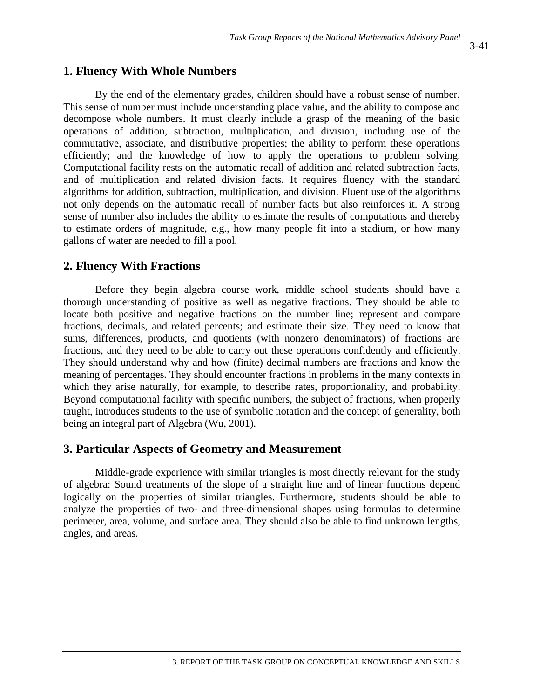#### **1. Fluency With Whole Numbers**

By the end of the elementary grades, children should have a robust sense of number. This sense of number must include understanding place value, and the ability to compose and decompose whole numbers. It must clearly include a grasp of the meaning of the basic operations of addition, subtraction, multiplication, and division, including use of the commutative, associate, and distributive properties; the ability to perform these operations efficiently; and the knowledge of how to apply the operations to problem solving. Computational facility rests on the automatic recall of addition and related subtraction facts, and of multiplication and related division facts. It requires fluency with the standard algorithms for addition, subtraction, multiplication, and division. Fluent use of the algorithms not only depends on the automatic recall of number facts but also reinforces it. A strong sense of number also includes the ability to estimate the results of computations and thereby to estimate orders of magnitude, e.g., how many people fit into a stadium, or how many gallons of water are needed to fill a pool.

#### **2. Fluency With Fractions**

Before they begin algebra course work, middle school students should have a thorough understanding of positive as well as negative fractions. They should be able to locate both positive and negative fractions on the number line; represent and compare fractions, decimals, and related percents; and estimate their size. They need to know that sums, differences, products, and quotients (with nonzero denominators) of fractions are fractions, and they need to be able to carry out these operations confidently and efficiently. They should understand why and how (finite) decimal numbers are fractions and know the meaning of percentages. They should encounter fractions in problems in the many contexts in which they arise naturally, for example, to describe rates, proportionality, and probability. Beyond computational facility with specific numbers, the subject of fractions, when properly taught, introduces students to the use of symbolic notation and the concept of generality, both being an integral part of Algebra (Wu, 2001).

#### **3. Particular Aspects of Geometry and Measurement**

Middle-grade experience with similar triangles is most directly relevant for the study of algebra: Sound treatments of the slope of a straight line and of linear functions depend logically on the properties of similar triangles. Furthermore, students should be able to analyze the properties of two- and three-dimensional shapes using formulas to determine perimeter, area, volume, and surface area. They should also be able to find unknown lengths, angles, and areas.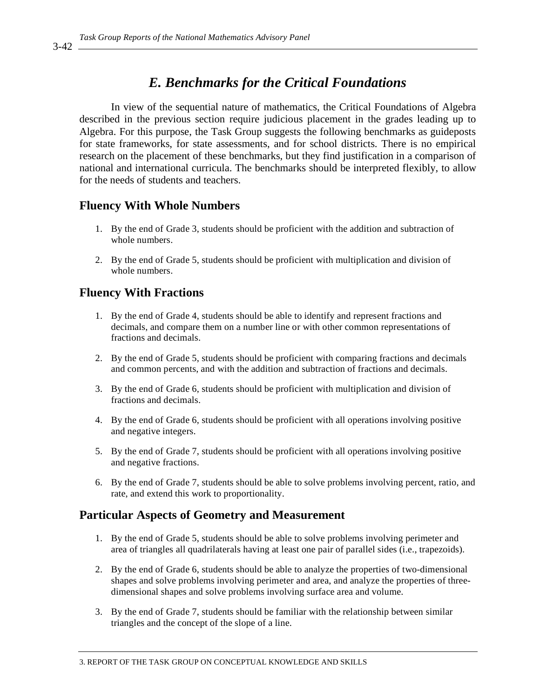## *E. Benchmarks for the Critical Foundations*

In view of the sequential nature of mathematics, the Critical Foundations of Algebra described in the previous section require judicious placement in the grades leading up to Algebra. For this purpose, the Task Group suggests the following benchmarks as guideposts for state frameworks, for state assessments, and for school districts. There is no empirical research on the placement of these benchmarks, but they find justification in a comparison of national and international curricula. The benchmarks should be interpreted flexibly, to allow for the needs of students and teachers.

### **Fluency With Whole Numbers**

- 1. By the end of Grade 3, students should be proficient with the addition and subtraction of whole numbers.
- 2. By the end of Grade 5, students should be proficient with multiplication and division of whole numbers.

### **Fluency With Fractions**

- 1. By the end of Grade 4, students should be able to identify and represent fractions and decimals, and compare them on a number line or with other common representations of fractions and decimals.
- 2. By the end of Grade 5, students should be proficient with comparing fractions and decimals and common percents, and with the addition and subtraction of fractions and decimals.
- 3. By the end of Grade 6, students should be proficient with multiplication and division of fractions and decimals.
- 4. By the end of Grade 6, students should be proficient with all operations involving positive and negative integers.
- 5. By the end of Grade 7, students should be proficient with all operations involving positive and negative fractions.
- 6. By the end of Grade 7, students should be able to solve problems involving percent, ratio, and rate, and extend this work to proportionality.

### **Particular Aspects of Geometry and Measurement**

- 1. By the end of Grade 5, students should be able to solve problems involving perimeter and area of triangles all quadrilaterals having at least one pair of parallel sides (i.e., trapezoids).
- 2. By the end of Grade 6, students should be able to analyze the properties of two-dimensional shapes and solve problems involving perimeter and area, and analyze the properties of threedimensional shapes and solve problems involving surface area and volume.
- 3. By the end of Grade 7, students should be familiar with the relationship between similar triangles and the concept of the slope of a line.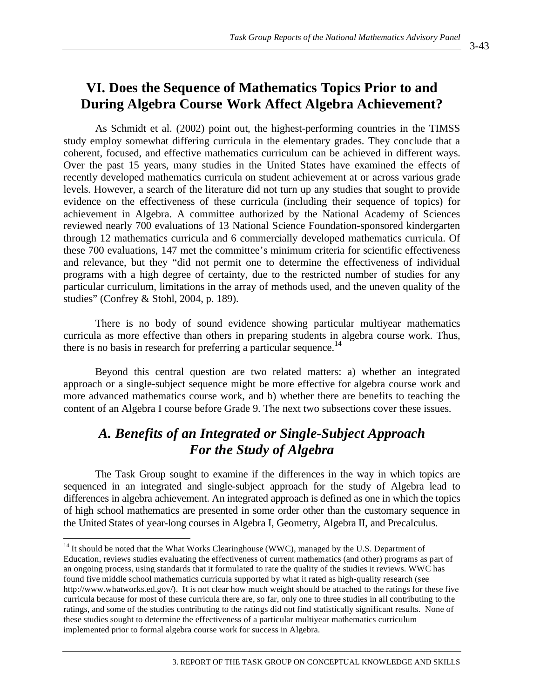# **VI. Does the Sequence of Mathematics Topics Prior to and During Algebra Course Work Affect Algebra Achievement?**

As Schmidt et al. (2002) point out, the highest-performing countries in the TIMSS study employ somewhat differing curricula in the elementary grades. They conclude that a coherent, focused, and effective mathematics curriculum can be achieved in different ways. Over the past 15 years, many studies in the United States have examined the effects of recently developed mathematics curricula on student achievement at or across various grade levels. However, a search of the literature did not turn up any studies that sought to provide evidence on the effectiveness of these curricula (including their sequence of topics) for achievement in Algebra. A committee authorized by the National Academy of Sciences reviewed nearly 700 evaluations of 13 National Science Foundation-sponsored kindergarten through 12 mathematics curricula and 6 commercially developed mathematics curricula. Of these 700 evaluations, 147 met the committee's minimum criteria for scientific effectiveness and relevance, but they "did not permit one to determine the effectiveness of individual programs with a high degree of certainty, due to the restricted number of studies for any particular curriculum, limitations in the array of methods used, and the uneven quality of the studies" (Confrey & Stohl, 2004, p. 189).

There is no body of sound evidence showing particular multiyear mathematics curricula as more effective than others in preparing students in algebra course work. Thus, there is no basis in research for preferring a particular sequence.<sup>14</sup>

Beyond this central question are two related matters: a) whether an integrated approach or a single-subject sequence might be more effective for algebra course work and more advanced mathematics course work, and b) whether there are benefits to teaching the content of an Algebra I course before Grade 9. The next two subsections cover these issues.

## *A. Benefits of an Integrated or Single-Subject Approach For the Study of Algebra*

The Task Group sought to examine if the differences in the way in which topics are sequenced in an integrated and single-subject approach for the study of Algebra lead to differences in algebra achievement. An integrated approach is defined as one in which the topics of high school mathematics are presented in some order other than the customary sequence in the United States of year-long courses in Algebra I, Geometry, Algebra II, and Precalculus.

 $\overline{a}$ 

<sup>&</sup>lt;sup>14</sup> It should be noted that the What Works Clearinghouse (WWC), managed by the U.S. Department of Education, reviews studies evaluating the effectiveness of current mathematics (and other) programs as part of an ongoing process, using standards that it formulated to rate the quality of the studies it reviews. WWC has found five middle school mathematics curricula supported by what it rated as high-quality research (see http://www.whatworks.ed.gov/). It is not clear how much weight should be attached to the ratings for these five curricula because for most of these curricula there are, so far, only one to three studies in all contributing to the ratings, and some of the studies contributing to the ratings did not find statistically significant results. None of these studies sought to determine the effectiveness of a particular multiyear mathematics curriculum implemented prior to formal algebra course work for success in Algebra*.*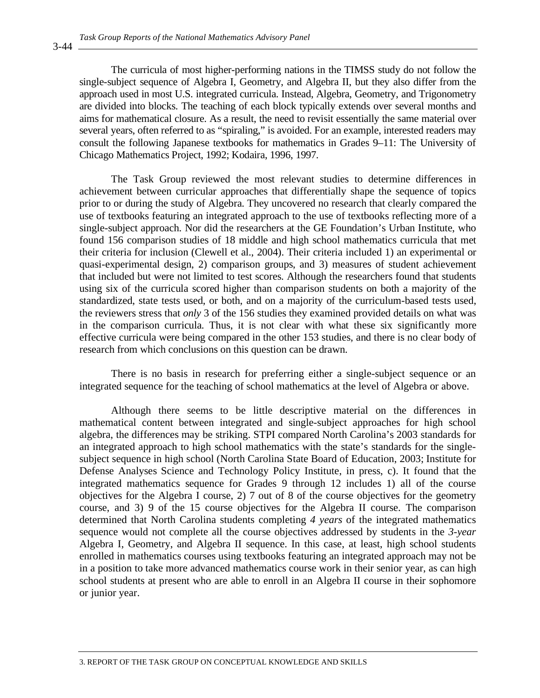The curricula of most higher-performing nations in the TIMSS study do not follow the single-subject sequence of Algebra I, Geometry, and Algebra II, but they also differ from the approach used in most U.S. integrated curricula. Instead, Algebra, Geometry, and Trigonometry are divided into blocks. The teaching of each block typically extends over several months and aims for mathematical closure. As a result, the need to revisit essentially the same material over several years, often referred to as "spiraling," is avoided. For an example, interested readers may consult the following Japanese textbooks for mathematics in Grades 9–11: The University of Chicago Mathematics Project, 1992; Kodaira, 1996, 1997.

The Task Group reviewed the most relevant studies to determine differences in achievement between curricular approaches that differentially shape the sequence of topics prior to or during the study of Algebra. They uncovered no research that clearly compared the use of textbooks featuring an integrated approach to the use of textbooks reflecting more of a single-subject approach. Nor did the researchers at the GE Foundation's Urban Institute, who found 156 comparison studies of 18 middle and high school mathematics curricula that met their criteria for inclusion (Clewell et al., 2004). Their criteria included 1) an experimental or quasi-experimental design, 2) comparison groups, and 3) measures of student achievement that included but were not limited to test scores. Although the researchers found that students using six of the curricula scored higher than comparison students on both a majority of the standardized, state tests used, or both, and on a majority of the curriculum-based tests used, the reviewers stress that *only* 3 of the 156 studies they examined provided details on what was in the comparison curricula. Thus, it is not clear with what these six significantly more effective curricula were being compared in the other 153 studies, and there is no clear body of research from which conclusions on this question can be drawn.

There is no basis in research for preferring either a single-subject sequence or an integrated sequence for the teaching of school mathematics at the level of Algebra or above.

Although there seems to be little descriptive material on the differences in mathematical content between integrated and single-subject approaches for high school algebra, the differences may be striking. STPI compared North Carolina's 2003 standards for an integrated approach to high school mathematics with the state's standards for the singlesubject sequence in high school (North Carolina State Board of Education, 2003; Institute for Defense Analyses Science and Technology Policy Institute, in press, c). It found that the integrated mathematics sequence for Grades 9 through 12 includes 1) all of the course objectives for the Algebra I course, 2) 7 out of 8 of the course objectives for the geometry course, and 3) 9 of the 15 course objectives for the Algebra II course. The comparison determined that North Carolina students completing *4 years* of the integrated mathematics sequence would not complete all the course objectives addressed by students in the *3-year* Algebra I, Geometry, and Algebra II sequence. In this case, at least, high school students enrolled in mathematics courses using textbooks featuring an integrated approach may not be in a position to take more advanced mathematics course work in their senior year, as can high school students at present who are able to enroll in an Algebra II course in their sophomore or junior year.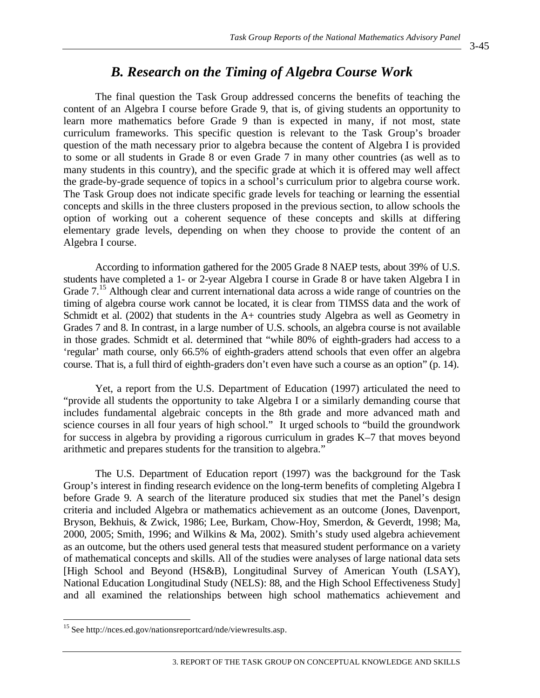## *B. Research on the Timing of Algebra Course Work*

The final question the Task Group addressed concerns the benefits of teaching the content of an Algebra I course before Grade 9, that is, of giving students an opportunity to learn more mathematics before Grade 9 than is expected in many, if not most, state curriculum frameworks. This specific question is relevant to the Task Group's broader question of the math necessary prior to algebra because the content of Algebra I is provided to some or all students in Grade 8 or even Grade 7 in many other countries (as well as to many students in this country), and the specific grade at which it is offered may well affect the grade-by-grade sequence of topics in a school's curriculum prior to algebra course work. The Task Group does not indicate specific grade levels for teaching or learning the essential concepts and skills in the three clusters proposed in the previous section, to allow schools the option of working out a coherent sequence of these concepts and skills at differing elementary grade levels, depending on when they choose to provide the content of an Algebra I course.

According to information gathered for the 2005 Grade 8 NAEP tests, about 39% of U.S. students have completed a 1- or 2-year Algebra I course in Grade 8 or have taken Algebra I in Grade 7.<sup>15</sup> Although clear and current international data across a wide range of countries on the timing of algebra course work cannot be located, it is clear from TIMSS data and the work of Schmidt et al. (2002) that students in the A+ countries study Algebra as well as Geometry in Grades 7 and 8. In contrast, in a large number of U.S. schools, an algebra course is not available in those grades. Schmidt et al. determined that "while 80% of eighth-graders had access to a 'regular' math course, only 66.5% of eighth-graders attend schools that even offer an algebra course. That is, a full third of eighth-graders don't even have such a course as an option" (p. 14).

Yet, a report from the U.S. Department of Education (1997) articulated the need to "provide all students the opportunity to take Algebra I or a similarly demanding course that includes fundamental algebraic concepts in the 8th grade and more advanced math and science courses in all four years of high school." It urged schools to "build the groundwork for success in algebra by providing a rigorous curriculum in grades K–7 that moves beyond arithmetic and prepares students for the transition to algebra."

The U.S. Department of Education report (1997) was the background for the Task Group's interest in finding research evidence on the long-term benefits of completing Algebra I before Grade 9. A search of the literature produced six studies that met the Panel's design criteria and included Algebra or mathematics achievement as an outcome (Jones, Davenport, Bryson, Bekhuis, & Zwick, 1986; Lee, Burkam, Chow-Hoy, Smerdon, & Geverdt, 1998; Ma, 2000, 2005; Smith, 1996; and Wilkins & Ma, 2002). Smith's study used algebra achievement as an outcome, but the others used general tests that measured student performance on a variety of mathematical concepts and skills. All of the studies were analyses of large national data sets [High School and Beyond (HS&B), Longitudinal Survey of American Youth (LSAY), National Education Longitudinal Study (NELS): 88, and the High School Effectiveness Study] and all examined the relationships between high school mathematics achievement and

 $\overline{a}$ 

<sup>&</sup>lt;sup>15</sup> See http://nces.ed.gov/nationsreportcard/nde/viewresults.asp.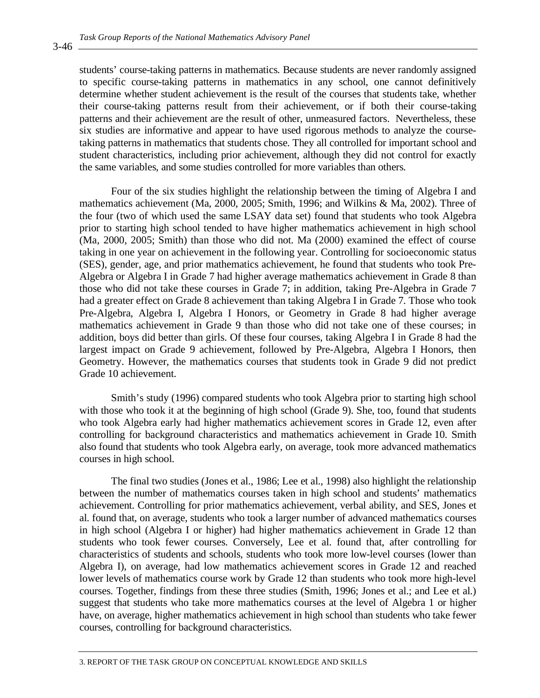students' course-taking patterns in mathematics. Because students are never randomly assigned to specific course-taking patterns in mathematics in any school, one cannot definitively determine whether student achievement is the result of the courses that students take, whether their course-taking patterns result from their achievement, or if both their course-taking patterns and their achievement are the result of other, unmeasured factors. Nevertheless, these six studies are informative and appear to have used rigorous methods to analyze the coursetaking patterns in mathematics that students chose. They all controlled for important school and student characteristics, including prior achievement, although they did not control for exactly the same variables, and some studies controlled for more variables than others.

Four of the six studies highlight the relationship between the timing of Algebra I and mathematics achievement (Ma, 2000, 2005; Smith, 1996; and Wilkins & Ma, 2002). Three of the four (two of which used the same LSAY data set) found that students who took Algebra prior to starting high school tended to have higher mathematics achievement in high school (Ma, 2000, 2005; Smith) than those who did not. Ma (2000) examined the effect of course taking in one year on achievement in the following year. Controlling for socioeconomic status (SES), gender, age, and prior mathematics achievement, he found that students who took Pre-Algebra or Algebra I in Grade 7 had higher average mathematics achievement in Grade 8 than those who did not take these courses in Grade 7; in addition, taking Pre-Algebra in Grade 7 had a greater effect on Grade 8 achievement than taking Algebra I in Grade 7. Those who took Pre-Algebra, Algebra I, Algebra I Honors, or Geometry in Grade 8 had higher average mathematics achievement in Grade 9 than those who did not take one of these courses; in addition, boys did better than girls. Of these four courses, taking Algebra I in Grade 8 had the largest impact on Grade 9 achievement, followed by Pre-Algebra, Algebra I Honors, then Geometry. However, the mathematics courses that students took in Grade 9 did not predict Grade 10 achievement.

Smith's study (1996) compared students who took Algebra prior to starting high school with those who took it at the beginning of high school (Grade 9). She, too, found that students who took Algebra early had higher mathematics achievement scores in Grade 12, even after controlling for background characteristics and mathematics achievement in Grade 10. Smith also found that students who took Algebra early, on average, took more advanced mathematics courses in high school.

The final two studies (Jones et al., 1986; Lee et al., 1998) also highlight the relationship between the number of mathematics courses taken in high school and students' mathematics achievement. Controlling for prior mathematics achievement, verbal ability, and SES, Jones et al. found that, on average, students who took a larger number of advanced mathematics courses in high school (Algebra I or higher) had higher mathematics achievement in Grade 12 than students who took fewer courses. Conversely, Lee et al. found that, after controlling for characteristics of students and schools, students who took more low-level courses (lower than Algebra I), on average, had low mathematics achievement scores in Grade 12 and reached lower levels of mathematics course work by Grade 12 than students who took more high-level courses. Together, findings from these three studies (Smith, 1996; Jones et al.; and Lee et al.) suggest that students who take more mathematics courses at the level of Algebra 1 or higher have, on average, higher mathematics achievement in high school than students who take fewer courses, controlling for background characteristics.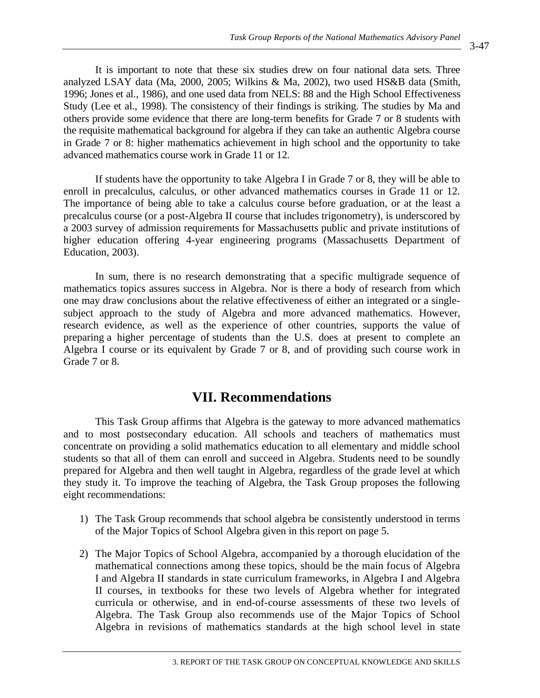It is important to note that these six studies drew on four national data sets. Three analyzed LSAY data (Ma, 2000, 2005; Wilkins & Ma, 2002), two used HS&B data (Smith, 1996; Jones et al., 1986), and one used data from NELS: 88 and the High School Effectiveness Study (Lee et al., 1998). The consistency of their findings is striking. The studies by Ma and others provide some evidence that there are long-term benefits for Grade 7 or 8 students with the requisite mathematical background for algebra if they can take an authentic Algebra course in Grade 7 or 8: higher mathematics achievement in high school and the opportunity to take advanced mathematics course work in Grade 11 or 12.

If students have the opportunity to take Algebra I in Grade 7 or 8, they will be able to enroll in precalculus, calculus, or other advanced mathematics courses in Grade 11 or 12. The importance of being able to take a calculus course before graduation, or at the least a precalculus course (or a post-Algebra II course that includes trigonometry), is underscored by a 2003 survey of admission requirements for Massachusetts public and private institutions of higher education offering 4-year engineering programs (Massachusetts Department of Education, 2003).

In sum, there is no research demonstrating that a specific multigrade sequence of mathematics topics assures success in Algebra. Nor is there a body of research from which one may draw conclusions about the relative effectiveness of either an integrated or a singlesubject approach to the study of Algebra and more advanced mathematics. However, research evidence, as well as the experience of other countries, supports the value of preparing a higher percentage of students than the U.S. does at present to complete an Algebra I course or its equivalent by Grade 7 or 8, and of providing such course work in Grade 7 or 8.

## **VII. Recommendations**

This Task Group affirms that Algebra is the gateway to more advanced mathematics and to most postsecondary education. All schools and teachers of mathematics must concentrate on providing a solid mathematics education to all elementary and middle school students so that all of them can enroll and succeed in Algebra. Students need to be soundly prepared for Algebra and then well taught in Algebra, regardless of the grade level at which they study it. To improve the teaching of Algebra, the Task Group proposes the following eight recommendations:

- 1) The Task Group recommends that school algebra be consistently understood in terms of the Major Topics of School Algebra given in this report on page 5.
- 2) The Major Topics of School Algebra, accompanied by a thorough elucidation of the mathematical connections among these topics, should be the main focus of Algebra I and Algebra II standards in state curriculum frameworks, in Algebra I and Algebra II courses, in textbooks for these two levels of Algebra whether for integrated curricula or otherwise, and in end-of-course assessments of these two levels of Algebra. The Task Group also recommends use of the Major Topics of School Algebra in revisions of mathematics standards at the high school level in state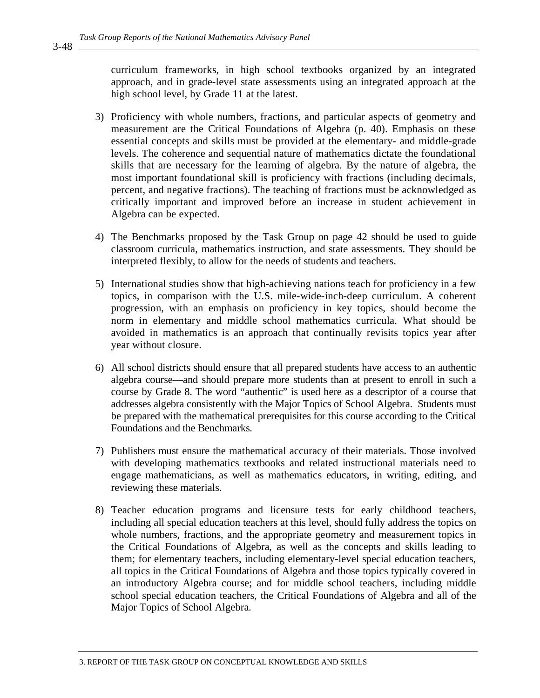curriculum frameworks, in high school textbooks organized by an integrated approach, and in grade-level state assessments using an integrated approach at the high school level, by Grade 11 at the latest.

- 3) Proficiency with whole numbers, fractions, and particular aspects of geometry and measurement are the Critical Foundations of Algebra (p. 40). Emphasis on these essential concepts and skills must be provided at the elementary- and middle-grade levels. The coherence and sequential nature of mathematics dictate the foundational skills that are necessary for the learning of algebra. By the nature of algebra, the most important foundational skill is proficiency with fractions (including decimals, percent, and negative fractions). The teaching of fractions must be acknowledged as critically important and improved before an increase in student achievement in Algebra can be expected.
- 4) The Benchmarks proposed by the Task Group on page 42 should be used to guide classroom curricula, mathematics instruction, and state assessments. They should be interpreted flexibly, to allow for the needs of students and teachers.
- 5) International studies show that high-achieving nations teach for proficiency in a few topics, in comparison with the U.S. mile-wide-inch-deep curriculum. A coherent progression, with an emphasis on proficiency in key topics, should become the norm in elementary and middle school mathematics curricula. What should be avoided in mathematics is an approach that continually revisits topics year after year without closure.
- 6) All school districts should ensure that all prepared students have access to an authentic algebra course—and should prepare more students than at present to enroll in such a course by Grade 8. The word "authentic" is used here as a descriptor of a course that addresses algebra consistently with the Major Topics of School Algebra. Students must be prepared with the mathematical prerequisites for this course according to the Critical Foundations and the Benchmarks.
- 7) Publishers must ensure the mathematical accuracy of their materials. Those involved with developing mathematics textbooks and related instructional materials need to engage mathematicians, as well as mathematics educators, in writing, editing, and reviewing these materials.
- 8) Teacher education programs and licensure tests for early childhood teachers, including all special education teachers at this level, should fully address the topics on whole numbers, fractions, and the appropriate geometry and measurement topics in the Critical Foundations of Algebra, as well as the concepts and skills leading to them; for elementary teachers, including elementary-level special education teachers, all topics in the Critical Foundations of Algebra and those topics typically covered in an introductory Algebra course; and for middle school teachers, including middle school special education teachers, the Critical Foundations of Algebra and all of the Major Topics of School Algebra.

3-48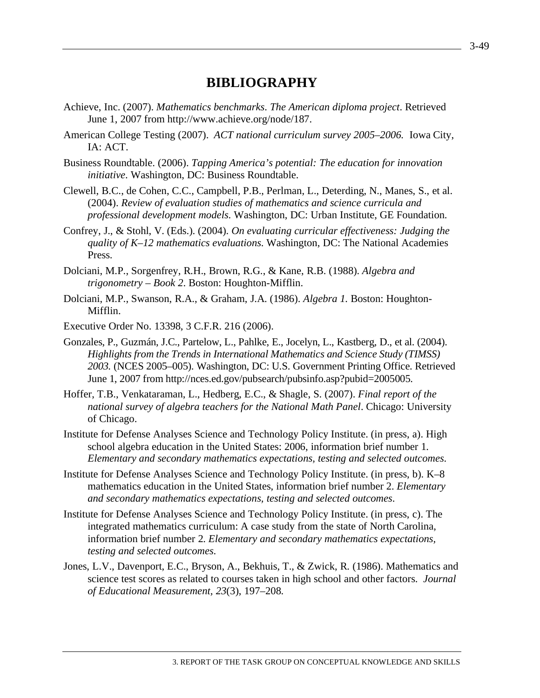### **BIBLIOGRAPHY**

- Achieve, Inc. (2007). *Mathematics benchmarks*. *The American diploma project*. Retrieved June 1, 2007 from http://www.achieve.org/node/187.
- American College Testing (2007). *ACT national curriculum survey 2005–2006.* Iowa City, IA: ACT.
- Business Roundtable. (2006). *Tapping America's potential: The education for innovation initiative*. Washington, DC: Business Roundtable.
- Clewell, B.C., de Cohen, C.C., Campbell, P.B., Perlman, L., Deterding, N., Manes, S., et al. (2004). *Review of evaluation studies of mathematics and science curricula and professional development models*. Washington, DC: Urban Institute, GE Foundation.
- Confrey, J., & Stohl, V. (Eds.). (2004). *On evaluating curricular effectiveness: Judging the quality of K–12 mathematics evaluations*. Washington, DC: The National Academies Press.
- Dolciani, M.P., Sorgenfrey, R.H., Brown, R.G., & Kane, R.B. (1988). *Algebra and trigonometry – Book 2*. Boston: Houghton-Mifflin.
- Dolciani, M.P., Swanson, R.A., & Graham, J.A. (1986). *Algebra 1.* Boston: Houghton-Mifflin.
- Executive Order No. 13398, 3 C.F.R. 216 (2006).
- Gonzales, P., Guzmán, J.C., Partelow, L., Pahlke, E., Jocelyn, L., Kastberg, D., et al. (2004). *Highlights from the Trends in International Mathematics and Science Study (TIMSS) 2003.* (NCES 2005–005). Washington, DC: U.S. Government Printing Office. Retrieved June 1, 2007 from http://nces.ed.gov/pubsearch/pubsinfo.asp?pubid=2005005.
- Hoffer, T.B., Venkataraman, L., Hedberg, E.C., & Shagle, S. (2007). *Final report of the national survey of algebra teachers for the National Math Panel*. Chicago: University of Chicago.
- Institute for Defense Analyses Science and Technology Policy Institute. (in press, a). High school algebra education in the United States: 2006, information brief number 1. *Elementary and secondary mathematics expectations, testing and selected outcomes*.
- Institute for Defense Analyses Science and Technology Policy Institute. (in press, b). K–8 mathematics education in the United States, information brief number 2. *Elementary and secondary mathematics expectations, testing and selected outcomes*.
- Institute for Defense Analyses Science and Technology Policy Institute. (in press, c). The integrated mathematics curriculum: A case study from the state of North Carolina, information brief number 2. *Elementary and secondary mathematics expectations, testing and selected outcomes*.
- Jones, L.V., Davenport, E.C., Bryson, A., Bekhuis, T., & Zwick, R. (1986). Mathematics and science test scores as related to courses taken in high school and other factors. *Journal of Educational Measurement, 23*(3), 197–208.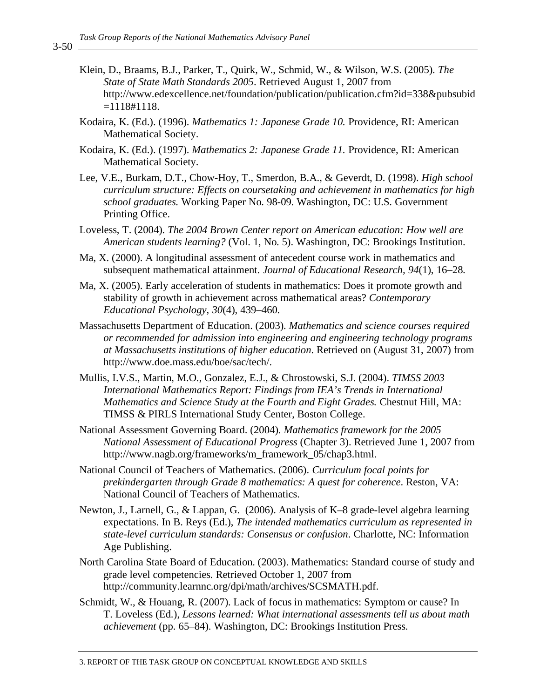- Klein, D., Braams, B.J., Parker, T., Quirk, W., Schmid, W., & Wilson, W.S. (2005). *The State of State Math Standards 2005*. Retrieved August 1, 2007 from http://www.edexcellence.net/foundation/publication/publication.cfm?id=338&pubsubid  $=1118#1118.$
- Kodaira, K. (Ed.). (1996). *Mathematics 1: Japanese Grade 10.* Providence, RI: American Mathematical Society.
- Kodaira, K. (Ed.). (1997). *Mathematics 2: Japanese Grade 11.* Providence, RI: American Mathematical Society.
- Lee, V.E., Burkam, D.T., Chow-Hoy, T., Smerdon, B.A., & Geverdt, D. (1998). *High school curriculum structure: Effects on coursetaking and achievement in mathematics for high school graduates.* Working Paper No. 98-09. Washington, DC: U.S. Government Printing Office.
- Loveless, T. (2004). *The 2004 Brown Center report on American education: How well are American students learning?* (Vol. 1, No. 5). Washington, DC: Brookings Institution.
- Ma, X. (2000). A longitudinal assessment of antecedent course work in mathematics and subsequent mathematical attainment. *Journal of Educational Research, 94*(1), 16–28.
- Ma, X. (2005). Early acceleration of students in mathematics: Does it promote growth and stability of growth in achievement across mathematical areas? *Contemporary Educational Psychology, 30*(4), 439–460.
- Massachusetts Department of Education. (2003). *Mathematics and science courses required or recommended for admission into engineering and engineering technology programs at Massachusetts institutions of higher education*. Retrieved on (August 31, 2007) from http://www.doe.mass.edu/boe/sac/tech/.
- Mullis, I.V.S., Martin, M.O., Gonzalez, E.J., & Chrostowski, S.J. (2004). *TIMSS 2003 International Mathematics Report: Findings from IEA's Trends in International Mathematics and Science Study at the Fourth and Eight Grades.* Chestnut Hill, MA: TIMSS & PIRLS International Study Center, Boston College.
- National Assessment Governing Board. (2004). *Mathematics framework for the 2005 National Assessment of Educational Progress* (Chapter 3). Retrieved June 1, 2007 from http://www.nagb.org/frameworks/m\_framework\_05/chap3.html.
- National Council of Teachers of Mathematics. (2006). *Curriculum focal points for prekindergarten through Grade 8 mathematics: A quest for coherence*. Reston, VA: National Council of Teachers of Mathematics.
- Newton, J., Larnell, G., & Lappan, G. (2006). Analysis of K–8 grade-level algebra learning expectations. In B. Reys (Ed.), *The intended mathematics curriculum as represented in state-level curriculum standards: Consensus or confusion*. Charlotte, NC: Information Age Publishing.
- North Carolina State Board of Education. (2003). Mathematics: Standard course of study and grade level competencies. Retrieved October 1, 2007 from http://community.learnnc.org/dpi/math/archives/SCSMATH.pdf.
- Schmidt, W., & Houang, R. (2007). Lack of focus in mathematics: Symptom or cause? In T. Loveless (Ed.), *Lessons learned: What international assessments tell us about math achievement* (pp. 65–84). Washington, DC: Brookings Institution Press.

 $3 - 50$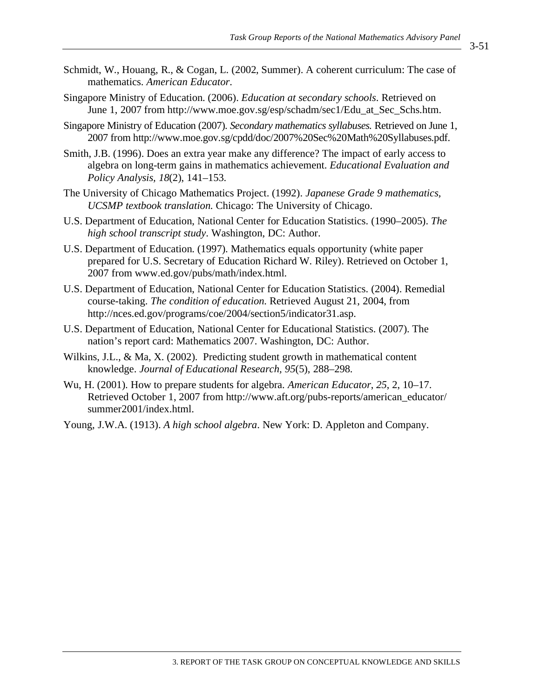- Schmidt, W., Houang, R., & Cogan, L. (2002, Summer). A coherent curriculum: The case of mathematics. *American Educator*.
- Singapore Ministry of Education. (2006). *Education at secondary schools*. Retrieved on June 1, 2007 from http://www.moe.gov.sg/esp/schadm/sec1/Edu\_at\_Sec\_Schs.htm.
- Singapore Ministry of Education (2007). *Secondary mathematics syllabuses.* Retrieved on June 1, 2007 from http://www.moe.gov.sg/cpdd/doc/2007%20Sec%20Math%20Syllabuses.pdf.
- Smith, J.B. (1996). Does an extra year make any difference? The impact of early access to algebra on long-term gains in mathematics achievement. *Educational Evaluation and Policy Analysis, 18*(2), 141–153.
- The University of Chicago Mathematics Project. (1992). *Japanese Grade 9 mathematics, UCSMP textbook translation.* Chicago: The University of Chicago.
- U.S. Department of Education, National Center for Education Statistics. (1990–2005). *The high school transcript study*. Washington, DC: Author.
- U.S. Department of Education. (1997). Mathematics equals opportunity (white paper prepared for U.S. Secretary of Education Richard W. Riley). Retrieved on October 1, 2007 from www.ed.gov/pubs/math/index.html.
- U.S. Department of Education, National Center for Education Statistics. (2004). Remedial course-taking. *The condition of education.* Retrieved August 21, 2004, from http://nces.ed.gov/programs/coe/2004/section5/indicator31.asp.
- U.S. Department of Education, National Center for Educational Statistics. (2007). The nation's report card: Mathematics 2007. Washington, DC: Author.
- Wilkins, J.L., & Ma, X. (2002). Predicting student growth in mathematical content knowledge. *Journal of Educational Research, 95*(5), 288–298.
- Wu, H. (2001). How to prepare students for algebra. *American Educator*, *25*, 2, 10–17. Retrieved October 1, 2007 from http://www.aft.org/pubs-reports/american\_educator/ summer2001/index.html.
- Young, J.W.A. (1913). *A high school algebra*. New York: D. Appleton and Company.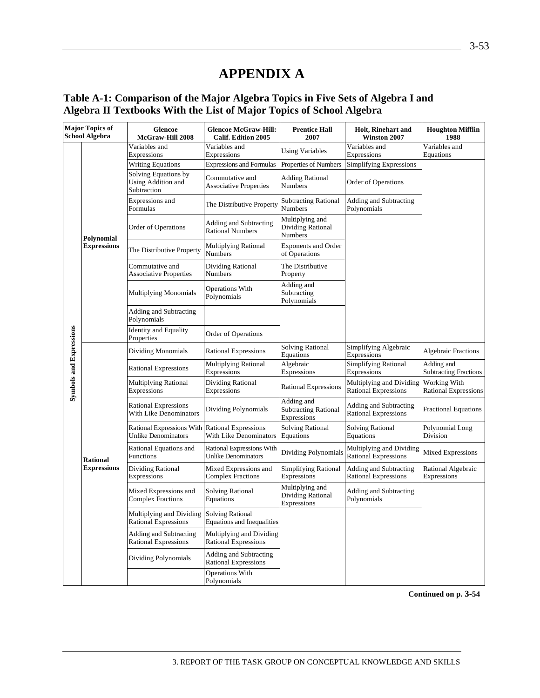# **APPENDIX A**

#### **Table A-1: Comparison of the Major Algebra Topics in Five Sets of Algebra I and Algebra II Textbooks With the List of Major Topics of School Algebra**

| <b>Major Topics of</b><br><b>School Algebra</b> |                    | Glencoe<br>McGraw-Hill 2008                                       | <b>Glencoe McGraw-Hill:</b><br><b>Calif. Edition 2005</b>      | <b>Prentice Hall</b><br>2007                             | <b>Holt, Rinehart and</b><br>Winston 2007               | <b>Houghton Mifflin</b><br>1988             |
|-------------------------------------------------|--------------------|-------------------------------------------------------------------|----------------------------------------------------------------|----------------------------------------------------------|---------------------------------------------------------|---------------------------------------------|
|                                                 |                    | Variables and<br>Expressions                                      | Variables and<br>Expressions                                   | <b>Using Variables</b>                                   | Variables and<br>Expressions                            | Variables and<br>Equations                  |
|                                                 |                    | <b>Writing Equations</b>                                          | <b>Expressions and Formulas</b>                                | Properties of Numbers                                    | Simplifying Expressions                                 |                                             |
|                                                 |                    | Solving Equations by<br>Using Addition and<br>Subtraction         | Commutative and<br><b>Associative Properties</b>               | <b>Adding Rational</b><br>Numbers                        | Order of Operations                                     |                                             |
|                                                 |                    | Expressions and<br>Formulas                                       | The Distributive Property                                      | <b>Subtracting Rational</b><br><b>Numbers</b>            | Adding and Subtracting<br>Polynomials                   |                                             |
|                                                 | Polynomial         | Order of Operations                                               | Adding and Subtracting<br><b>Rational Numbers</b>              | Multiplying and<br><b>Dividing Rational</b><br>Numbers   |                                                         |                                             |
|                                                 | <b>Expressions</b> | The Distributive Property                                         | Multiplying Rational<br>Numbers                                | <b>Exponents and Order</b><br>of Operations              |                                                         |                                             |
|                                                 |                    | Commutative and<br><b>Associative Properties</b>                  | Dividing Rational<br>Numbers                                   | The Distributive<br>Property                             |                                                         |                                             |
|                                                 |                    | <b>Multiplying Monomials</b>                                      | <b>Operations With</b><br>Polynomials                          | Adding and<br>Subtracting<br>Polynomials                 |                                                         |                                             |
|                                                 |                    | Adding and Subtracting<br>Polynomials                             |                                                                |                                                          |                                                         |                                             |
|                                                 |                    | <b>Identity</b> and Equality<br>Properties                        | <b>Order of Operations</b>                                     |                                                          |                                                         |                                             |
|                                                 |                    | <b>Dividing Monomials</b>                                         | <b>Rational Expressions</b>                                    | <b>Solving Rational</b><br>Equations                     | Simplifying Algebraic<br>Expressions                    | <b>Algebraic Fractions</b>                  |
|                                                 |                    | <b>Rational Expressions</b>                                       | <b>Multiplying Rational</b><br>Expressions                     | Algebraic<br>Expressions                                 | <b>Simplifying Rational</b><br>Expressions              | Adding and<br><b>Subtracting Fractions</b>  |
| <b>Symbols and Expressions</b>                  |                    | <b>Multiplying Rational</b><br>Expressions                        | Dividing Rational<br>Expressions                               | <b>Rational Expressions</b>                              | Multiplying and Dividing<br><b>Rational Expressions</b> | Working With<br><b>Rational Expressions</b> |
|                                                 |                    | <b>Rational Expressions</b><br>With Like Denominators             | Dividing Polynomials                                           | Adding and<br><b>Subtracting Rational</b><br>Expressions | Adding and Subtracting<br><b>Rational Expressions</b>   | <b>Fractional Equations</b>                 |
|                                                 |                    | <b>Rational Expressions With</b><br><b>Unlike Denominators</b>    | <b>Rational Expressions</b><br>With Like Denominators          | <b>Solving Rational</b><br>Equations                     | <b>Solving Rational</b><br>Equations                    | Polynomial Long<br>Division                 |
|                                                 | <b>Rational</b>    | Rational Equations and<br>Functions                               | <b>Rational Expressions With</b><br><b>Unlike Denominators</b> | Dividing Polynomials                                     | Multiplying and Dividing<br><b>Rational Expressions</b> | <b>Mixed Expressions</b>                    |
|                                                 | <b>Expressions</b> | Dividing Rational<br>Expressions                                  | Mixed Expressions and<br><b>Complex Fractions</b>              | <b>Simplifying Rational</b><br>Expressions               | Adding and Subtracting<br><b>Rational Expressions</b>   | Rational Algebraic<br>Expressions           |
|                                                 |                    | Mixed Expressions and<br><b>Complex Fractions</b>                 | Solving Rational<br>Equations                                  | Multiplying and<br>Dividing Rational<br>Expressions      | Adding and Subtracting<br>Polynomials                   |                                             |
|                                                 |                    | Multiplying and Dividing Solving Rational<br>Rational Expressions | Equations and Inequalities                                     |                                                          |                                                         |                                             |
|                                                 |                    | Adding and Subtracting<br><b>Rational Expressions</b>             | Multiplying and Dividing<br><b>Rational Expressions</b>        |                                                          |                                                         |                                             |
|                                                 |                    | Dividing Polynomials                                              | Adding and Subtracting<br><b>Rational Expressions</b>          |                                                          |                                                         |                                             |
|                                                 |                    |                                                                   | <b>Operations With</b><br>Polynomials                          |                                                          |                                                         |                                             |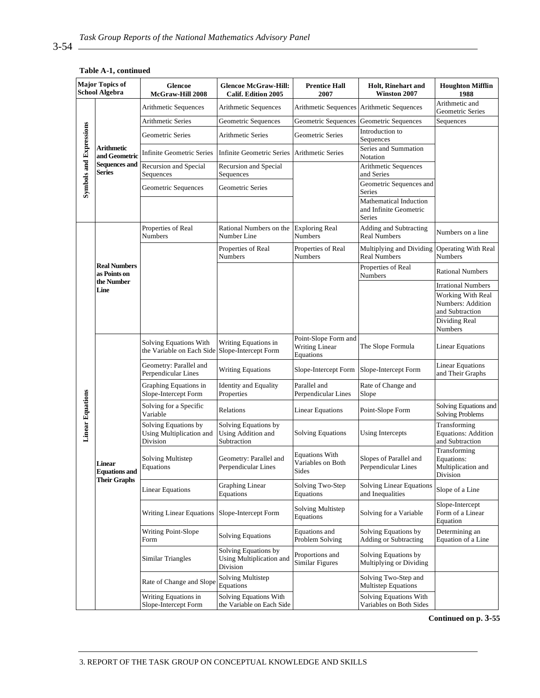|                                | <b>Major Topics of</b><br><b>School Algebra</b>              | Glencoe<br>McGraw-Hill 2008                                  | <b>Glencoe McGraw-Hill:</b><br><b>Calif. Edition 2005</b>    | <b>Prentice Hall</b><br>2007                        | <b>Holt, Rinehart and</b><br>Winston 2007                  | <b>Houghton Mifflin</b><br>1988                               |
|--------------------------------|--------------------------------------------------------------|--------------------------------------------------------------|--------------------------------------------------------------|-----------------------------------------------------|------------------------------------------------------------|---------------------------------------------------------------|
|                                |                                                              | Arithmetic Sequences                                         | Arithmetic Sequences                                         | Arithmetic Sequences                                | Arithmetic Sequences                                       | Arithmetic and<br>Geometric Series                            |
| <b>Symbols and Expressions</b> |                                                              | <b>Arithmetic Series</b>                                     | Geometric Sequences                                          | Geometric Sequences                                 | Geometric Sequences                                        | Sequences                                                     |
|                                |                                                              | Geometric Series                                             | <b>Arithmetic Series</b>                                     | Geometric Series                                    | Introduction to<br>Sequences                               |                                                               |
|                                | Arithmetic<br>and Geometric                                  | <b>Infinite Geometric Series</b>                             | <b>Infinite Geometric Series</b>                             | Arithmetic Series                                   | Series and Summation<br>Notation                           |                                                               |
|                                | <b>Sequences and</b><br><b>Series</b>                        | Recursion and Special<br>Sequences                           | Recursion and Special<br>Sequences                           |                                                     | Arithmetic Sequences<br>and Series                         |                                                               |
|                                |                                                              | Geometric Sequences                                          | Geometric Series                                             |                                                     | Geometric Sequences and<br>Series                          |                                                               |
|                                |                                                              |                                                              |                                                              |                                                     | Mathematical Induction<br>and Infinite Geometric<br>Series |                                                               |
|                                |                                                              | Properties of Real<br>Numbers                                | Rational Numbers on the<br>Number Line                       | <b>Exploring Real</b><br><b>Numbers</b>             | Adding and Subtracting<br><b>Real Numbers</b>              | Numbers on a line                                             |
|                                |                                                              |                                                              | Properties of Real<br><b>Numbers</b>                         | Properties of Real<br><b>Numbers</b>                | Multiplying and Dividing<br><b>Real Numbers</b>            | <b>Operating With Real</b><br>Numbers                         |
|                                | <b>Real Numbers</b><br>as Points on                          |                                                              |                                                              |                                                     | Properties of Real<br>Numbers                              | <b>Rational Numbers</b>                                       |
|                                | the Number<br>Line                                           |                                                              |                                                              |                                                     |                                                            | <b>Irrational Numbers</b>                                     |
|                                |                                                              |                                                              |                                                              |                                                     |                                                            | Working With Real                                             |
|                                |                                                              |                                                              |                                                              |                                                     |                                                            | Numbers: Addition<br>and Subtraction                          |
|                                |                                                              |                                                              |                                                              |                                                     |                                                            | Dividing Real<br>Numbers                                      |
|                                |                                                              | <b>Solving Equations With</b><br>the Variable on Each Side   | Writing Equations in<br>Slope-Intercept Form                 | Point-Slope Form and<br>Writing Linear<br>Equations | The Slope Formula                                          | <b>Linear Equations</b>                                       |
|                                |                                                              | Geometry: Parallel and<br>Perpendicular Lines                | <b>Writing Equations</b>                                     | Slope-Intercept Form                                | Slope-Intercept Form                                       | <b>Linear Equations</b><br>and Their Graphs                   |
|                                |                                                              | Graphing Equations in<br>Slope-Intercept Form                | <b>Identity and Equality</b><br>Properties                   | Parallel and<br>Perpendicular Lines                 | Rate of Change and<br>Slope                                |                                                               |
|                                |                                                              | Solving for a Specific<br>Variable                           | Relations                                                    | <b>Linear Equations</b>                             | Point-Slope Form                                           | Solving Equations and<br><b>Solving Problems</b>              |
| <b>Linear Equations</b>        |                                                              | Solving Equations by<br>Using Multiplication and<br>Division | Solving Equations by<br>Using Addition and<br>Subtraction    | <b>Solving Equations</b>                            | <b>Using Intercepts</b>                                    | Transforming<br><b>Equations: Addition</b><br>and Subtraction |
|                                | <b>Linear</b><br><b>Equations</b> and<br><b>Their Graphs</b> | Solving Multistep<br>Equations                               | Geometry: Parallel and<br>Perpendicular Lines                | <b>Equations With</b><br>Variables on Both<br>Sides | Slopes of Parallel and<br>Perpendicular Lines              | Transforming<br>Equations:<br>Multiplication and<br>Division  |
|                                |                                                              | <b>Linear Equations</b>                                      | <b>Graphing Linear</b><br>Equations                          | Solving Two-Step<br>Equations                       | Solving Linear Equations<br>and Inequalities               | Slope of a Line                                               |
|                                |                                                              | <b>Writing Linear Equations</b>                              | Slope-Intercept Form                                         | Solving Multistep<br>Equations                      | Solving for a Variable                                     | Slope-Intercept<br>Form of a Linear<br>Equation               |
|                                |                                                              | Writing Point-Slope<br>Form                                  | <b>Solving Equations</b>                                     | Equations and<br>Problem Solving                    | Solving Equations by<br><b>Adding or Subtracting</b>       | Determining an<br>Equation of a Line                          |
|                                |                                                              | Similar Triangles                                            | Solving Equations by<br>Using Multiplication and<br>Division | Proportions and<br><b>Similar Figures</b>           | Solving Equations by<br>Multiplying or Dividing            |                                                               |
|                                |                                                              | Rate of Change and Slope                                     | Solving Multistep<br>Equations                               |                                                     | Solving Two-Step and<br>Multistep Equations                |                                                               |
|                                |                                                              | Writing Equations in<br>Slope-Intercept Form                 | Solving Equations With<br>the Variable on Each Side          |                                                     | Solving Equations With<br>Variables on Both Sides          |                                                               |

#### **Table A-1, continued**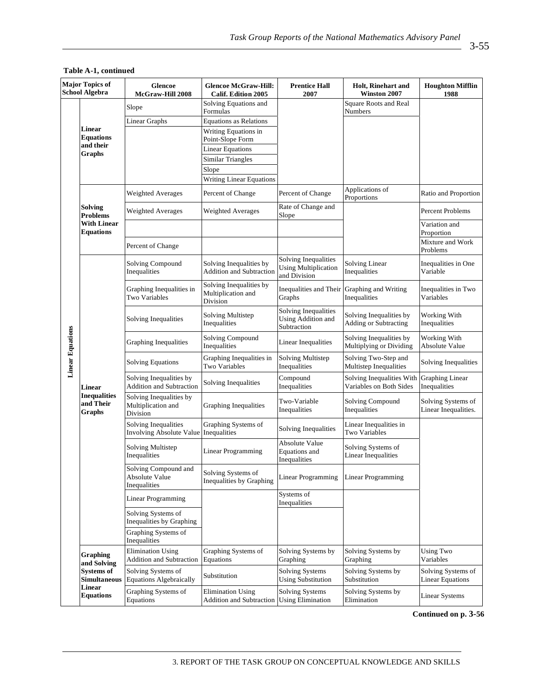| <b>Major Topics of</b><br><b>School Algebra</b> |                                            | <b>Glencoe</b><br>McGraw-Hill 2008                            | <b>Glencoe McGraw-Hill:</b><br><b>Calif. Edition 2005</b> | <b>Prentice Hall</b><br>2007                                        | <b>Holt, Rinehart and</b><br><b>Winston 2007</b>     | <b>Houghton Mifflin</b><br>1988               |
|-------------------------------------------------|--------------------------------------------|---------------------------------------------------------------|-----------------------------------------------------------|---------------------------------------------------------------------|------------------------------------------------------|-----------------------------------------------|
|                                                 |                                            | Slope                                                         | Solving Equations and<br>Formulas                         |                                                                     | <b>Square Roots and Real</b><br><b>Numbers</b>       |                                               |
|                                                 |                                            | <b>Linear Graphs</b>                                          | <b>Equations as Relations</b>                             |                                                                     |                                                      |                                               |
|                                                 | Linear<br><b>Equations</b>                 |                                                               | Writing Equations in<br>Point-Slope Form                  |                                                                     |                                                      |                                               |
|                                                 | and their<br>Graphs                        |                                                               | <b>Linear Equations</b>                                   |                                                                     |                                                      |                                               |
|                                                 |                                            |                                                               | <b>Similar Triangles</b>                                  |                                                                     |                                                      |                                               |
|                                                 |                                            |                                                               | Slope                                                     |                                                                     |                                                      |                                               |
|                                                 |                                            |                                                               | <b>Writing Linear Equations</b>                           |                                                                     |                                                      |                                               |
|                                                 |                                            | Weighted Averages                                             | Percent of Change                                         | Percent of Change                                                   | Applications of<br>Proportions                       | Ratio and Proportion                          |
|                                                 | Solving<br><b>Problems</b>                 | Weighted Averages                                             | Weighted Averages                                         | Rate of Change and<br>Slope                                         |                                                      | Percent Problems                              |
|                                                 | <b>With Linear</b><br><b>Equations</b>     |                                                               |                                                           |                                                                     |                                                      | Variation and<br>Proportion                   |
|                                                 |                                            | Percent of Change                                             |                                                           |                                                                     |                                                      | Mixture and Work<br>Problems                  |
|                                                 |                                            | Solving Compound<br>Inequalities                              | Solving Inequalities by<br>Addition and Subtraction       | Solving Inequalities<br><b>Using Multiplication</b><br>and Division | <b>Solving Linear</b><br>Inequalities                | Inequalities in One<br>Variable               |
|                                                 |                                            | Graphing Inequalities in<br>Two Variables                     | Solving Inequalities by<br>Multiplication and<br>Division | Inequalities and Their Graphing and Writing<br>Graphs               | Inequalities                                         | Inequalities in Two<br>Variables              |
|                                                 |                                            | Solving Inequalities                                          | Solving Multistep<br>Inequalities                         | Solving Inequalities<br>Using Addition and<br>Subtraction           | Solving Inequalities by<br>Adding or Subtracting     | Working With<br>Inequalities                  |
| <b>Linear Equations</b>                         |                                            | Graphing Inequalities                                         | Solving Compound<br>Inequalities                          | <b>Linear Inequalities</b>                                          | Solving Inequalities by<br>Multiplying or Dividing   | Working With<br><b>Absolute Value</b>         |
|                                                 |                                            | <b>Solving Equations</b>                                      | Graphing Inequalities in<br>Two Variables                 | Solving Multistep<br>Inequalities                                   | Solving Two-Step and<br>Multistep Inequalities       | Solving Inequalities                          |
|                                                 | <b>Linear</b>                              | Solving Inequalities by<br>Addition and Subtraction           | Solving Inequalities                                      | Compound<br>Inequalities                                            | Solving Inequalities With<br>Variables on Both Sides | <b>Graphing Linear</b><br>Inequalities        |
|                                                 | <b>Inequalities</b><br>and Their<br>Graphs | Solving Inequalities by<br>Multiplication and<br>Division     | Graphing Inequalities                                     | Two-Variable<br>Inequalities                                        | Solving Compound<br>Inequalities                     | Solving Systems of<br>Linear Inequalities.    |
|                                                 |                                            | Solving Inequalities<br>Involving Absolute Value Inequalities | Graphing Systems of                                       | Solving Inequalities                                                | Linear Inequalities in<br>Two Variables              |                                               |
|                                                 |                                            | Solving Multistep<br>Inequalities                             | Linear Programming                                        | <b>Absolute Value</b><br>Equations and<br>Inequalities              | Solving Systems of<br><b>Linear Inequalities</b>     |                                               |
|                                                 |                                            | Solving Compound and<br><b>Absolute Value</b><br>Inequalities | Solving Systems of<br>Inequalities by Graphing            | Linear Programming                                                  | Linear Programming                                   |                                               |
|                                                 |                                            | Linear Programming                                            |                                                           | Systems of<br>Inequalities                                          |                                                      |                                               |
|                                                 |                                            | Solving Systems of<br>Inequalities by Graphing                |                                                           |                                                                     |                                                      |                                               |
|                                                 |                                            | Graphing Systems of<br>Inequalities                           |                                                           |                                                                     |                                                      |                                               |
|                                                 | <b>Graphing</b><br>and Solving             | <b>Elimination Using</b><br><b>Addition and Subtraction</b>   | Graphing Systems of<br>Equations                          | Solving Systems by<br>Graphing                                      | Solving Systems by<br>Graphing                       | <b>Using Two</b><br>Variables                 |
|                                                 | <b>Systems of</b><br><b>Simultaneous</b>   | Solving Systems of<br><b>Equations Algebraically</b>          | Substitution                                              | <b>Solving Systems</b><br><b>Using Substitution</b>                 | Solving Systems by<br>Substitution                   | Solving Systems of<br><b>Linear Equations</b> |
|                                                 | Linear<br><b>Equations</b>                 | Graphing Systems of<br>Equations                              | <b>Elimination Using</b><br>Addition and Subtraction      | <b>Solving Systems</b><br><b>Using Elimination</b>                  | Solving Systems by<br>Elimination                    | <b>Linear Systems</b>                         |

#### **Table A-1, continued**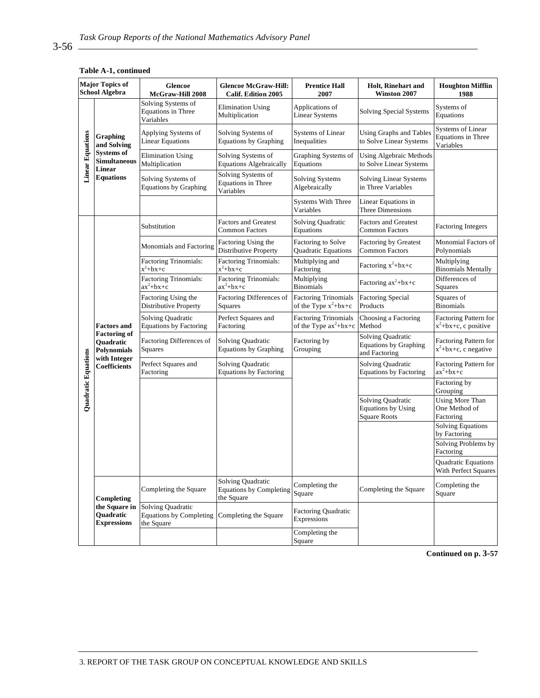| <b>Major Topics of</b><br><b>School Algebra</b> |                                                                                                          | <b>Glencoe</b><br>McGraw-Hill 2008                                | <b>Glencoe McGraw-Hill:</b><br>Calif. Edition 2005                       | <b>Prentice Hall</b><br>2007                           | <b>Holt, Rinehart and</b><br>Winston 2007                             | <b>Houghton Mifflin</b><br>1988                      |
|-------------------------------------------------|----------------------------------------------------------------------------------------------------------|-------------------------------------------------------------------|--------------------------------------------------------------------------|--------------------------------------------------------|-----------------------------------------------------------------------|------------------------------------------------------|
| <b>Linear Equations</b>                         | Graphing<br>and Solving<br><b>Systems of</b><br><b>Simultaneous</b><br><b>Linear</b><br><b>Equations</b> | Solving Systems of<br><b>Equations in Three</b><br>Variables      | <b>Elimination Using</b><br>Multiplication                               | Applications of<br><b>Linear Systems</b>               | Solving Special Systems                                               | Systems of<br>Equations                              |
|                                                 |                                                                                                          | Applying Systems of<br><b>Linear Equations</b>                    | Solving Systems of<br><b>Equations by Graphing</b>                       | Systems of Linear<br>Inequalities                      | Using Graphs and Tables<br>to Solve Linear Systems                    | Systems of Linear<br>Equations in Three<br>Variables |
|                                                 |                                                                                                          | <b>Elimination Using</b><br>Multiplication                        | Solving Systems of<br><b>Equations Algebraically</b>                     | Graphing Systems of<br>Equations                       | <b>Using Algebraic Methods</b><br>to Solve Linear Systems             |                                                      |
|                                                 |                                                                                                          | Solving Systems of<br><b>Equations by Graphing</b>                | Solving Systems of<br>Equations in Three<br>Variables                    | Solving Systems<br>Algebraically                       | <b>Solving Linear Systems</b><br>in Three Variables                   |                                                      |
|                                                 |                                                                                                          |                                                                   |                                                                          | <b>Systems With Three</b><br>Variables                 | Linear Equations in<br>Three Dimensions                               |                                                      |
| Quadratic Equations                             | <b>Factors and</b><br><b>Factoring of</b><br>Quadratic<br>Polynomials<br>with Integer<br>Coefficients    | Substitution                                                      | <b>Factors and Greatest</b><br><b>Common Factors</b>                     | Solving Quadratic<br>Equations                         | <b>Factors and Greatest</b><br><b>Common Factors</b>                  | <b>Factoring Integers</b>                            |
|                                                 |                                                                                                          | Monomials and Factoring                                           | Factoring Using the<br>Distributive Property                             | Factoring to Solve<br>Quadratic Equations              | <b>Factoring by Greatest</b><br>Common Factors                        | Monomial Factors of<br>Polynomials                   |
|                                                 |                                                                                                          | <b>Factoring Trinomials:</b><br>$x^2+bx+c$                        | Factoring Trinomials:<br>$x^2+bx+c$                                      | Multiplying and<br>Factoring                           | Factoring $x^2+bx+c$                                                  | Multiplying<br><b>Binomials Mentally</b>             |
|                                                 |                                                                                                          | <b>Factoring Trinomials:</b><br>$ax^2+bx+c$                       | <b>Factoring Trinomials:</b><br>$ax^2+bx+c$                              | Multiplying<br><b>Binomials</b>                        | Factoring $ax^2+bx+c$                                                 | Differences of<br>Squares                            |
|                                                 |                                                                                                          | Factoring Using the<br>Distributive Property                      | Factoring Differences of<br>Squares                                      | <b>Factoring Trinomials</b><br>of the Type $x^2+bx+c$  | <b>Factoring Special</b><br>Products                                  | Squares of<br><b>Binomials</b>                       |
|                                                 |                                                                                                          | Solving Quadratic<br><b>Equations by Factoring</b>                | Perfect Squares and<br>Factoring                                         | <b>Factoring Trinomials</b><br>of the Type $ax^2+bx+c$ | Choosing a Factoring<br>Method                                        | Factoring Pattern for<br>$x^2+bx+c$ , c positive     |
|                                                 |                                                                                                          | Factoring Differences of<br>Squares                               | Solving Quadratic<br><b>Equations by Graphing</b>                        | Factoring by<br>Grouping                               | Solving Quadratic<br><b>Equations by Graphing</b><br>and Factoring    | Factoring Pattern for<br>$x^2+bx+c$ , c negative     |
|                                                 |                                                                                                          | Perfect Squares and<br>Factoring                                  | Solving Quadratic<br><b>Equations by Factoring</b>                       |                                                        | Solving Quadratic<br><b>Equations by Factoring</b>                    | Factoring Pattern for<br>$ax^2+bx+c$                 |
|                                                 |                                                                                                          |                                                                   |                                                                          |                                                        |                                                                       | Factoring by<br>Grouping                             |
|                                                 |                                                                                                          |                                                                   |                                                                          |                                                        | Solving Quadratic<br><b>Equations by Using</b><br><b>Square Roots</b> | Using More Than<br>One Method of<br>Factoring        |
|                                                 |                                                                                                          |                                                                   |                                                                          |                                                        |                                                                       | <b>Solving Equations</b><br>by Factoring             |
|                                                 |                                                                                                          |                                                                   |                                                                          |                                                        |                                                                       | Solving Problems by<br>Factoring                     |
|                                                 |                                                                                                          |                                                                   |                                                                          |                                                        |                                                                       | Quadratic Equations<br>With Perfect Squares          |
|                                                 | Completing<br>the Square in<br>Quadratic<br><b>Expressions</b>                                           | Completing the Square                                             | <b>Solving Quadratic</b><br><b>Equations by Completing</b><br>the Square | Completing the<br>Square                               | Completing the Square                                                 | Completing the<br>Square                             |
|                                                 |                                                                                                          | Solving Quadratic<br><b>Equations by Completing</b><br>the Square | Completing the Square                                                    | Factoring Quadratic<br>Expressions                     |                                                                       |                                                      |
|                                                 |                                                                                                          |                                                                   |                                                                          | Completing the<br>Square                               |                                                                       |                                                      |

#### **Table A-1, continued**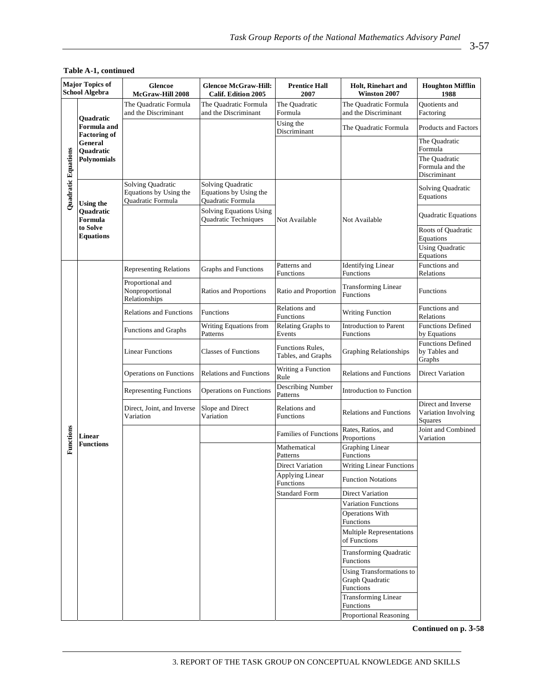| <b>Major Topics of</b><br><b>School Algebra</b> |                                                                                                                          | Glencoe<br>McGraw-Hill 2008                                             | <b>Glencoe McGraw-Hill:</b><br><b>Calif. Edition 2005</b>        | <b>Prentice Hall</b><br>2007           | <b>Holt, Rinehart and</b><br>Winston 2007                         | <b>Houghton Mifflin</b><br>1988                      |
|-------------------------------------------------|--------------------------------------------------------------------------------------------------------------------------|-------------------------------------------------------------------------|------------------------------------------------------------------|----------------------------------------|-------------------------------------------------------------------|------------------------------------------------------|
| Quadratic Equations                             | <b>Ouadratic</b><br><b>Formula</b> and<br><b>Factoring of</b><br>General<br>Quadratic<br>Polynomials<br><b>Using the</b> | The Quadratic Formula<br>and the Discriminant                           | The Quadratic Formula<br>and the Discriminant                    | The Quadratic<br>Formula               | The Quadratic Formula<br>and the Discriminant                     | <b>Ouotients</b> and<br>Factoring                    |
|                                                 |                                                                                                                          |                                                                         |                                                                  | Using the<br>Discriminant              | The Quadratic Formula                                             | Products and Factors                                 |
|                                                 |                                                                                                                          |                                                                         |                                                                  |                                        |                                                                   | The Quadratic<br>Formula                             |
|                                                 |                                                                                                                          |                                                                         |                                                                  |                                        |                                                                   | The Quadratic<br>Formula and the<br>Discriminant     |
|                                                 |                                                                                                                          | Solving Quadratic<br>Equations by Using the<br><b>Ouadratic Formula</b> | Solving Quadratic<br>Equations by Using the<br>Quadratic Formula |                                        |                                                                   | Solving Quadratic<br>Equations                       |
|                                                 | Quadratic<br>Formula                                                                                                     |                                                                         | Solving Equations Using<br>Quadratic Techniques                  | Not Available                          | Not Available                                                     | Quadratic Equations                                  |
|                                                 | to Solve<br><b>Equations</b>                                                                                             |                                                                         |                                                                  |                                        |                                                                   | Roots of Quadratic<br>Equations                      |
|                                                 |                                                                                                                          |                                                                         |                                                                  |                                        |                                                                   | <b>Using Quadratic</b><br>Equations                  |
|                                                 |                                                                                                                          | <b>Representing Relations</b>                                           | Graphs and Functions                                             | Patterns and<br>Functions              | <b>Identifying Linear</b><br><b>Functions</b>                     | Functions and<br>Relations                           |
|                                                 |                                                                                                                          | Proportional and<br>Nonproportional<br>Relationships                    | Ratios and Proportions                                           | Ratio and Proportion                   | <b>Transforming Linear</b><br><b>Functions</b>                    | <b>Functions</b>                                     |
|                                                 |                                                                                                                          | <b>Relations and Functions</b>                                          | Functions                                                        | Relations and<br>Functions             | <b>Writing Function</b>                                           | Functions and<br>Relations                           |
|                                                 | <b>Linear</b>                                                                                                            | Functions and Graphs                                                    | Writing Equations from<br>Patterns                               | Relating Graphs to<br>Events           | <b>Introduction to Parent</b><br><b>Functions</b>                 | <b>Functions Defined</b><br>by Equations             |
|                                                 |                                                                                                                          | <b>Linear Functions</b>                                                 | <b>Classes of Functions</b>                                      | Functions Rules,<br>Tables, and Graphs | <b>Graphing Relationships</b>                                     | <b>Functions Defined</b><br>by Tables and<br>Graphs  |
|                                                 |                                                                                                                          | Operations on Functions                                                 | <b>Relations and Functions</b>                                   | Writing a Function<br>Rule             | <b>Relations and Functions</b>                                    | Direct Variation                                     |
|                                                 |                                                                                                                          | <b>Representing Functions</b>                                           | <b>Operations on Functions</b>                                   | <b>Describing Number</b><br>Patterns   | Introduction to Function                                          |                                                      |
|                                                 |                                                                                                                          | Direct, Joint, and Inverse<br>Variation                                 | Slope and Direct<br>Variation                                    | Relations and<br>Functions             | <b>Relations and Functions</b>                                    | Direct and Inverse<br>Variation Involving<br>Squares |
| Functions                                       |                                                                                                                          |                                                                         |                                                                  | <b>Families of Functions</b>           | Rates, Ratios, and<br>Proportions                                 | Joint and Combined<br>Variation                      |
|                                                 | <b>Functions</b>                                                                                                         |                                                                         |                                                                  | Mathematical<br>Patterns               | <b>Graphing Linear</b><br>Functions                               |                                                      |
|                                                 |                                                                                                                          |                                                                         |                                                                  | <b>Direct Variation</b>                | <b>Writing Linear Functions</b>                                   |                                                      |
|                                                 |                                                                                                                          |                                                                         |                                                                  | Applying Linear<br><b>Functions</b>    | <b>Function Notations</b>                                         |                                                      |
|                                                 |                                                                                                                          |                                                                         |                                                                  | <b>Standard Form</b>                   | Direct Variation                                                  |                                                      |
|                                                 |                                                                                                                          |                                                                         |                                                                  |                                        | Variation Functions                                               |                                                      |
|                                                 |                                                                                                                          |                                                                         |                                                                  |                                        | <b>Operations With</b><br>Functions                               |                                                      |
|                                                 |                                                                                                                          |                                                                         |                                                                  |                                        | <b>Multiple Representations</b><br>of Functions                   |                                                      |
|                                                 |                                                                                                                          |                                                                         |                                                                  |                                        | Transforming Quadratic<br>Functions                               |                                                      |
|                                                 |                                                                                                                          |                                                                         |                                                                  |                                        | <b>Using Transformations to</b><br>Graph Quadratic<br>Functions   |                                                      |
|                                                 |                                                                                                                          |                                                                         |                                                                  |                                        | <b>Transforming Linear</b><br>Functions<br>Proportional Reasoning |                                                      |
|                                                 |                                                                                                                          |                                                                         |                                                                  |                                        |                                                                   |                                                      |

#### **Table A-1, continued**

**Continued on p. 3-58**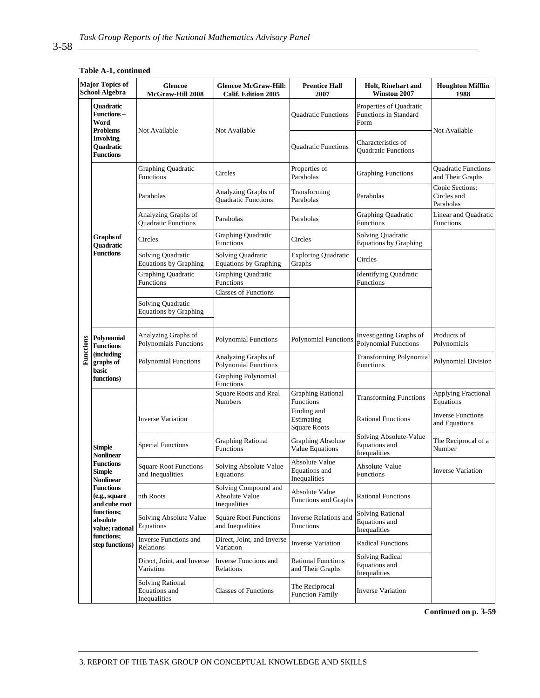#### **Major Topics of Glencoe Glencoe McGraw-Hill: Prentice Hall Holt, Rinehart and Houghton Mifflin School Algebra Winston 2007 McGraw-Hill 2008 Calif. Edition 2005 2007 1988 Quadratic**  Properties of Quadratic **Functions –**  Quadratic Functions Functions in Standard **Word**  Form **Problems**  Not Available Not Available Not Available **Involving**  Quadratic Functions Characteristics of **Quadratic**  Quadratic Functions **Functions**  Properties of Craphing Functions Parabolas Parabolas Craphing Functions and Their Graphs Graphing Quadratic Circles Properties of Properties of Properties of Parabolas and Their Graphs Conic Sections: Parabolas Analyzing Graphs of Transforming Parabolas Parabolas Circles and Quadratic Functions Parabolas Analyzing Graphs of Linear and Quadratic Analyzing Graphs of Parabolas Parabolas Parabolas Graphing Quadratic Quadratic Quadratic Quadratic Quadratic Quadratic Quadratic Quadratic Quadratic Quadratic Quadratic Quadratic Quadratic Quadratic Quadratic Quadratic Qua Functions Functions Circles Graphing Quadratic Functions Circles Solving Quadratic Equations by Graphing **Graphs of Quadratic Functions**  Solving Quadratic Solving Quadratic Exploring Quadratic Circles Equations by Graphing Equations by Graphing Graphing Quadratic Graphing Quadratic Graphing Quadratic **Internal Constructions** Internal Identifying Quadratic Functions Functions Functions Classes of Functions Solving Quadratic Equations by Graphing Analyzing Graphs of Polynomial Functions Polynomial Functions Investigating Graphs of Polynomial Functions Analyzing Graphs of Products of **Polynomial Functions**  Functions Polynomial Functions Polynomials **Functions (including**  Polynomial Functions Analyzing Graphs of Transforming Polynomial Functions Polynomial Division **graphs of**  Polynomial Functions **basic functions**) **C Graphing Polynomial** Functions Square Roots and Real Graphing Rational Transforming Functions Applying Fractional Functions Graphing Rational Numbers Equations Finding and Rational Functions Inverse Functions Inverse Variation Estimating and Equations Square Roots Solving Absolute-Value Special Functions Graphing Rational Graphing Absolute The Reciprocal of a Equations and **Simple**  Functions Value Equations Number Inequalities **Nonlinear**  Absolute Value **Functions**  Absolute-Value Square Root Functions Solving Absolute Value Equations and **Inverse Variation Simple**  and Inequalities **Equations Nonlinear**  Inequalities **Functions**  Solving Compound and Absolute Value **(e.g., square**  nth Roots Absolute Value Functions and Graphs Rational Functions **and cube root**  Inequalities **functions;**  Solving Rational Solving Absolute Value Square Root Functions Inverse Relations and **absolute**  Equations and Equations and Inequalities Functions **value; rational**  Inequalities **functions;**  Inverse Functions and Direct, Joint, and Inverse **step functions)**  Direct, John, and Hiverse Variation Radical Functions Relations Solving Radical Direct, Joint, and Inverse Inverse Functions and Rational Functions Equations and and Their Graphs Variation Relations Inequalities Solving Rational  $\Gamma$ Classes of Functions  $\Gamma$  The Reciprocal Equations and Function Family Inverse Variation **Inequalities**

#### **Table A-1, continued**

**Continued on p. 3-59**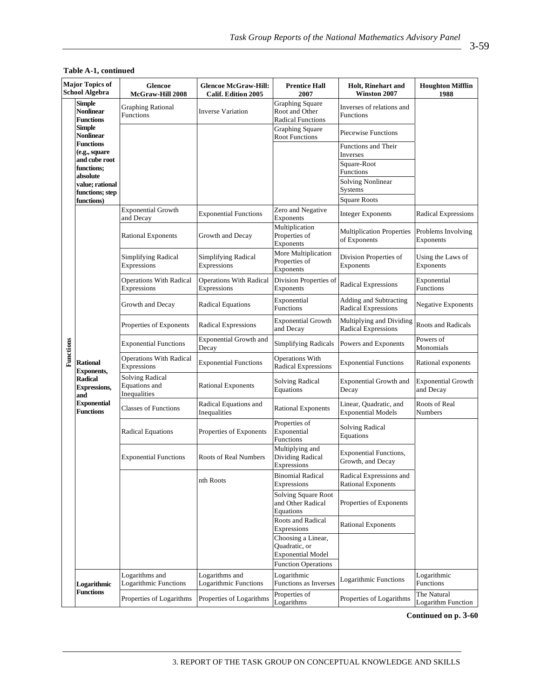| <b>Major Topics of</b><br><b>School Algebra</b> |                                                                                                                                | <b>Glencoe</b><br>McGraw-Hill 2008                      | <b>Glencoe McGraw-Hill:</b><br><b>Calif. Edition 2005</b> | <b>Prentice Hall</b><br>2007                                         | <b>Holt, Rinehart and</b><br>Winston 2007                   | <b>Houghton Mifflin</b><br>1988        |
|-------------------------------------------------|--------------------------------------------------------------------------------------------------------------------------------|---------------------------------------------------------|-----------------------------------------------------------|----------------------------------------------------------------------|-------------------------------------------------------------|----------------------------------------|
|                                                 | <b>Simple</b><br><b>Nonlinear</b><br><b>Functions</b>                                                                          | <b>Graphing Rational</b><br>Functions                   | <b>Inverse Variation</b>                                  | <b>Graphing Square</b><br>Root and Other<br><b>Radical Functions</b> | Inverses of relations and<br>Functions                      |                                        |
|                                                 | Simple<br>Nonlinear                                                                                                            |                                                         |                                                           | <b>Graphing Square</b><br><b>Root Functions</b>                      | Piecewise Functions                                         |                                        |
|                                                 | <b>Functions</b><br>(e.g., square                                                                                              |                                                         |                                                           |                                                                      | Functions and Their<br>Inverses                             |                                        |
|                                                 | and cube root<br>functions:<br>absolute                                                                                        |                                                         |                                                           |                                                                      | Square-Root<br><b>Functions</b><br><b>Solving Nonlinear</b> |                                        |
|                                                 | value; rational<br>functions; step<br>functions)                                                                               |                                                         |                                                           |                                                                      | Systems<br><b>Square Roots</b>                              |                                        |
|                                                 |                                                                                                                                | <b>Exponential Growth</b><br>and Decay                  | <b>Exponential Functions</b>                              | Zero and Negative<br>Exponents                                       | <b>Integer Exponents</b>                                    | <b>Radical Expressions</b>             |
|                                                 |                                                                                                                                | <b>Rational Exponents</b>                               | Growth and Decay                                          | Multiplication<br>Properties of<br>Exponents                         | <b>Multiplication Properties</b><br>of Exponents            | Problems Involving<br><b>Exponents</b> |
|                                                 |                                                                                                                                | <b>Simplifying Radical</b><br>Expressions               | <b>Simplifying Radical</b><br>Expressions                 | More Multiplication<br>Properties of<br><b>Exponents</b>             | Division Properties of<br>Exponents                         | Using the Laws of<br>Exponents         |
|                                                 |                                                                                                                                | <b>Operations With Radical</b><br>Expressions           | <b>Operations With Radical</b><br>Expressions             | Division Properties of<br>Exponents                                  | Radical Expressions                                         | Exponential<br><b>Functions</b>        |
| Functions                                       |                                                                                                                                | Growth and Decay                                        | <b>Radical Equations</b>                                  | Exponential<br><b>Functions</b>                                      | Adding and Subtracting<br>Radical Expressions               | <b>Negative Exponents</b>              |
|                                                 | <b>Rational</b><br><b>Exponents,</b><br><b>Radical</b><br><b>Expressions,</b><br>and<br><b>Exponential</b><br><b>Functions</b> | Properties of Exponents                                 | <b>Radical Expressions</b>                                | <b>Exponential Growth</b><br>and Decay                               | Multiplying and Dividing<br><b>Radical Expressions</b>      | <b>Roots and Radicals</b>              |
|                                                 |                                                                                                                                | <b>Exponential Functions</b>                            | <b>Exponential Growth and</b><br>Decay                    | <b>Simplifying Radicals</b>                                          | Powers and Exponents                                        | Powers of<br>Monomials                 |
|                                                 |                                                                                                                                | <b>Operations With Radical</b><br>Expressions           | <b>Exponential Functions</b>                              | <b>Operations With</b><br><b>Radical Expressions</b>                 | <b>Exponential Functions</b>                                | Rational exponents                     |
|                                                 |                                                                                                                                | <b>Solving Radical</b><br>Equations and<br>Inequalities | <b>Rational Exponents</b>                                 | <b>Solving Radical</b><br>Equations                                  | <b>Exponential Growth and</b><br>Decay                      | <b>Exponential Growth</b><br>and Decay |
|                                                 |                                                                                                                                | <b>Classes of Functions</b>                             | Radical Equations and<br>Inequalities                     | <b>Rational Exponents</b>                                            | Linear, Quadratic, and<br><b>Exponential Models</b>         | Roots of Real<br>Numbers               |
|                                                 |                                                                                                                                | <b>Radical Equations</b>                                | Properties of Exponents                                   | Properties of<br>Exponential<br>Functions                            | <b>Solving Radical</b><br>Equations                         |                                        |
|                                                 |                                                                                                                                | <b>Exponential Functions</b>                            | Roots of Real Numbers                                     | Multiplying and<br>Dividing Radical<br>Expressions                   | <b>Exponential Functions,</b><br>Growth, and Decay          |                                        |
|                                                 |                                                                                                                                |                                                         | nth Roots                                                 | <b>Binomial Radical</b><br>Expressions                               | Radical Expressions and<br><b>Rational Exponents</b>        |                                        |
|                                                 |                                                                                                                                |                                                         |                                                           | Solving Square Root<br>and Other Radical<br>Equations                | Properties of Exponents                                     |                                        |
|                                                 |                                                                                                                                |                                                         |                                                           | Roots and Radical<br>Expressions                                     | <b>Rational Exponents</b>                                   |                                        |
|                                                 |                                                                                                                                |                                                         |                                                           | Choosing a Linear,<br>Quadratic, or<br><b>Exponential Model</b>      |                                                             |                                        |
|                                                 |                                                                                                                                | Logarithms and                                          | Logarithms and                                            | <b>Function Operations</b><br>Logarithmic                            |                                                             | Logarithmic                            |
|                                                 | Logarithmic<br><b>Functions</b>                                                                                                | Logarithmic Functions                                   | Logarithmic Functions                                     | Functions as Inverses<br>Properties of                               | Logarithmic Functions                                       | Functions<br>The Natural               |
|                                                 |                                                                                                                                | Properties of Logarithms                                | Properties of Logarithms                                  | Logarithms                                                           | Properties of Logarithms                                    | <b>Logarithm Function</b>              |

#### **Table A-1, continued**

**Continued on p. 3-60**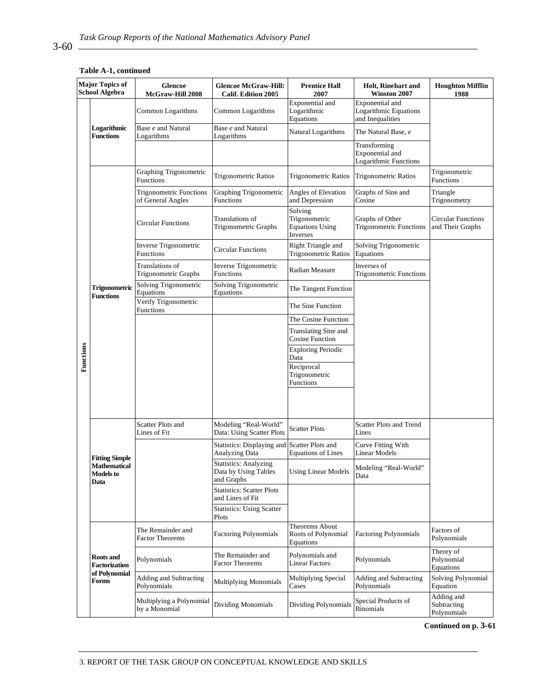| Table A-1, continued |  |
|----------------------|--|
|----------------------|--|

| <b>Major Topics of</b><br><b>School Algebra</b> |                                          | Glencoe<br>McGraw-Hill 2008                         | <b>Glencoe McGraw-Hill:</b><br><b>Calif. Edition 2005</b>          | <b>Prentice Hall</b><br>2007                                   | <b>Holt, Rinehart and</b><br>Winston 2007                    | <b>Houghton Mifflin</b><br>1988          |
|-------------------------------------------------|------------------------------------------|-----------------------------------------------------|--------------------------------------------------------------------|----------------------------------------------------------------|--------------------------------------------------------------|------------------------------------------|
|                                                 |                                          | Common Logarithms                                   | Common Logarithms                                                  | Exponential and<br>Logarithmic<br>Equations                    | Exponential and<br>Logarithmic Equations<br>and Inequalities |                                          |
|                                                 | Logarithmic<br><b>Functions</b>          | Base e and Natural<br>Logarithms                    | Base e and Natural<br>Logarithms                                   | Natural Logarithms                                             | The Natural Base, e                                          |                                          |
|                                                 |                                          |                                                     |                                                                    |                                                                | Transforming<br>Exponential and<br>Logarithmic Functions     |                                          |
|                                                 |                                          | Graphing Trigonometric<br>Functions                 | <b>Trigonometric Ratios</b>                                        | Trigonometric Ratios                                           | <b>Trigonometric Ratios</b>                                  | Trigonometric<br>Functions               |
|                                                 |                                          | <b>Trigonometric Functions</b><br>of General Angles | Graphing Trigonometric<br>Functions                                | Angles of Elevation<br>and Depression                          | Graphs of Sine and<br>Cosine                                 | Triangle<br>Trigonometry                 |
|                                                 |                                          | <b>Circular Functions</b>                           | Translations of<br>Trigonometric Graphs                            | Solving<br>Trigonometric<br><b>Equations Using</b><br>Inverses | Graphs of Other<br><b>Trigonometric Functions</b>            | Circular Functions<br>and Their Graphs   |
|                                                 |                                          | Inverse Trigonometric<br>Functions                  | <b>Circular Functions</b>                                          | Right Triangle and<br><b>Trigonometric Ratios</b>              | Solving Trigonometric<br>Equations                           |                                          |
|                                                 |                                          | Translations of<br>Trigonometric Graphs             | Inverse Trigonometric<br><b>Functions</b>                          | Radian Measure                                                 | Inverses of<br><b>Trigonometric Functions</b>                |                                          |
|                                                 | Trigonometric<br><b>Functions</b>        | Solving Trigonometric<br>Equations                  | Solving Trigonometric<br>Equations                                 | The Tangent Function                                           |                                                              |                                          |
|                                                 |                                          | Verify Trigonometric<br>Functions                   |                                                                    | The Sine Function                                              |                                                              |                                          |
| Functions                                       |                                          |                                                     |                                                                    | The Cosine Function                                            |                                                              |                                          |
|                                                 |                                          |                                                     |                                                                    | Translating Sine and<br><b>Cosine Function</b>                 |                                                              |                                          |
|                                                 |                                          |                                                     |                                                                    | <b>Exploring Periodic</b><br>Data                              |                                                              |                                          |
|                                                 |                                          |                                                     |                                                                    | Reciprocal<br>Trigonometric<br>Functions                       |                                                              |                                          |
|                                                 |                                          |                                                     |                                                                    |                                                                |                                                              |                                          |
|                                                 | <b>Fitting Simple</b>                    | <b>Scatter Plots and</b><br>Lines of Fit            | Modeling "Real-World"<br>Data: Using Scatter Plots                 | <b>Scatter Plots</b>                                           | <b>Scatter Plots and Trend</b><br>Lines                      |                                          |
|                                                 |                                          |                                                     | Statistics: Displaying and Scatter Plots and<br>Analyzing Data     | <b>Equations of Lines</b>                                      | Curve Fitting With<br><b>Linear Models</b>                   |                                          |
|                                                 | <b>Mathematical</b><br>Models to<br>Data |                                                     | <b>Statistics: Analyzing</b><br>Data by Using Tables<br>and Graphs | <b>Using Linear Models</b>                                     | Modeling "Real-World"<br>Data                                |                                          |
|                                                 |                                          |                                                     | <b>Statistics: Scatter Plots</b><br>and Lines of Fit               |                                                                |                                                              | Factors of                               |
|                                                 |                                          |                                                     | <b>Statistics: Using Scatter</b><br>Plots                          |                                                                |                                                              |                                          |
|                                                 |                                          | The Remainder and<br><b>Factor Theorems</b>         | <b>Factoring Polynomials</b>                                       | Theorems About<br>Roots of Polynomial<br>Equations             | <b>Factoring Polynomials</b>                                 | Polynomials                              |
|                                                 | <b>Roots</b> and<br>Factorization        | Polynomials                                         | The Remainder and<br><b>Factor Theorems</b>                        | Polynomials and<br><b>Linear Factors</b>                       | Polynomials                                                  | Theory of<br>Polynomial<br>Equations     |
|                                                 | of Polynomial<br>Forms                   | Adding and Subtracting<br>Polynomials               | <b>Multiplying Monomials</b>                                       | Multiplying Special<br>Cases                                   | Adding and Subtracting<br>Polynomials                        | Solving Polynomial<br>Equation           |
|                                                 |                                          | Multiplying a Polynomial<br>by a Monomial           | <b>Dividing Monomials</b>                                          | Dividing Polynomials                                           | Special Products of<br><b>Binomials</b>                      | Adding and<br>Subtracting<br>Polynomials |

**Continued on p. 3-61** 

## $3-60$   $-$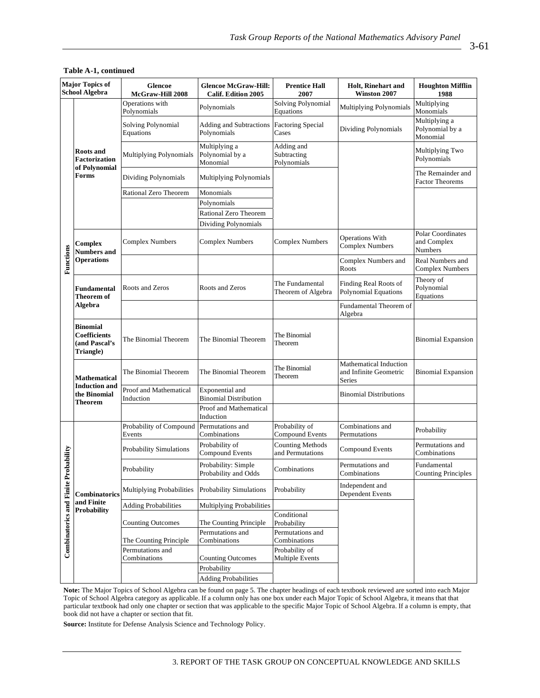| Major Topics of<br><b>School Algebra</b> |                                                               | <b>Glencoe McGraw-Hill:</b><br><b>Glencoe</b><br>McGraw-Hill 2008<br><b>Calif. Edition 2005</b> |                                                 | <b>Prentice Hall</b><br>2007                | <b>Holt, Rinehart and</b><br>Winston 2007                         | <b>Houghton Mifflin</b><br>1988                           |
|------------------------------------------|---------------------------------------------------------------|-------------------------------------------------------------------------------------------------|-------------------------------------------------|---------------------------------------------|-------------------------------------------------------------------|-----------------------------------------------------------|
|                                          |                                                               | Operations with<br>Polynomials                                                                  | Polynomials                                     | Solving Polynomial<br>Equations             | Multiplying Polynomials                                           | Multiplying<br>Monomials                                  |
|                                          | <b>Roots</b> and<br>Factorization<br>of Polynomial<br>Forms   | Solving Polynomial<br>Equations                                                                 | <b>Adding and Subtractions</b><br>Polynomials   | <b>Factoring Special</b><br>Cases           | Dividing Polynomials                                              | Multiplying a<br>Polynomial by a<br>Monomial              |
|                                          |                                                               | Multiplying Polynomials                                                                         | Multiplying a<br>Polynomial by a<br>Monomial    | Adding and<br>Subtracting<br>Polynomials    |                                                                   | Multiplying Two<br>Polynomials                            |
|                                          |                                                               | Dividing Polynomials                                                                            | Multiplying Polynomials                         |                                             |                                                                   | The Remainder and<br><b>Factor Theorems</b>               |
|                                          |                                                               | Rational Zero Theorem                                                                           | Monomials                                       |                                             |                                                                   |                                                           |
|                                          |                                                               |                                                                                                 | Polynomials                                     |                                             |                                                                   |                                                           |
|                                          |                                                               |                                                                                                 | Rational Zero Theorem                           |                                             |                                                                   |                                                           |
|                                          |                                                               |                                                                                                 | Dividing Polynomials                            |                                             |                                                                   |                                                           |
|                                          | Complex<br><b>Numbers and</b>                                 | <b>Complex Numbers</b>                                                                          | <b>Complex Numbers</b>                          | <b>Complex Numbers</b>                      | <b>Operations With</b><br><b>Complex Numbers</b>                  | <b>Polar Coordinates</b><br>and Complex<br><b>Numbers</b> |
| Functions                                | <b>Operations</b>                                             |                                                                                                 |                                                 |                                             | Complex Numbers and<br>Roots                                      | Real Numbers and<br><b>Complex Numbers</b>                |
|                                          | Fundamental<br>Theorem of<br><b>Algebra</b>                   | Roots and Zeros                                                                                 | Roots and Zeros                                 | The Fundamental<br>Theorem of Algebra       | Finding Real Roots of<br>Polynomial Equations                     | Theory of<br>Polynomial<br>Equations                      |
|                                          |                                                               |                                                                                                 |                                                 |                                             | Fundamental Theorem of<br>Algebra                                 |                                                           |
|                                          | Binomial<br><b>Coefficients</b><br>(and Pascal's<br>Triangle) | The Binomial Theorem                                                                            | The Binomial Theorem                            | The Binomial<br>Theorem                     |                                                                   | <b>Binomial Expansion</b>                                 |
|                                          | Mathematical                                                  | The Binomial Theorem                                                                            | The Binomial Theorem                            | The Binomial<br>Theorem                     | Mathematical Induction<br>and Infinite Geometric<br><b>Series</b> | <b>Binomial Expansion</b>                                 |
|                                          | <b>Induction</b> and<br>the Binomial<br>Theorem               | Proof and Mathematical<br>Induction                                                             | Exponential and<br><b>Binomial Distribution</b> |                                             | <b>Binomial Distributions</b>                                     |                                                           |
|                                          |                                                               |                                                                                                 | Proof and Mathematical<br>Induction             |                                             |                                                                   |                                                           |
|                                          |                                                               | Probability of Compound<br>Events                                                               | Permutations and<br>Combinations                | Probability of<br><b>Compound Events</b>    | Combinations and<br>Permutations                                  | Probability                                               |
| bability                                 |                                                               | Probability Simulations                                                                         | Probability of<br>Compound Events               | <b>Counting Methods</b><br>and Permutations | Compound Events                                                   | Permutations and<br>Combinations                          |
|                                          |                                                               | Probability                                                                                     | Probability: Simple<br>Probability and Odds     | Combinations                                | Permutations and<br>Combinations                                  | Fundamental<br><b>Counting Principles</b>                 |
|                                          | Combinatorics                                                 | Multiplying Probabilities                                                                       | Probability Simulations                         | Probability                                 | Independent and<br>Dependent Events                               |                                                           |
|                                          | and Finite                                                    | <b>Adding Probabilities</b>                                                                     | Multiplying Probabilities                       |                                             |                                                                   |                                                           |
|                                          | <b>Probability</b>                                            | <b>Counting Outcomes</b>                                                                        | The Counting Principle                          | Conditional<br>Probability                  |                                                                   |                                                           |
| Combinatorics and Finite Prol            |                                                               | The Counting Principle                                                                          | Permutations and<br>Combinations                | Permutations and<br>Combinations            |                                                                   |                                                           |
|                                          |                                                               | Permutations and<br>Combinations                                                                | <b>Counting Outcomes</b>                        | Probability of<br><b>Multiple Events</b>    |                                                                   |                                                           |
|                                          |                                                               |                                                                                                 | Probability                                     |                                             |                                                                   |                                                           |
|                                          |                                                               |                                                                                                 | <b>Adding Probabilities</b>                     |                                             |                                                                   |                                                           |

### **Table A-1, continued**

**Note:** The Major Topics of School Algebra can be found on page 5. The chapter headings of each textbook reviewed are sorted into each Major Topic of School Algebra category as applicable. If a column only has one box under each Major Topic of School Algebra, it means that that particular textbook had only one chapter or section that was applicable to the specific Major Topic of School Algebra. If a column is empty, that book did not have a chapter or section that fit.

**Source:** Institute for Defense Analysis Science and Technology Policy.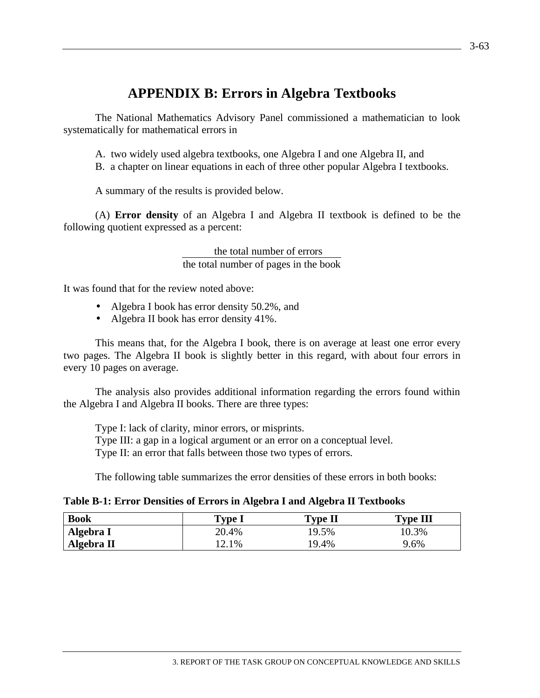# **APPENDIX B: Errors in Algebra Textbooks**

The National Mathematics Advisory Panel commissioned a mathematician to look systematically for mathematical errors in

A. two widely used algebra textbooks, one Algebra I and one Algebra II, and

B. a chapter on linear equations in each of three other popular Algebra I textbooks.

A summary of the results is provided below.

(A) **Error density** of an Algebra I and Algebra II textbook is defined to be the following quotient expressed as a percent:

> the total number of errors the total number of pages in the book

It was found that for the review noted above:

- Algebra I book has error density 50.2%, and
- Algebra II book has error density 41%.

This means that, for the Algebra I book, there is on average at least one error every two pages. The Algebra II book is slightly better in this regard, with about four errors in every 10 pages on average.

The analysis also provides additional information regarding the errors found within the Algebra I and Algebra II books. There are three types:

Type I: lack of clarity, minor errors, or misprints. Type III: a gap in a logical argument or an error on a conceptual level. Type II: an error that falls between those two types of errors.

The following table summarizes the error densities of these errors in both books:

| Table B-1: Error Densities of Errors in Algebra I and Algebra II Textbooks |  |  |  |
|----------------------------------------------------------------------------|--|--|--|
|----------------------------------------------------------------------------|--|--|--|

| <b>Book</b> | Type l | Type II | <b>Type III</b> |
|-------------|--------|---------|-----------------|
| Algebra I   | 20.4%  | 19.5%   | 10.3%           |
| Algebra II  | 12.1%  | 19.4%   | 9.6%            |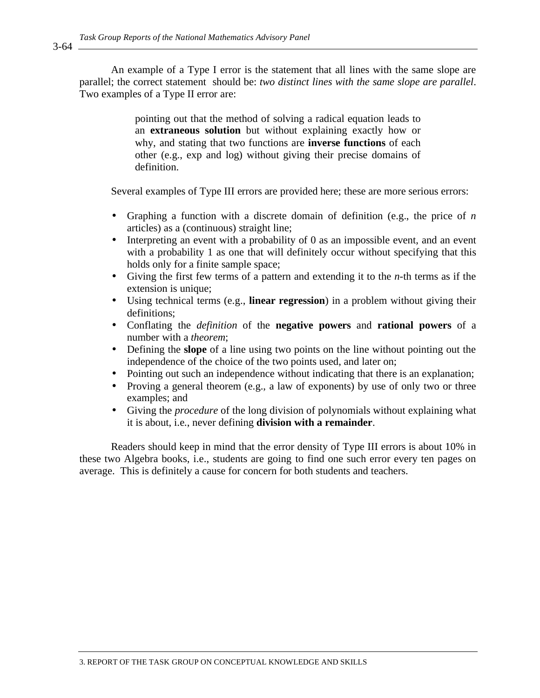An example of a Type I error is the statement that all lines with the same slope are parallel; the correct statement should be: *two distinct lines with the same slope are parallel*. Two examples of a Type II error are:

> pointing out that the method of solving a radical equation leads to an **extraneous solution** but without explaining exactly how or why, and stating that two functions are **inverse functions** of each other (e.g., exp and log) without giving their precise domains of definition.

Several examples of Type III errors are provided here; these are more serious errors:

- Graphing a function with a discrete domain of definition (e.g., the price of *n* articles) as a (continuous) straight line;
- Interpreting an event with a probability of 0 as an impossible event, and an event with a probability 1 as one that will definitely occur without specifying that this holds only for a finite sample space;
- Giving the first few terms of a pattern and extending it to the *n*-th terms as if the extension is unique;
- Using technical terms (e.g., **linear regression**) in a problem without giving their definitions;
- Conflating the *definition* of the **negative powers** and **rational powers** of a number with a *theorem*;
- Defining the **slope** of a line using two points on the line without pointing out the independence of the choice of the two points used, and later on;
- Pointing out such an independence without indicating that there is an explanation;
- Proving a general theorem (e.g., a law of exponents) by use of only two or three examples; and
- Giving the *procedure* of the long division of polynomials without explaining what it is about, i.e., never defining **division with a remainder**.

Readers should keep in mind that the error density of Type III errors is about 10% in these two Algebra books, i.e., students are going to find one such error every ten pages on average. This is definitely a cause for concern for both students and teachers.

3-64